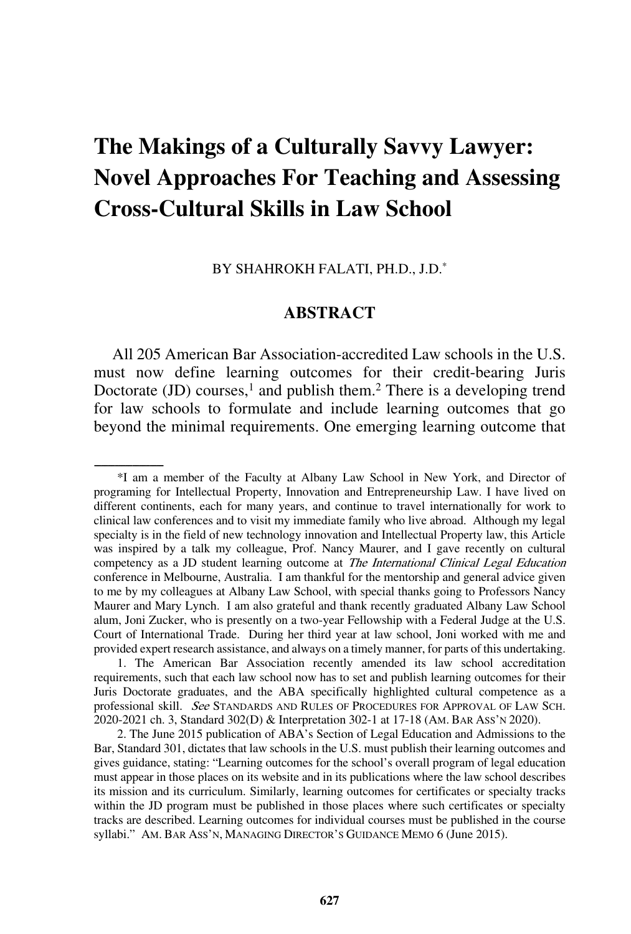# **The Makings of a Culturally Savvy Lawyer: Novel Approaches For Teaching and Assessing Cross-Cultural Skills in Law School**

BY SHAHROKH FALATI, PH.D., J.D.\*

#### **ABSTRACT**

All 205 American Bar Association-accredited Law schools in the U.S. must now define learning outcomes for their credit-bearing Juris Doctorate  $(JD)$  courses,<sup>1</sup> and publish them.<sup>2</sup> There is a developing trend for law schools to formulate and include learning outcomes that go beyond the minimal requirements. One emerging learning outcome that

1. The American Bar Association recently amended its law school accreditation requirements, such that each law school now has to set and publish learning outcomes for their Juris Doctorate graduates, and the ABA specifically highlighted cultural competence as a professional skill. See STANDARDS AND RULES OF PROCEDURES FOR APPROVAL OF LAW SCH. 2020-2021 ch. 3, Standard 302(D) & Interpretation 302-1 at 17-18 (AM. BAR ASS'N 2020).

2. The June 2015 publication of ABA's Section of Legal Education and Admissions to the Bar, Standard 301, dictates that law schools in the U.S. must publish their learning outcomes and gives guidance, stating: "Learning outcomes for the school's overall program of legal education must appear in those places on its website and in its publications where the law school describes its mission and its curriculum. Similarly, learning outcomes for certificates or specialty tracks within the JD program must be published in those places where such certificates or specialty tracks are described. Learning outcomes for individual courses must be published in the course syllabi." AM. BAR ASS'N, MANAGING DIRECTOR'S GUIDANCE MEMO 6 (June 2015).

<sup>\*</sup>I am a member of the Faculty at Albany Law School in New York, and Director of programing for Intellectual Property, Innovation and Entrepreneurship Law. I have lived on different continents, each for many years, and continue to travel internationally for work to clinical law conferences and to visit my immediate family who live abroad. Although my legal specialty is in the field of new technology innovation and Intellectual Property law, this Article was inspired by a talk my colleague, Prof. Nancy Maurer, and I gave recently on cultural competency as a JD student learning outcome at *The International Clinical Legal Education* conference in Melbourne, Australia. I am thankful for the mentorship and general advice given to me by my colleagues at Albany Law School, with special thanks going to Professors Nancy Maurer and Mary Lynch. I am also grateful and thank recently graduated Albany Law School alum, Joni Zucker, who is presently on a two-year Fellowship with a Federal Judge at the U.S. Court of International Trade. During her third year at law school, Joni worked with me and provided expert research assistance, and always on a timely manner, for parts of this undertaking.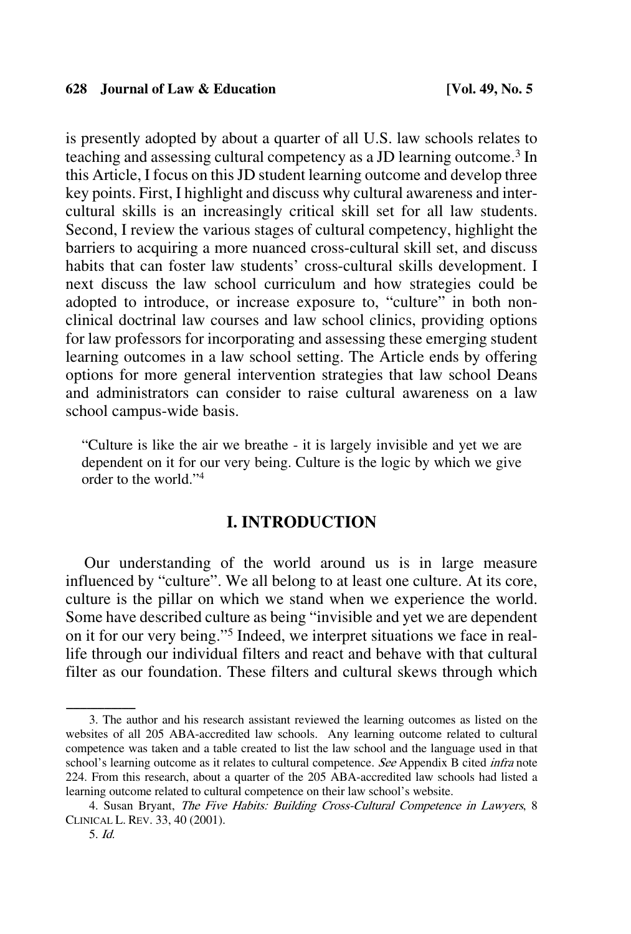is presently adopted by about a quarter of all U.S. law schools relates to teaching and assessing cultural competency as a JD learning outcome. <sup>3</sup> In this Article, I focus on this JD student learning outcome and develop three key points. First, I highlight and discuss why cultural awareness and intercultural skills is an increasingly critical skill set for all law students. Second, I review the various stages of cultural competency, highlight the barriers to acquiring a more nuanced cross-cultural skill set, and discuss habits that can foster law students' cross-cultural skills development. I next discuss the law school curriculum and how strategies could be adopted to introduce, or increase exposure to, "culture" in both nonclinical doctrinal law courses and law school clinics, providing options for law professors for incorporating and assessing these emerging student learning outcomes in a law school setting. The Article ends by offering options for more general intervention strategies that law school Deans and administrators can consider to raise cultural awareness on a law school campus-wide basis.

"Culture is like the air we breathe - it is largely invisible and yet we are dependent on it for our very being. Culture is the logic by which we give order to the world."4

## **I. INTRODUCTION**

Our understanding of the world around us is in large measure influenced by "culture". We all belong to at least one culture. At its core, culture is the pillar on which we stand when we experience the world. Some have described culture as being "invisible and yet we are dependent on it for our very being."5 Indeed, we interpret situations we face in reallife through our individual filters and react and behave with that cultural filter as our foundation. These filters and cultural skews through which

<sup>3.</sup> The author and his research assistant reviewed the learning outcomes as listed on the websites of all 205 ABA-accredited law schools. Any learning outcome related to cultural competence was taken and a table created to list the law school and the language used in that school's learning outcome as it relates to cultural competence. See Appendix B cited *infra* note 224. From this research, about a quarter of the 205 ABA-accredited law schools had listed a learning outcome related to cultural competence on their law school's website.

<sup>4.</sup> Susan Bryant, The Five Habits: Building Cross-Cultural Competence in Lawyers, 8 CLINICAL L. REV. 33, 40 (2001).

<sup>5.</sup> Id.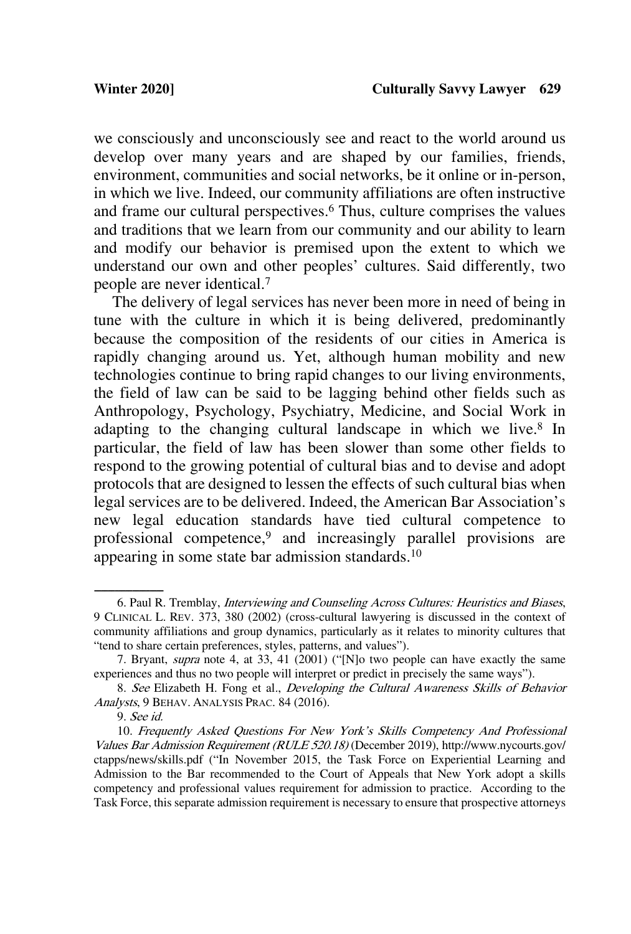we consciously and unconsciously see and react to the world around us develop over many years and are shaped by our families, friends, environment, communities and social networks, be it online or in-person, in which we live. Indeed, our community affiliations are often instructive and frame our cultural perspectives. <sup>6</sup> Thus, culture comprises the values and traditions that we learn from our community and our ability to learn and modify our behavior is premised upon the extent to which we understand our own and other peoples' cultures. Said differently, two people are never identical.7

The delivery of legal services has never been more in need of being in tune with the culture in which it is being delivered, predominantly because the composition of the residents of our cities in America is rapidly changing around us. Yet, although human mobility and new technologies continue to bring rapid changes to our living environments, the field of law can be said to be lagging behind other fields such as Anthropology, Psychology, Psychiatry, Medicine, and Social Work in adapting to the changing cultural landscape in which we live. <sup>8</sup> In particular, the field of law has been slower than some other fields to respond to the growing potential of cultural bias and to devise and adopt protocols that are designed to lessen the effects of such cultural bias when legal services are to be delivered. Indeed, the American Bar Association's new legal education standards have tied cultural competence to professional competence,<sup>9</sup> and increasingly parallel provisions are appearing in some state bar admission standards.<sup>10</sup>

<sup>6.</sup> Paul R. Tremblay, *Interviewing and Counseling Across Cultures: Heuristics and Biases*, 9 CLINICAL L. REV. 373, 380 (2002) (cross-cultural lawyering is discussed in the context of community affiliations and group dynamics, particularly as it relates to minority cultures that "tend to share certain preferences, styles, patterns, and values").

<sup>7.</sup> Bryant, supra note 4, at 33, 41 (2001) ("[N]o two people can have exactly the same experiences and thus no two people will interpret or predict in precisely the same ways").

<sup>8.</sup> See Elizabeth H. Fong et al., Developing the Cultural Awareness Skills of Behavior Analysts, 9 BEHAV. ANALYSIS PRAC. 84 (2016).

<sup>9.</sup> See id.

<sup>10.</sup> Frequently Asked Questions For New York's Skills Competency And Professional Values Bar Admission Requirement (RULE 520.18) (December 2019), http://www.nycourts.gov/ ctapps/news/skills.pdf ("In November 2015, the Task Force on Experiential Learning and Admission to the Bar recommended to the Court of Appeals that New York adopt a skills competency and professional values requirement for admission to practice. According to the Task Force, this separate admission requirement is necessary to ensure that prospective attorneys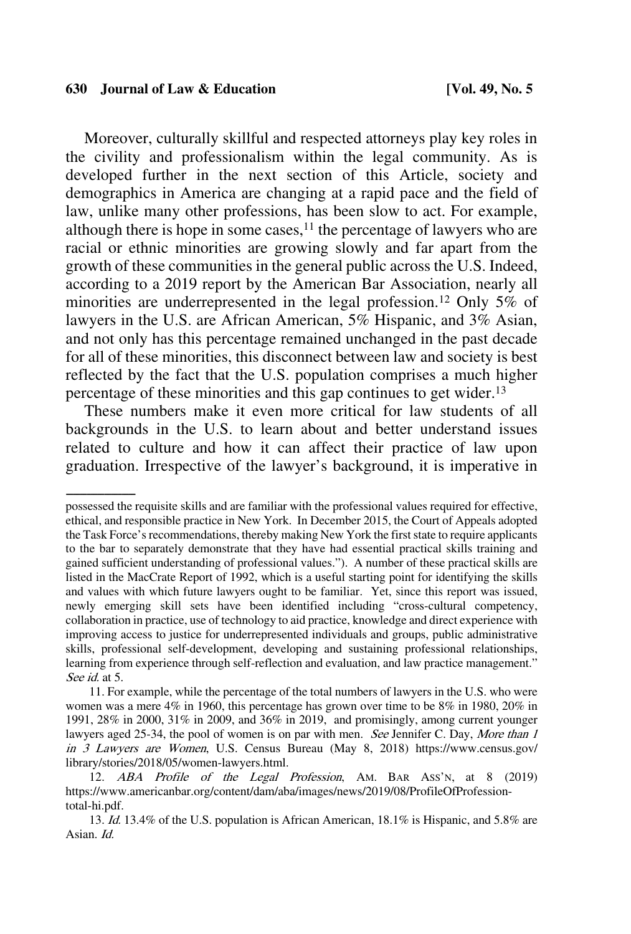Moreover, culturally skillful and respected attorneys play key roles in the civility and professionalism within the legal community. As is developed further in the next section of this Article, society and demographics in America are changing at a rapid pace and the field of law, unlike many other professions, has been slow to act. For example, although there is hope in some cases, $11$  the percentage of lawyers who are racial or ethnic minorities are growing slowly and far apart from the growth of these communities in the general public across the U.S. Indeed, according to a 2019 report by the American Bar Association, nearly all minorities are underrepresented in the legal profession.<sup>12</sup> Only 5% of lawyers in the U.S. are African American, 5% Hispanic, and 3% Asian, and not only has this percentage remained unchanged in the past decade for all of these minorities, this disconnect between law and society is best reflected by the fact that the U.S. population comprises a much higher percentage of these minorities and this gap continues to get wider.13

These numbers make it even more critical for law students of all backgrounds in the U.S. to learn about and better understand issues related to culture and how it can affect their practice of law upon graduation. Irrespective of the lawyer's background, it is imperative in

possessed the requisite skills and are familiar with the professional values required for effective, ethical, and responsible practice in New York. In December 2015, the Court of Appeals adopted the Task Force's recommendations, thereby making New York the first state to require applicants to the bar to separately demonstrate that they have had essential practical skills training and gained sufficient understanding of professional values."). A number of these practical skills are listed in the MacCrate Report of 1992, which is a useful starting point for identifying the skills and values with which future lawyers ought to be familiar. Yet, since this report was issued, newly emerging skill sets have been identified including "cross-cultural competency, collaboration in practice, use of technology to aid practice, knowledge and direct experience with improving access to justice for underrepresented individuals and groups, public administrative skills, professional self-development, developing and sustaining professional relationships, learning from experience through self-reflection and evaluation, and law practice management." See *id.* at 5.

<sup>11.</sup> For example, while the percentage of the total numbers of lawyers in the U.S. who were women was a mere 4% in 1960, this percentage has grown over time to be 8% in 1980, 20% in 1991, 28% in 2000, 31% in 2009, and 36% in 2019, and promisingly, among current younger lawyers aged 25-34, the pool of women is on par with men. See Jennifer C. Day, More than 1 in 3 Lawyers are Women, U.S. Census Bureau (May 8, 2018) https://www.census.gov/ library/stories/2018/05/women-lawyers.html.

<sup>12.</sup> ABA Profile of the Legal Profession, AM. BAR Ass'N, at 8 (2019) https://www.americanbar.org/content/dam/aba/images/news/2019/08/ProfileOfProfessiontotal-hi.pdf.

<sup>13.</sup> Id. 13.4% of the U.S. population is African American, 18.1% is Hispanic, and 5.8% are Asian. Id.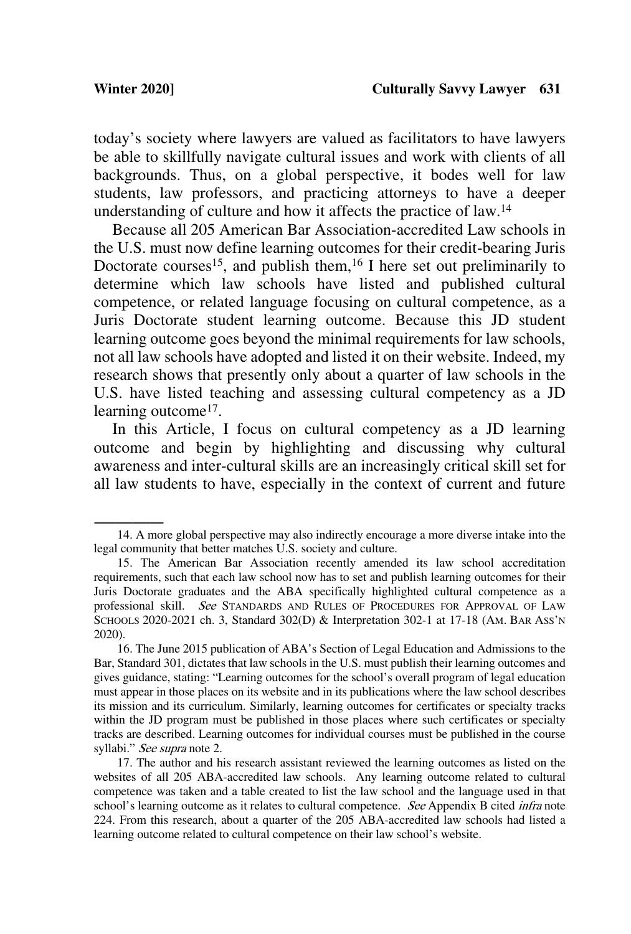today's society where lawyers are valued as facilitators to have lawyers be able to skillfully navigate cultural issues and work with clients of all backgrounds. Thus, on a global perspective, it bodes well for law students, law professors, and practicing attorneys to have a deeper understanding of culture and how it affects the practice of law.<sup>14</sup>

Because all 205 American Bar Association-accredited Law schools in the U.S. must now define learning outcomes for their credit-bearing Juris Doctorate courses<sup>15</sup>, and publish them,  $16$  I here set out preliminarily to determine which law schools have listed and published cultural competence, or related language focusing on cultural competence, as a Juris Doctorate student learning outcome. Because this JD student learning outcome goes beyond the minimal requirements for law schools, not all law schools have adopted and listed it on their website. Indeed, my research shows that presently only about a quarter of law schools in the U.S. have listed teaching and assessing cultural competency as a JD learning outcome<sup>17</sup>.

In this Article, I focus on cultural competency as a JD learning outcome and begin by highlighting and discussing why cultural awareness and inter-cultural skills are an increasingly critical skill set for all law students to have, especially in the context of current and future

<sup>14.</sup> A more global perspective may also indirectly encourage a more diverse intake into the legal community that better matches U.S. society and culture.

<sup>15.</sup> The American Bar Association recently amended its law school accreditation requirements, such that each law school now has to set and publish learning outcomes for their Juris Doctorate graduates and the ABA specifically highlighted cultural competence as a professional skill. See STANDARDS AND RULES OF PROCEDURES FOR APPROVAL OF LAW SCHOOLS 2020-2021 ch. 3, Standard 302(D) & Interpretation 302-1 at 17-18 (AM. BAR ASS'N 2020).

<sup>16.</sup> The June 2015 publication of ABA's Section of Legal Education and Admissions to the Bar, Standard 301, dictates that law schools in the U.S. must publish their learning outcomes and gives guidance, stating: "Learning outcomes for the school's overall program of legal education must appear in those places on its website and in its publications where the law school describes its mission and its curriculum. Similarly, learning outcomes for certificates or specialty tracks within the JD program must be published in those places where such certificates or specialty tracks are described. Learning outcomes for individual courses must be published in the course syllabi." See supra note 2.

<sup>17.</sup> The author and his research assistant reviewed the learning outcomes as listed on the websites of all 205 ABA-accredited law schools. Any learning outcome related to cultural competence was taken and a table created to list the law school and the language used in that school's learning outcome as it relates to cultural competence. See Appendix B cited infra note 224. From this research, about a quarter of the 205 ABA-accredited law schools had listed a learning outcome related to cultural competence on their law school's website.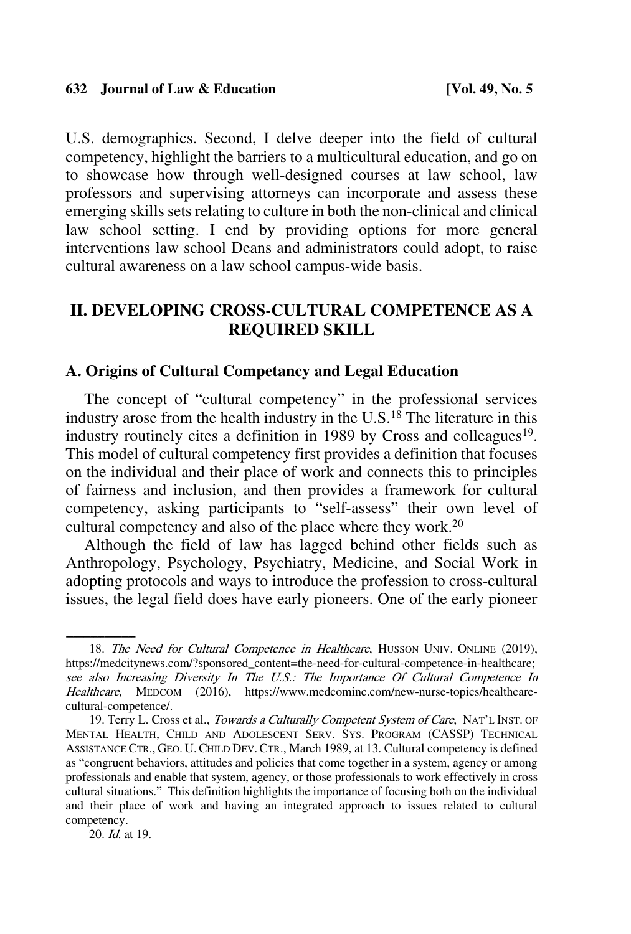U.S. demographics. Second, I delve deeper into the field of cultural competency, highlight the barriers to a multicultural education, and go on to showcase how through well-designed courses at law school, law professors and supervising attorneys can incorporate and assess these emerging skills sets relating to culture in both the non-clinical and clinical law school setting. I end by providing options for more general interventions law school Deans and administrators could adopt, to raise cultural awareness on a law school campus-wide basis.

## **II. DEVELOPING CROSS-CULTURAL COMPETENCE AS A REQUIRED SKILL**

## **A. Origins of Cultural Competancy and Legal Education**

The concept of "cultural competency" in the professional services industry arose from the health industry in the U.S.18 The literature in this industry routinely cites a definition in 1989 by Cross and colleagues<sup>19</sup>. This model of cultural competency first provides a definition that focuses on the individual and their place of work and connects this to principles of fairness and inclusion, and then provides a framework for cultural competency, asking participants to "self-assess" their own level of cultural competency and also of the place where they work.20

Although the field of law has lagged behind other fields such as Anthropology, Psychology, Psychiatry, Medicine, and Social Work in adopting protocols and ways to introduce the profession to cross-cultural issues, the legal field does have early pioneers. One of the early pioneer

20. *Id.* at 19.

<sup>18.</sup> The Need for Cultural Competence in Healthcare, HUSSON UNIV. ONLINE (2019), https://medcitynews.com/?sponsored\_content=the-need-for-cultural-competence-in-healthcare; see also Increasing Diversity In The U.S.: The Importance Of Cultural Competence In Healthcare, MEDCOM (2016), https://www.medcominc.com/new-nurse-topics/healthcarecultural-competence/.

<sup>19.</sup> Terry L. Cross et al., Towards a Culturally Competent System of Care, NAT'L INST. OF MENTAL HEALTH, CHILD AND ADOLESCENT SERV. SYS. PROGRAM (CASSP) TECHNICAL ASSISTANCE CTR., GEO. U. CHILD DEV. CTR., March 1989, at 13. Cultural competency is defined as "congruent behaviors, attitudes and policies that come together in a system, agency or among professionals and enable that system, agency, or those professionals to work effectively in cross cultural situations." This definition highlights the importance of focusing both on the individual and their place of work and having an integrated approach to issues related to cultural competency.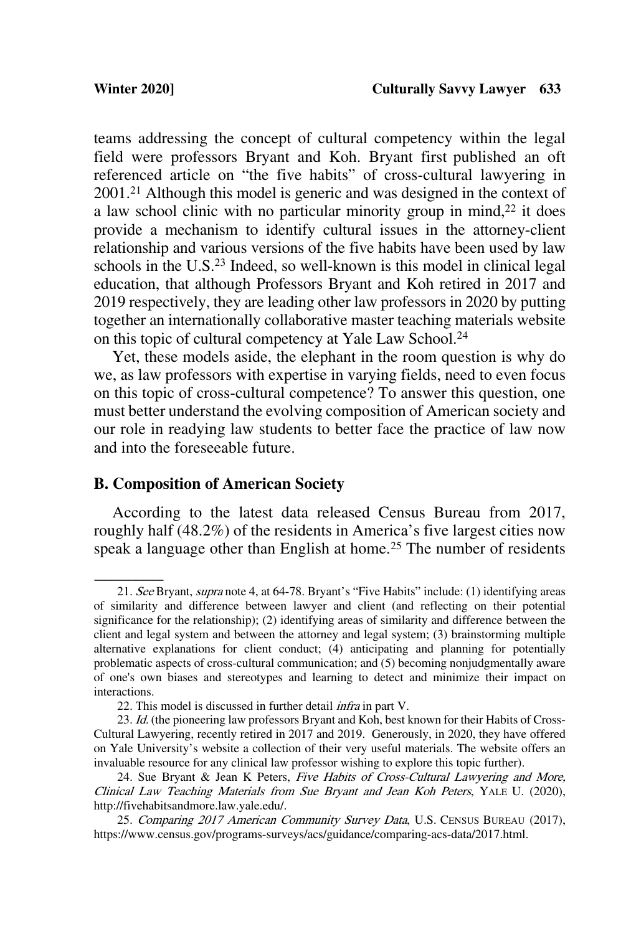teams addressing the concept of cultural competency within the legal field were professors Bryant and Koh. Bryant first published an oft referenced article on "the five habits" of cross-cultural lawyering in 2001.21 Although this model is generic and was designed in the context of a law school clinic with no particular minority group in mind, $22$  it does provide a mechanism to identify cultural issues in the attorney-client relationship and various versions of the five habits have been used by law schools in the U.S.<sup>23</sup> Indeed, so well-known is this model in clinical legal education, that although Professors Bryant and Koh retired in 2017 and 2019 respectively, they are leading other law professors in 2020 by putting together an internationally collaborative master teaching materials website on this topic of cultural competency at Yale Law School.24

Yet, these models aside, the elephant in the room question is why do we, as law professors with expertise in varying fields, need to even focus on this topic of cross-cultural competence? To answer this question, one must better understand the evolving composition of American society and our role in readying law students to better face the practice of law now and into the foreseeable future.

### **B. Composition of American Society**

According to the latest data released Census Bureau from 2017, roughly half (48.2%) of the residents in America's five largest cities now speak a language other than English at home.<sup>25</sup> The number of residents

<sup>21.</sup> See Bryant, supra note 4, at 64-78. Bryant's "Five Habits" include: (1) identifying areas of similarity and difference between lawyer and client (and reflecting on their potential significance for the relationship); (2) identifying areas of similarity and difference between the client and legal system and between the attorney and legal system; (3) brainstorming multiple alternative explanations for client conduct; (4) anticipating and planning for potentially problematic aspects of cross-cultural communication; and (5) becoming nonjudgmentally aware of one's own biases and stereotypes and learning to detect and minimize their impact on interactions.

<sup>22.</sup> This model is discussed in further detail *infra* in part V.

<sup>23.</sup> Id. (the pioneering law professors Bryant and Koh, best known for their Habits of Cross-Cultural Lawyering, recently retired in 2017 and 2019. Generously, in 2020, they have offered on Yale University's website a collection of their very useful materials. The website offers an invaluable resource for any clinical law professor wishing to explore this topic further).

<sup>24.</sup> Sue Bryant & Jean K Peters, Five Habits of Cross-Cultural Lawyering and More, Clinical Law Teaching Materials from Sue Bryant and Jean Koh Peters, YALE U. (2020), http://fivehabitsandmore.law.yale.edu/.

<sup>25.</sup> Comparing 2017 American Community Survey Data, U.S. CENSUS BUREAU (2017), https://www.census.gov/programs-surveys/acs/guidance/comparing-acs-data/2017.html.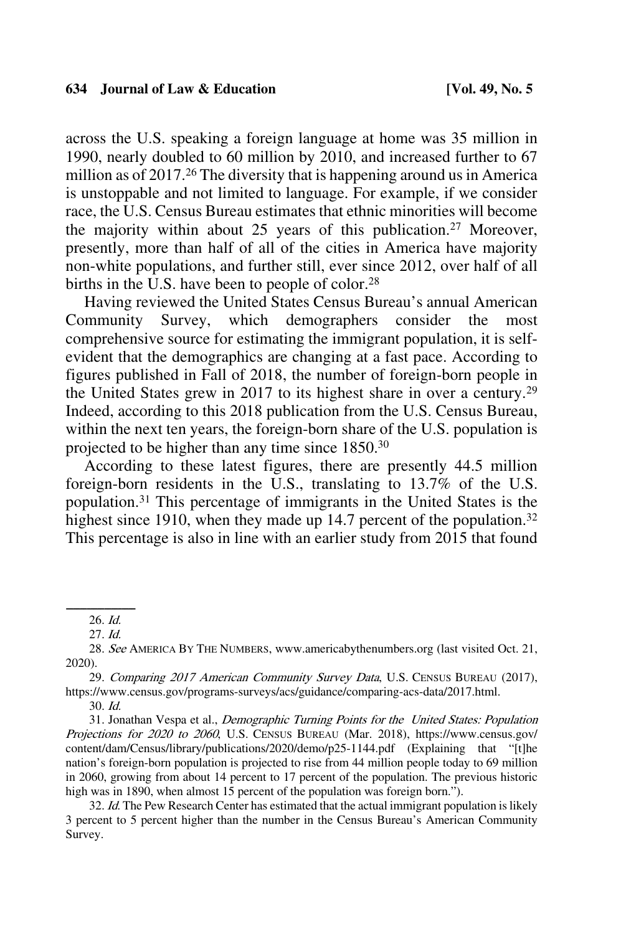across the U.S. speaking a foreign language at home was 35 million in 1990, nearly doubled to 60 million by 2010, and increased further to 67 million as of 2017.26 The diversity that is happening around us in America is unstoppable and not limited to language. For example, if we consider race, the U.S. Census Bureau estimates that ethnic minorities will become the majority within about 25 years of this publication.<sup>27</sup> Moreover, presently, more than half of all of the cities in America have majority non-white populations, and further still, ever since 2012, over half of all births in the U.S. have been to people of color.<sup>28</sup>

Having reviewed the United States Census Bureau's annual American Community Survey, which demographers consider the most comprehensive source for estimating the immigrant population, it is selfevident that the demographics are changing at a fast pace. According to figures published in Fall of 2018, the number of foreign-born people in the United States grew in 2017 to its highest share in over a century.29 Indeed, according to this 2018 publication from the U.S. Census Bureau, within the next ten years, the foreign-born share of the U.S. population is projected to be higher than any time since 1850.30

According to these latest figures, there are presently 44.5 million foreign-born residents in the U.S., translating to 13.7% of the U.S. population.31 This percentage of immigrants in the United States is the highest since 1910, when they made up 14.7 percent of the population.<sup>32</sup> This percentage is also in line with an earlier study from 2015 that found

29. Comparing 2017 American Community Survey Data, U.S. CENSUS BUREAU (2017), https://www.census.gov/programs-surveys/acs/guidance/comparing-acs-data/2017.html.

31. Jonathan Vespa et al., Demographic Turning Points for the United States: Population Projections for 2020 to 2060, U.S. CENSUS BUREAU (Mar. 2018), https://www.census.gov/ content/dam/Census/library/publications/2020/demo/p25-1144.pdf (Explaining that "[t]he nation's foreign-born population is projected to rise from 44 million people today to 69 million in 2060, growing from about 14 percent to 17 percent of the population. The previous historic high was in 1890, when almost 15 percent of the population was foreign born.").

32. Id. The Pew Research Center has estimated that the actual immigrant population is likely 3 percent to 5 percent higher than the number in the Census Bureau's American Community Survey.

 $26. \text{Id.}$ 

<sup>27.</sup> Id.

<sup>28.</sup> See AMERICA BY THE NUMBERS, www.americabythenumbers.org (last visited Oct. 21, 2020).

<sup>30.</sup> Id.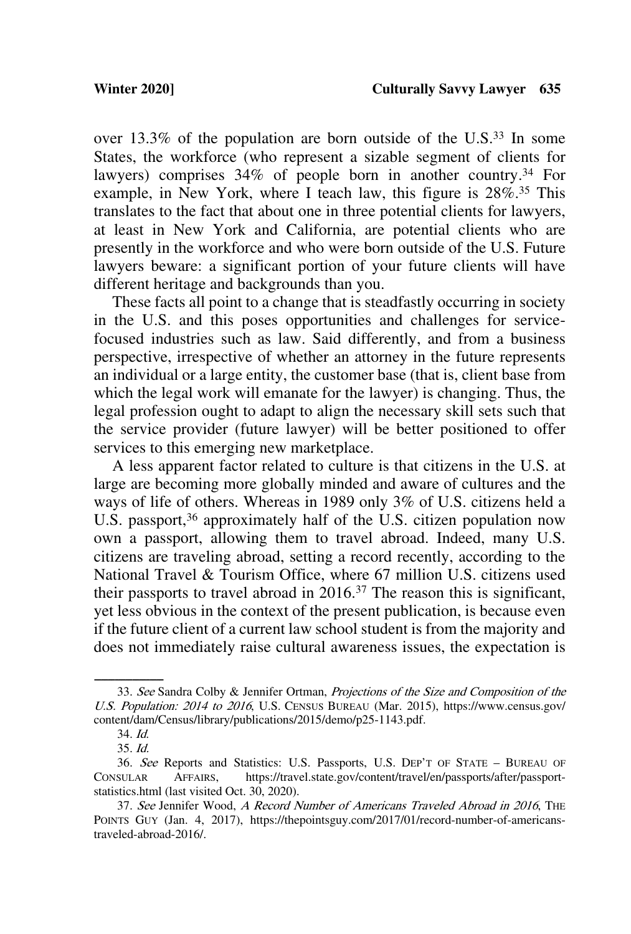over 13.3% of the population are born outside of the U.S.33 In some States, the workforce (who represent a sizable segment of clients for lawyers) comprises 34% of people born in another country. <sup>34</sup> For example, in New York, where I teach law, this figure is 28%.35 This translates to the fact that about one in three potential clients for lawyers, at least in New York and California, are potential clients who are presently in the workforce and who were born outside of the U.S. Future lawyers beware: a significant portion of your future clients will have different heritage and backgrounds than you.

These facts all point to a change that is steadfastly occurring in society in the U.S. and this poses opportunities and challenges for servicefocused industries such as law. Said differently, and from a business perspective, irrespective of whether an attorney in the future represents an individual or a large entity, the customer base (that is, client base from which the legal work will emanate for the lawyer) is changing. Thus, the legal profession ought to adapt to align the necessary skill sets such that the service provider (future lawyer) will be better positioned to offer services to this emerging new marketplace.

A less apparent factor related to culture is that citizens in the U.S. at large are becoming more globally minded and aware of cultures and the ways of life of others. Whereas in 1989 only 3% of U.S. citizens held a U.S. passport,<sup>36</sup> approximately half of the U.S. citizen population now own a passport, allowing them to travel abroad. Indeed, many U.S. citizens are traveling abroad, setting a record recently, according to the National Travel & Tourism Office, where 67 million U.S. citizens used their passports to travel abroad in  $2016<sup>37</sup>$  The reason this is significant, yet less obvious in the context of the present publication, is because even if the future client of a current law school student is from the majority and does not immediately raise cultural awareness issues, the expectation is

<sup>33.</sup> See Sandra Colby & Jennifer Ortman, Projections of the Size and Composition of the U.S. Population: 2014 to 2016, U.S. CENSUS BUREAU (Mar. 2015), https://www.census.gov/ content/dam/Census/library/publications/2015/demo/p25-1143.pdf.

<sup>34.</sup> Id. 35. Id.

<sup>36.</sup> See Reports and Statistics: U.S. Passports, U.S. DEP'T OF STATE – BUREAU OF CONSULAR AFFAIRS, https://travel.state.gov/content/travel/en/passports/after/passportstatistics.html (last visited Oct. 30, 2020).

<sup>37.</sup> See Jennifer Wood, A Record Number of Americans Traveled Abroad in 2016, THE POINTS GUY (Jan. 4, 2017), https://thepointsguy.com/2017/01/record-number-of-americanstraveled-abroad-2016/.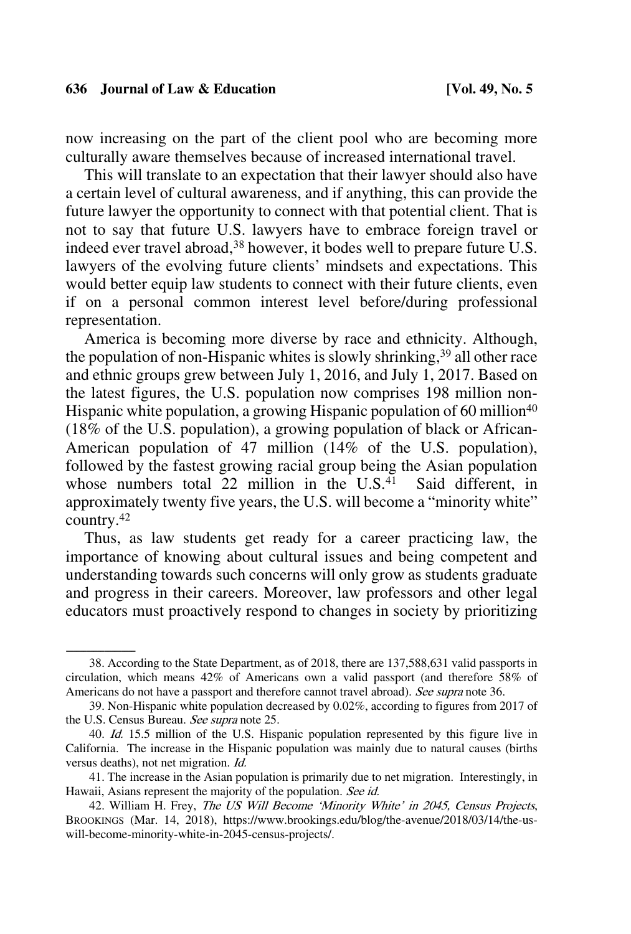now increasing on the part of the client pool who are becoming more culturally aware themselves because of increased international travel.

This will translate to an expectation that their lawyer should also have a certain level of cultural awareness, and if anything, this can provide the future lawyer the opportunity to connect with that potential client. That is not to say that future U.S. lawyers have to embrace foreign travel or indeed ever travel abroad, <sup>38</sup> however, it bodes well to prepare future U.S. lawyers of the evolving future clients' mindsets and expectations. This would better equip law students to connect with their future clients, even if on a personal common interest level before/during professional representation.

America is becoming more diverse by race and ethnicity. Although, the population of non-Hispanic whites is slowly shrinking, <sup>39</sup> all other race and ethnic groups grew between July 1, 2016, and July 1, 2017. Based on the latest figures, the U.S. population now comprises 198 million non-Hispanic white population, a growing Hispanic population of 60 million<sup>40</sup> (18% of the U.S. population), a growing population of black or African-American population of 47 million (14% of the U.S. population), followed by the fastest growing racial group being the Asian population whose numbers total 22 million in the U.S.<sup>41</sup> Said different, in approximately twenty five years, the U.S. will become a "minority white" country.42

Thus, as law students get ready for a career practicing law, the importance of knowing about cultural issues and being competent and understanding towards such concerns will only grow as students graduate and progress in their careers. Moreover, law professors and other legal educators must proactively respond to changes in society by prioritizing

<sup>38.</sup> According to the State Department, as of 2018, there are 137,588,631 valid passports in circulation, which means 42% of Americans own a valid passport (and therefore 58% of Americans do not have a passport and therefore cannot travel abroad). See supra note 36.

<sup>39.</sup> Non-Hispanic white population decreased by 0.02%, according to figures from 2017 of the U.S. Census Bureau. See supra note 25.

<sup>40.</sup> Id. 15.5 million of the U.S. Hispanic population represented by this figure live in California. The increase in the Hispanic population was mainly due to natural causes (births versus deaths), not net migration. Id.

<sup>41.</sup> The increase in the Asian population is primarily due to net migration. Interestingly, in Hawaii, Asians represent the majority of the population. See id.

<sup>42.</sup> William H. Frey, The US Will Become 'Minority White' in 2045, Census Projects, BROOKINGS (Mar. 14, 2018), https://www.brookings.edu/blog/the-avenue/2018/03/14/the-uswill-become-minority-white-in-2045-census-projects/.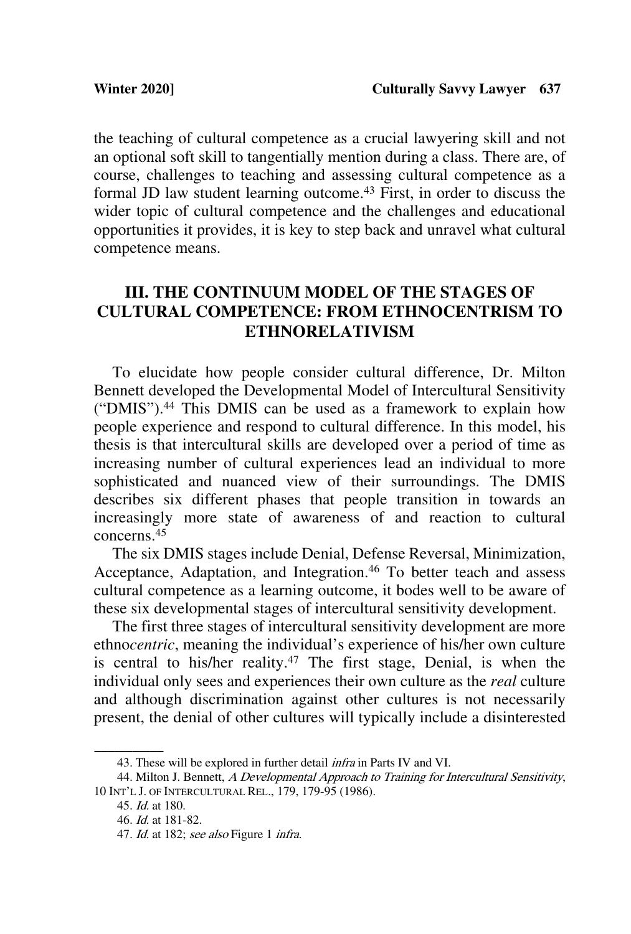the teaching of cultural competence as a crucial lawyering skill and not an optional soft skill to tangentially mention during a class. There are, of course, challenges to teaching and assessing cultural competence as a formal JD law student learning outcome.43 First, in order to discuss the wider topic of cultural competence and the challenges and educational opportunities it provides, it is key to step back and unravel what cultural competence means.

## **III. THE CONTINUUM MODEL OF THE STAGES OF CULTURAL COMPETENCE: FROM ETHNOCENTRISM TO ETHNORELATIVISM**

To elucidate how people consider cultural difference, Dr. Milton Bennett developed the Developmental Model of Intercultural Sensitivity ("DMIS"). <sup>44</sup> This DMIS can be used as a framework to explain how people experience and respond to cultural difference. In this model, his thesis is that intercultural skills are developed over a period of time as increasing number of cultural experiences lead an individual to more sophisticated and nuanced view of their surroundings. The DMIS describes six different phases that people transition in towards an increasingly more state of awareness of and reaction to cultural concerns.45

The six DMIS stages include Denial, Defense Reversal, Minimization, Acceptance, Adaptation, and Integration.<sup>46</sup> To better teach and assess cultural competence as a learning outcome, it bodes well to be aware of these six developmental stages of intercultural sensitivity development.

The first three stages of intercultural sensitivity development are more ethno*centric*, meaning the individual's experience of his/her own culture is central to his/her reality.47 The first stage, Denial, is when the individual only sees and experiences their own culture as the *real* culture and although discrimination against other cultures is not necessarily present, the denial of other cultures will typically include a disinterested

<sup>43.</sup> These will be explored in further detail *infra* in Parts IV and VI.

<sup>44.</sup> Milton J. Bennett, A Developmental Approach to Training for Intercultural Sensitivity, 10 INT'L J. OF INTERCULTURAL REL., 179, 179-95 (1986).

<sup>45.</sup> Id. at 180.

<sup>46.</sup> Id. at 181-82.

<sup>47.</sup> *Id.* at 182; see also Figure 1 *infra*.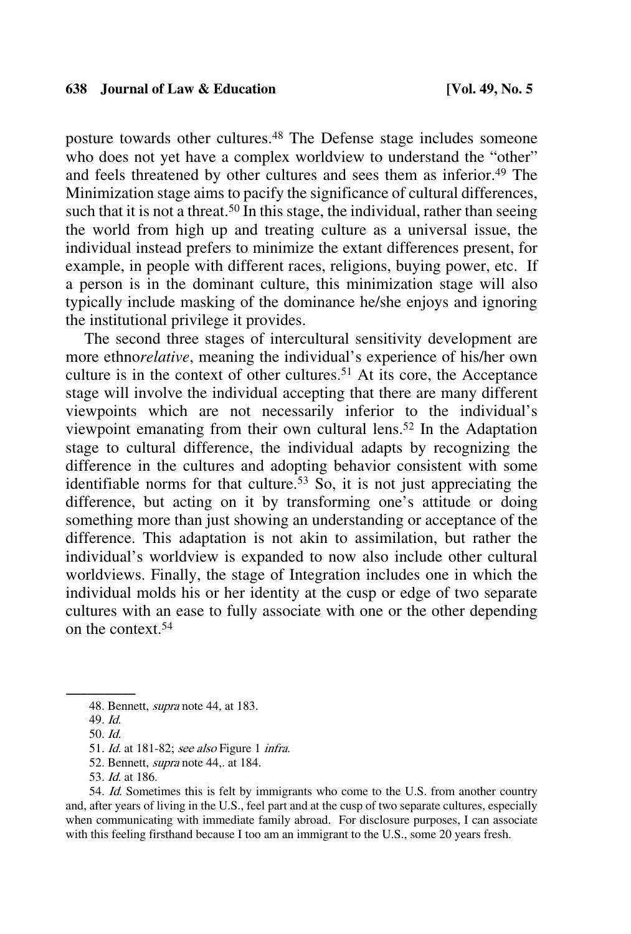posture towards other cultures.48 The Defense stage includes someone who does not yet have a complex worldview to understand the "other" and feels threatened by other cultures and sees them as inferior.<sup>49</sup> The Minimization stage aims to pacify the significance of cultural differences, such that it is not a threat.<sup>50</sup> In this stage, the individual, rather than seeing the world from high up and treating culture as a universal issue, the individual instead prefers to minimize the extant differences present, for example, in people with different races, religions, buying power, etc. If a person is in the dominant culture, this minimization stage will also typically include masking of the dominance he/she enjoys and ignoring the institutional privilege it provides.

The second three stages of intercultural sensitivity development are more ethno*relative*, meaning the individual's experience of his/her own culture is in the context of other cultures. <sup>51</sup> At its core, the Acceptance stage will involve the individual accepting that there are many different viewpoints which are not necessarily inferior to the individual's viewpoint emanating from their own cultural lens.52 In the Adaptation stage to cultural difference, the individual adapts by recognizing the difference in the cultures and adopting behavior consistent with some identifiable norms for that culture.<sup>53</sup> So, it is not just appreciating the difference, but acting on it by transforming one's attitude or doing something more than just showing an understanding or acceptance of the difference. This adaptation is not akin to assimilation, but rather the individual's worldview is expanded to now also include other cultural worldviews. Finally, the stage of Integration includes one in which the individual molds his or her identity at the cusp or edge of two separate cultures with an ease to fully associate with one or the other depending on the context.54

54. Id. Sometimes this is felt by immigrants who come to the U.S. from another country and, after years of living in the U.S., feel part and at the cusp of two separate cultures, especially when communicating with immediate family abroad. For disclosure purposes, I can associate with this feeling firsthand because I too am an immigrant to the U.S., some 20 years fresh.

<sup>48.</sup> Bennett, *supra* note 44, at 183.

<sup>49.</sup> Id.

<sup>50.</sup> Id.

<sup>51.</sup> *Id.* at 181-82; see also Figure 1 *infra.* 

<sup>52.</sup> Bennett, supra note 44,. at 184.

<sup>53.</sup> Id. at 186.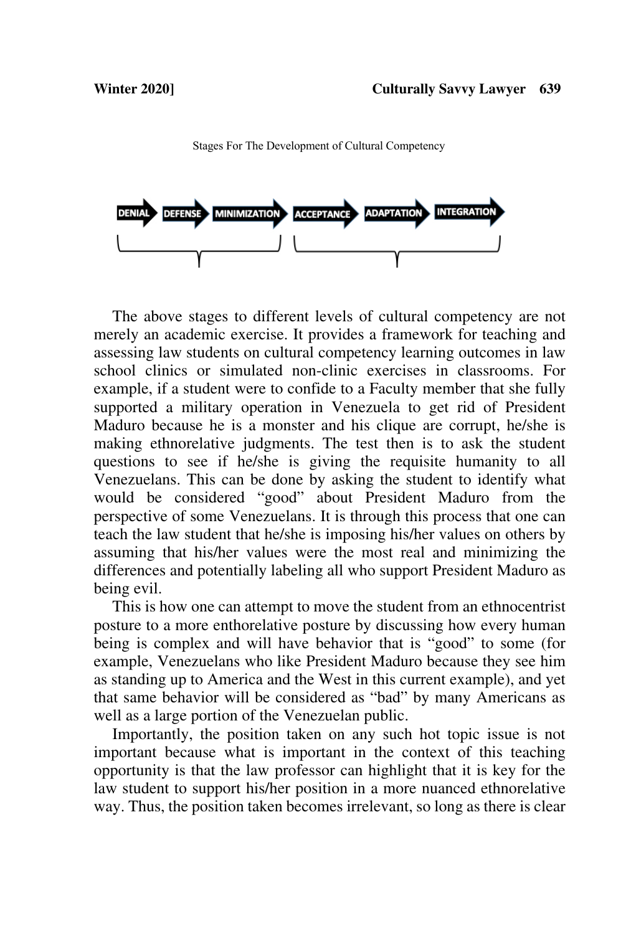

Stages For The Development of Cultural Competency

The above stages to different levels of cultural competency are not merely an academic exercise. It provides a framework for teaching and assessing law students on cultural competency learning outcomes in law school clinics or simulated non-clinic exercises in classrooms. For example, if a student were to confide to a Faculty member that she fully supported a military operation in Venezuela to get rid of President Maduro because he is a monster and his clique are corrupt, he/she is making ethnorelative judgments. The test then is to ask the student questions to see if he/she is giving the requisite humanity to all Venezuelans. This can be done by asking the student to identify what would be considered "good" about President Maduro from the perspective of some Venezuelans. It is through this process that one can teach the law student that he/she is imposing his/her values on others by assuming that his/her values were the most real and minimizing the differences and potentially labeling all who support President Maduro as being evil.

This is how one can attempt to move the student from an ethnocentrist posture to a more enthorelative posture by discussing how every human being is complex and will have behavior that is "good" to some (for example, Venezuelans who like President Maduro because they see him as standing up to America and the West in this current example), and yet that same behavior will be considered as "bad" by many Americans as well as a large portion of the Venezuelan public.

Importantly, the position taken on any such hot topic issue is not important because what is important in the context of this teaching opportunity is that the law professor can highlight that it is key for the law student to support his/her position in a more nuanced ethnorelative way. Thus, the position taken becomes irrelevant, so long as there is clear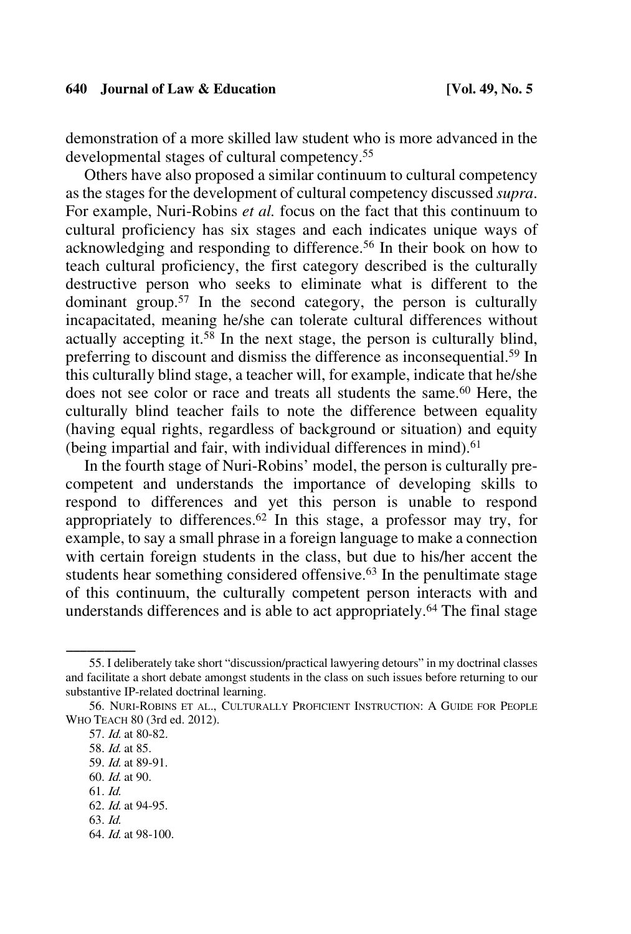demonstration of a more skilled law student who is more advanced in the developmental stages of cultural competency.55

Others have also proposed a similar continuum to cultural competency as the stages for the development of cultural competency discussed *supra*. For example, Nuri-Robins *et al.* focus on the fact that this continuum to cultural proficiency has six stages and each indicates unique ways of acknowledging and responding to difference.56 In their book on how to teach cultural proficiency, the first category described is the culturally destructive person who seeks to eliminate what is different to the dominant group.57 In the second category, the person is culturally incapacitated, meaning he/she can tolerate cultural differences without actually accepting it.<sup>58</sup> In the next stage, the person is culturally blind, preferring to discount and dismiss the difference as inconsequential.59 In this culturally blind stage, a teacher will, for example, indicate that he/she does not see color or race and treats all students the same.<sup>60</sup> Here, the culturally blind teacher fails to note the difference between equality (having equal rights, regardless of background or situation) and equity (being impartial and fair, with individual differences in mind). $61$ 

In the fourth stage of Nuri-Robins' model, the person is culturally precompetent and understands the importance of developing skills to respond to differences and yet this person is unable to respond appropriately to differences.<sup>62</sup> In this stage, a professor may try, for example, to say a small phrase in a foreign language to make a connection with certain foreign students in the class, but due to his/her accent the students hear something considered offensive.<sup>63</sup> In the penultimate stage of this continuum, the culturally competent person interacts with and understands differences and is able to act appropriately.<sup>64</sup> The final stage

<sup>55.</sup> I deliberately take short "discussion/practical lawyering detours" in my doctrinal classes and facilitate a short debate amongst students in the class on such issues before returning to our substantive IP-related doctrinal learning.

<sup>56.</sup> NURI-ROBINS ET AL., CULTURALLY PROFICIENT INSTRUCTION: A GUIDE FOR PEOPLE WHO TEACH 80 (3rd ed. 2012).

<sup>57.</sup> Id. at 80-82.

<sup>58.</sup> Id. at 85.

<sup>59.</sup> Id. at 89-91.

<sup>60.</sup> Id. at 90.

<sup>61.</sup> Id.

<sup>62.</sup> Id. at 94-95.

<sup>63.</sup> Id.

<sup>64.</sup> Id. at 98-100.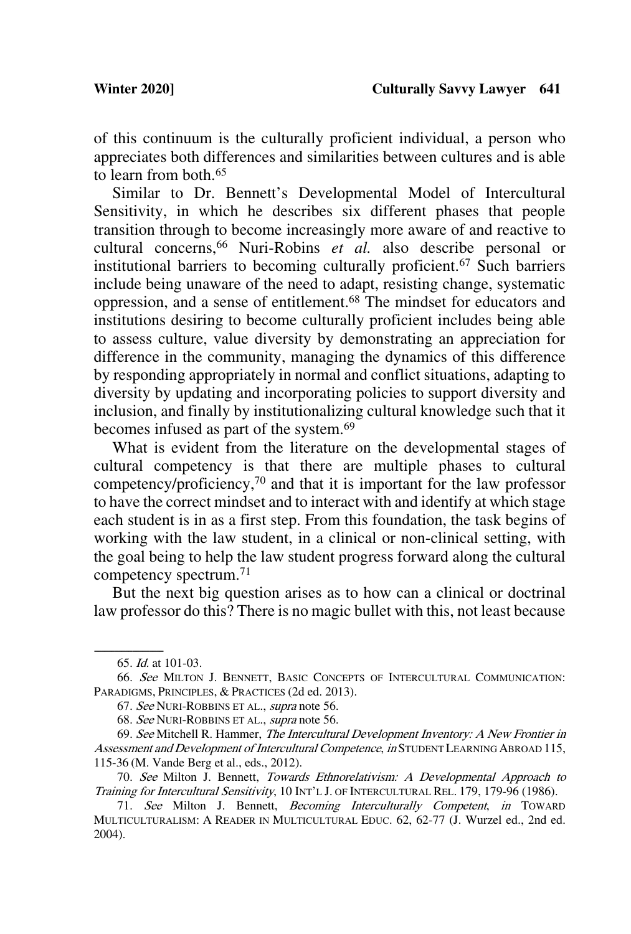of this continuum is the culturally proficient individual, a person who appreciates both differences and similarities between cultures and is able to learn from both.65

Similar to Dr. Bennett's Developmental Model of Intercultural Sensitivity, in which he describes six different phases that people transition through to become increasingly more aware of and reactive to cultural concerns, <sup>66</sup> Nuri-Robins *et al.* also describe personal or institutional barriers to becoming culturally proficient.67 Such barriers include being unaware of the need to adapt, resisting change, systematic oppression, and a sense of entitlement.68 The mindset for educators and institutions desiring to become culturally proficient includes being able to assess culture, value diversity by demonstrating an appreciation for difference in the community, managing the dynamics of this difference by responding appropriately in normal and conflict situations, adapting to diversity by updating and incorporating policies to support diversity and inclusion, and finally by institutionalizing cultural knowledge such that it becomes infused as part of the system.69

What is evident from the literature on the developmental stages of cultural competency is that there are multiple phases to cultural competency/proficiency,70 and that it is important for the law professor to have the correct mindset and to interact with and identify at which stage each student is in as a first step. From this foundation, the task begins of working with the law student, in a clinical or non-clinical setting, with the goal being to help the law student progress forward along the cultural competency spectrum. 71

But the next big question arises as to how can a clinical or doctrinal law professor do this? There is no magic bullet with this, not least because

<sup>65.</sup> *Id.* at 101-03.

<sup>66.</sup> See MILTON J. BENNETT, BASIC CONCEPTS OF INTERCULTURAL COMMUNICATION: PARADIGMS, PRINCIPLES, & PRACTICES (2d ed. 2013).

<sup>67.</sup> See NURI-ROBBINS ET AL., supra note 56.

<sup>68.</sup> See NURI-ROBBINS ET AL., supra note 56.

<sup>69.</sup> See Mitchell R. Hammer, The Intercultural Development Inventory: A New Frontier in Assessment and Development of Intercultural Competence, in STUDENT LEARNING ABROAD 115, 115-36 (M. Vande Berg et al., eds., 2012).

<sup>70.</sup> See Milton J. Bennett, Towards Ethnorelativism: A Developmental Approach to Training for Intercultural Sensitivity, 10 INT'L J. OF INTERCULTURAL REL. 179, 179-96 (1986).

<sup>71.</sup> See Milton J. Bennett, Becoming Interculturally Competent, in TOWARD MULTICULTURALISM: A READER IN MULTICULTURAL EDUC. 62, 62-77 (J. Wurzel ed., 2nd ed. 2004).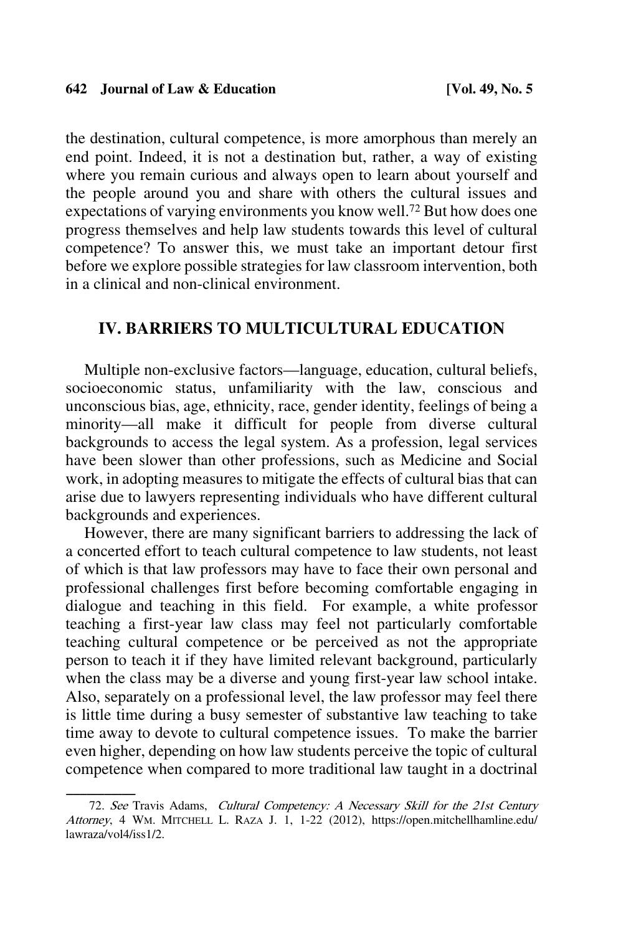the destination, cultural competence, is more amorphous than merely an end point. Indeed, it is not a destination but, rather, a way of existing where you remain curious and always open to learn about yourself and the people around you and share with others the cultural issues and expectations of varying environments you know well.72 But how does one progress themselves and help law students towards this level of cultural competence? To answer this, we must take an important detour first before we explore possible strategies for law classroom intervention, both in a clinical and non-clinical environment.

### **IV. BARRIERS TO MULTICULTURAL EDUCATION**

Multiple non-exclusive factors—language, education, cultural beliefs, socioeconomic status, unfamiliarity with the law, conscious and unconscious bias, age, ethnicity, race, gender identity, feelings of being a minority—all make it difficult for people from diverse cultural backgrounds to access the legal system. As a profession, legal services have been slower than other professions, such as Medicine and Social work, in adopting measures to mitigate the effects of cultural bias that can arise due to lawyers representing individuals who have different cultural backgrounds and experiences.

However, there are many significant barriers to addressing the lack of a concerted effort to teach cultural competence to law students, not least of which is that law professors may have to face their own personal and professional challenges first before becoming comfortable engaging in dialogue and teaching in this field. For example, a white professor teaching a first-year law class may feel not particularly comfortable teaching cultural competence or be perceived as not the appropriate person to teach it if they have limited relevant background, particularly when the class may be a diverse and young first-year law school intake. Also, separately on a professional level, the law professor may feel there is little time during a busy semester of substantive law teaching to take time away to devote to cultural competence issues. To make the barrier even higher, depending on how law students perceive the topic of cultural competence when compared to more traditional law taught in a doctrinal

<sup>72.</sup> See Travis Adams, Cultural Competency: A Necessary Skill for the 21st Century Attorney, 4 WM. MITCHELL L. RAZA J. 1, 1-22 (2012), https://open.mitchellhamline.edu/ lawraza/vol4/iss1/2.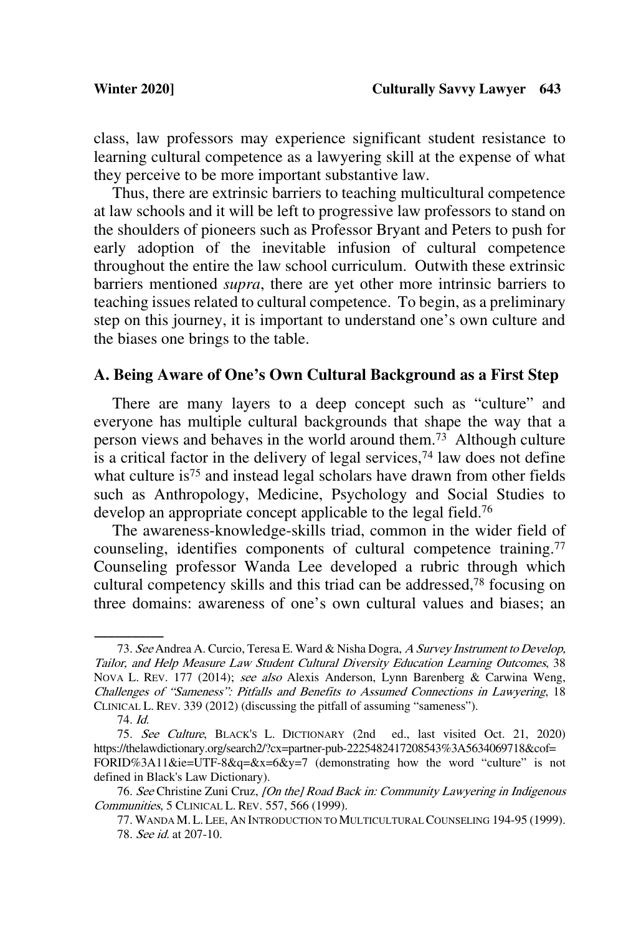class, law professors may experience significant student resistance to learning cultural competence as a lawyering skill at the expense of what they perceive to be more important substantive law.

Thus, there are extrinsic barriers to teaching multicultural competence at law schools and it will be left to progressive law professors to stand on the shoulders of pioneers such as Professor Bryant and Peters to push for early adoption of the inevitable infusion of cultural competence throughout the entire the law school curriculum. Outwith these extrinsic barriers mentioned *supra*, there are yet other more intrinsic barriers to teaching issues related to cultural competence. To begin, as a preliminary step on this journey, it is important to understand one's own culture and the biases one brings to the table.

## **A. Being Aware of One's Own Cultural Background as a First Step**

There are many layers to a deep concept such as "culture" and everyone has multiple cultural backgrounds that shape the way that a person views and behaves in the world around them.73 Although culture is a critical factor in the delivery of legal services,<sup> $74$ </sup> law does not define what culture is<sup>75</sup> and instead legal scholars have drawn from other fields such as Anthropology, Medicine, Psychology and Social Studies to develop an appropriate concept applicable to the legal field.<sup>76</sup>

The awareness-knowledge-skills triad, common in the wider field of counseling, identifies components of cultural competence training.<sup>77</sup> Counseling professor Wanda Lee developed a rubric through which cultural competency skills and this triad can be addressed,78 focusing on three domains: awareness of one's own cultural values and biases; an

<sup>73.</sup> See Andrea A. Curcio, Teresa E. Ward & Nisha Dogra, A Survey Instrument to Develop, Tailor, and Help Measure Law Student Cultural Diversity Education Learning Outcomes, 38 NOVA L. REV. 177 (2014); see also Alexis Anderson, Lynn Barenberg & Carwina Weng, Challenges of "Sameness": Pitfalls and Benefits to Assumed Connections in Lawyering, 18 CLINICAL L. REV. 339 (2012) (discussing the pitfall of assuming "sameness").

<sup>74.</sup> Id.

<sup>75.</sup> See Culture, BLACK'S L. DICTIONARY (2nd ed., last visited Oct. 21, 2020) https://thelawdictionary.org/search2/?cx=partner-pub-2225482417208543%3A5634069718&cof= FORID%3A11&ie=UTF-8&q=&x=6&y=7 (demonstrating how the word "culture" is not defined in Black's Law Dictionary).

<sup>76.</sup> See Christine Zuni Cruz, [On the] Road Back in: Community Lawyering in Indigenous Communities, 5 CLINICAL L. REV. 557, 566 (1999).

<sup>77.</sup> WANDA M.L.LEE, AN INTRODUCTION TO MULTICULTURAL COUNSELING 194-95 (1999). 78. See id. at 207-10.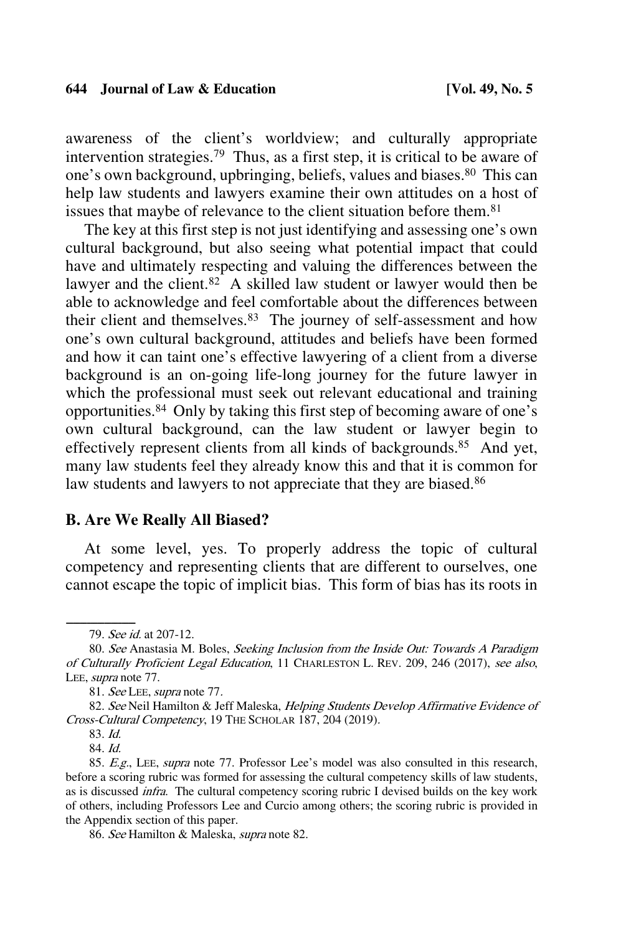awareness of the client's worldview; and culturally appropriate intervention strategies.79 Thus, as a first step, it is critical to be aware of one's own background, upbringing, beliefs, values and biases.80 This can help law students and lawyers examine their own attitudes on a host of issues that maybe of relevance to the client situation before them.<sup>81</sup>

The key at this first step is not just identifying and assessing one's own cultural background, but also seeing what potential impact that could have and ultimately respecting and valuing the differences between the lawyer and the client. $82$  A skilled law student or lawyer would then be able to acknowledge and feel comfortable about the differences between their client and themselves.83 The journey of self-assessment and how one's own cultural background, attitudes and beliefs have been formed and how it can taint one's effective lawyering of a client from a diverse background is an on-going life-long journey for the future lawyer in which the professional must seek out relevant educational and training opportunities.84 Only by taking this first step of becoming aware of one's own cultural background, can the law student or lawyer begin to effectively represent clients from all kinds of backgrounds.<sup>85</sup> And yet, many law students feel they already know this and that it is common for law students and lawyers to not appreciate that they are biased.<sup>86</sup>

### **B. Are We Really All Biased?**

At some level, yes. To properly address the topic of cultural competency and representing clients that are different to ourselves, one cannot escape the topic of implicit bias. This form of bias has its roots in

81. See LEE, supra note 77.

84. Id.

86. See Hamilton & Maleska, supra note 82.

<sup>79.</sup> See id. at 207-12.

<sup>80.</sup> See Anastasia M. Boles, Seeking Inclusion from the Inside Out: Towards A Paradigm of Culturally Proficient Legal Education, 11 CHARLESTON L. REV. 209, 246 (2017), see also, LEE, supra note 77.

<sup>82.</sup> See Neil Hamilton & Jeff Maleska, Helping Students Develop Affirmative Evidence of Cross-Cultural Competency, 19 THE SCHOLAR 187, 204 (2019).

<sup>83.</sup> Id.

<sup>85.</sup> E.g., LEE, supra note 77. Professor Lee's model was also consulted in this research, before a scoring rubric was formed for assessing the cultural competency skills of law students, as is discussed infra. The cultural competency scoring rubric I devised builds on the key work of others, including Professors Lee and Curcio among others; the scoring rubric is provided in the Appendix section of this paper.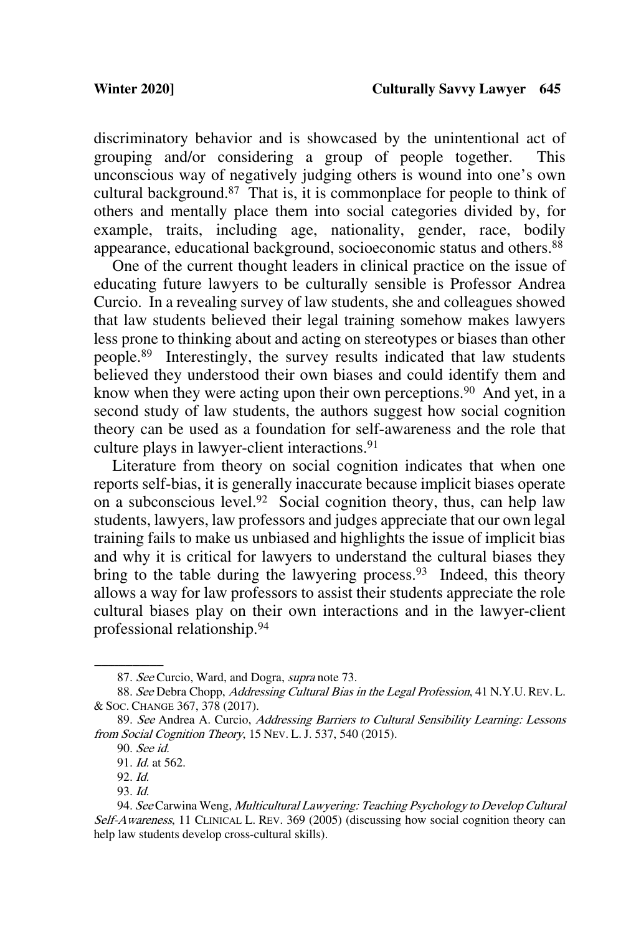discriminatory behavior and is showcased by the unintentional act of grouping and/or considering a group of people together. This unconscious way of negatively judging others is wound into one's own cultural background.87 That is, it is commonplace for people to think of others and mentally place them into social categories divided by, for example, traits, including age, nationality, gender, race, bodily appearance, educational background, socioeconomic status and others.88

One of the current thought leaders in clinical practice on the issue of educating future lawyers to be culturally sensible is Professor Andrea Curcio. In a revealing survey of law students, she and colleagues showed that law students believed their legal training somehow makes lawyers less prone to thinking about and acting on stereotypes or biases than other people.89 Interestingly, the survey results indicated that law students believed they understood their own biases and could identify them and know when they were acting upon their own perceptions.<sup>90</sup> And yet, in a second study of law students, the authors suggest how social cognition theory can be used as a foundation for self-awareness and the role that culture plays in lawyer-client interactions.<sup>91</sup>

Literature from theory on social cognition indicates that when one reports self-bias, it is generally inaccurate because implicit biases operate on a subconscious level. 92 Social cognition theory, thus, can help law students, lawyers, law professors and judges appreciate that our own legal training fails to make us unbiased and highlights the issue of implicit bias and why it is critical for lawyers to understand the cultural biases they bring to the table during the lawyering process.<sup>93</sup> Indeed, this theory allows a way for law professors to assist their students appreciate the role cultural biases play on their own interactions and in the lawyer-client professional relationship.94

<sup>87.</sup> See Curcio, Ward, and Dogra, supra note 73.

<sup>88.</sup> See Debra Chopp, Addressing Cultural Bias in the Legal Profession, 41 N.Y.U. REV. L. & SOC. CHANGE 367, 378 (2017).

<sup>89.</sup> See Andrea A. Curcio, Addressing Barriers to Cultural Sensibility Learning: Lessons from Social Cognition Theory, 15 Nev. L. J. 537, 540 (2015).

<sup>90.</sup> See id.

<sup>91.</sup> Id. at 562.

<sup>92.</sup> Id.

<sup>93.</sup> Id.

<sup>94.</sup> See Carwina Weng, Multicultural Lawyering: Teaching Psychology to Develop Cultural Self-Awareness, 11 CLINICAL L. REV. 369 (2005) (discussing how social cognition theory can help law students develop cross-cultural skills).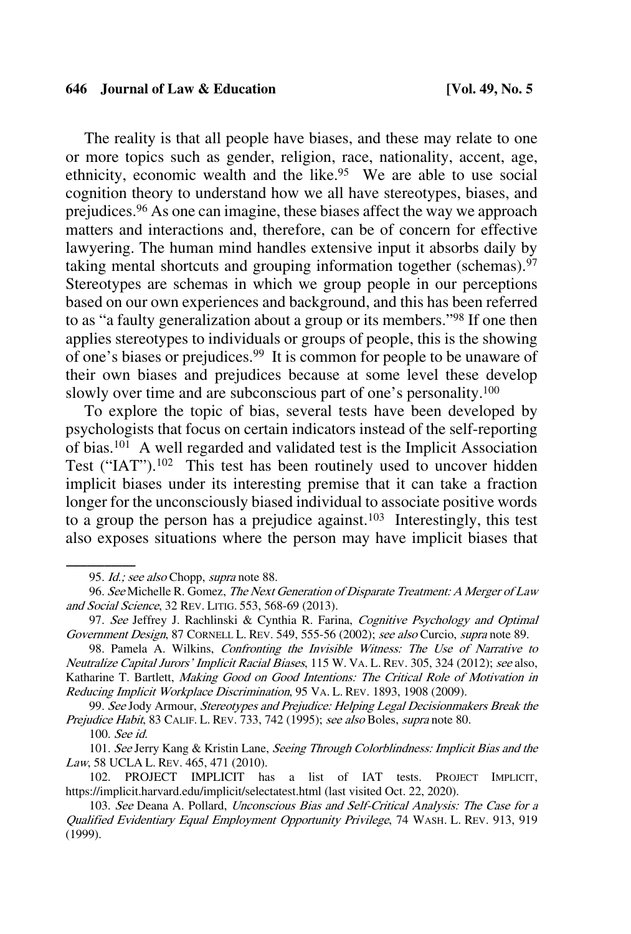The reality is that all people have biases, and these may relate to one or more topics such as gender, religion, race, nationality, accent, age, ethnicity, economic wealth and the like.<sup>95</sup> We are able to use social cognition theory to understand how we all have stereotypes, biases, and prejudices. <sup>96</sup> As one can imagine, these biases affect the way we approach matters and interactions and, therefore, can be of concern for effective lawyering. The human mind handles extensive input it absorbs daily by taking mental shortcuts and grouping information together (schemas). $97$ Stereotypes are schemas in which we group people in our perceptions based on our own experiences and background, and this has been referred to as "a faulty generalization about a group or its members."98 If one then applies stereotypes to individuals or groups of people, this is the showing of one's biases or prejudices. 99 It is common for people to be unaware of their own biases and prejudices because at some level these develop slowly over time and are subconscious part of one's personality.<sup>100</sup>

To explore the topic of bias, several tests have been developed by psychologists that focus on certain indicators instead of the self-reporting of bias.101 A well regarded and validated test is the Implicit Association Test ("IAT").<sup>102</sup> This test has been routinely used to uncover hidden implicit biases under its interesting premise that it can take a fraction longer for the unconsciously biased individual to associate positive words to a group the person has a prejudice against.<sup>103</sup> Interestingly, this test also exposes situations where the person may have implicit biases that

98. Pamela A. Wilkins, Confronting the Invisible Witness: The Use of Narrative to Neutralize Capital Jurors' Implicit Racial Biases, 115 W. VA. L. REV. 305, 324 (2012); see also, Katharine T. Bartlett, Making Good on Good Intentions: The Critical Role of Motivation in Reducing Implicit Workplace Discrimination, 95 VA. L. REV. 1893, 1908 (2009).

99. See Jody Armour, Stereotypes and Prejudice: Helping Legal Decisionmakers Break the Prejudice Habit, 83 CALIF. L. REV. 733, 742 (1995); see also Boles, supra note 80.

100. See id.

101. See Jerry Kang & Kristin Lane, Seeing Through Colorblindness: Implicit Bias and the Law, 58 UCLA L. REV. 465, 471 (2010).

102. PROJECT IMPLICIT has a list of IAT tests. PROJECT IMPLICIT, https://implicit.harvard.edu/implicit/selectatest.html (last visited Oct. 22, 2020).

<sup>95.</sup> Id.; see also Chopp, supra note 88.

<sup>96.</sup> See Michelle R. Gomez, The Next Generation of Disparate Treatment: A Merger of Law and Social Science, 32 REV. LITIG. 553, 568-69 (2013).

<sup>97.</sup> See Jeffrey J. Rachlinski & Cynthia R. Farina, Cognitive Psychology and Optimal Government Design, 87 CORNELL L. REV. 549, 555-56 (2002); see also Curcio, supra note 89.

<sup>103.</sup> See Deana A. Pollard, Unconscious Bias and Self-Critical Analysis: The Case for a Qualified Evidentiary Equal Employment Opportunity Privilege, 74 WASH. L. REV. 913, 919 (1999).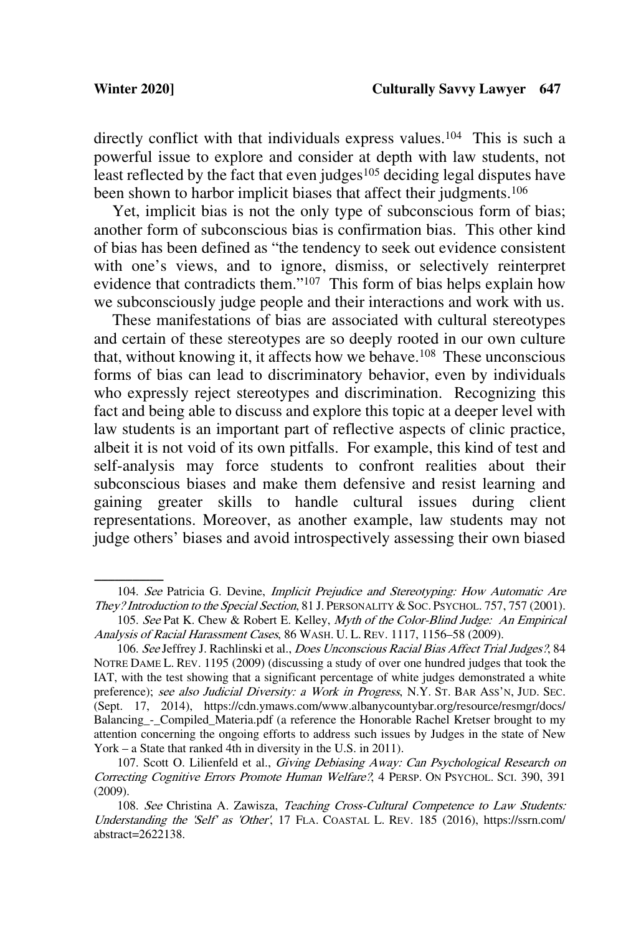directly conflict with that individuals express values.<sup>104</sup> This is such a powerful issue to explore and consider at depth with law students, not least reflected by the fact that even judges<sup>105</sup> deciding legal disputes have been shown to harbor implicit biases that affect their judgments.<sup>106</sup>

Yet, implicit bias is not the only type of subconscious form of bias; another form of subconscious bias is confirmation bias. This other kind of bias has been defined as "the tendency to seek out evidence consistent with one's views, and to ignore, dismiss, or selectively reinterpret evidence that contradicts them."107 This form of bias helps explain how we subconsciously judge people and their interactions and work with us.

These manifestations of bias are associated with cultural stereotypes and certain of these stereotypes are so deeply rooted in our own culture that, without knowing it, it affects how we behave.<sup>108</sup> These unconscious forms of bias can lead to discriminatory behavior, even by individuals who expressly reject stereotypes and discrimination. Recognizing this fact and being able to discuss and explore this topic at a deeper level with law students is an important part of reflective aspects of clinic practice, albeit it is not void of its own pitfalls. For example, this kind of test and self-analysis may force students to confront realities about their subconscious biases and make them defensive and resist learning and gaining greater skills to handle cultural issues during client representations. Moreover, as another example, law students may not judge others' biases and avoid introspectively assessing their own biased

<sup>104.</sup> See Patricia G. Devine, Implicit Prejudice and Stereotyping: How Automatic Are They? Introduction to the Special Section, 81 J. PERSONALITY & SOC. PSYCHOL. 757, 757 (2001).

<sup>105.</sup> See Pat K. Chew & Robert E. Kelley, Myth of the Color-Blind Judge: An Empirical Analysis of Racial Harassment Cases, 86 WASH. U. L. REV. 1117, 1156–58 (2009).

<sup>106.</sup> See Jeffrey J. Rachlinski et al., Does Unconscious Racial Bias Affect Trial Judges?, 84 NOTRE DAME L. REV. 1195 (2009) (discussing a study of over one hundred judges that took the IAT, with the test showing that a significant percentage of white judges demonstrated a white preference); see also Judicial Diversity: a Work in Progress, N.Y. ST. BAR Ass'N, JUD. SEC. (Sept. 17, 2014), https://cdn.ymaws.com/www.albanycountybar.org/resource/resmgr/docs/ Balancing\_-\_Compiled\_Materia.pdf (a reference the Honorable Rachel Kretser brought to my attention concerning the ongoing efforts to address such issues by Judges in the state of New York – a State that ranked 4th in diversity in the U.S. in 2011).

<sup>107.</sup> Scott O. Lilienfeld et al., Giving Debiasing Away: Can Psychological Research on Correcting Cognitive Errors Promote Human Welfare?, 4 PERSP. ON PSYCHOL. SCI. 390, 391 (2009).

<sup>108.</sup> See Christina A. Zawisza, Teaching Cross-Cultural Competence to Law Students: Understanding the 'Self' as 'Other', 17 FLA. COASTAL L. REV. 185 (2016), https://ssrn.com/ abstract=2622138.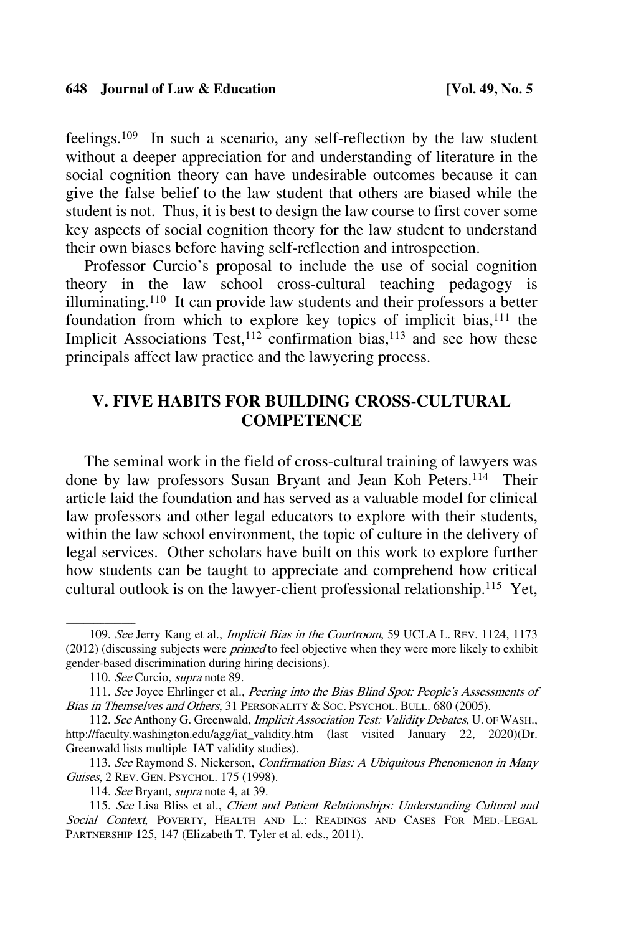feelings.109 In such a scenario, any self-reflection by the law student without a deeper appreciation for and understanding of literature in the social cognition theory can have undesirable outcomes because it can give the false belief to the law student that others are biased while the student is not. Thus, it is best to design the law course to first cover some key aspects of social cognition theory for the law student to understand their own biases before having self-reflection and introspection.

Professor Curcio's proposal to include the use of social cognition theory in the law school cross-cultural teaching pedagogy is illuminating.110 It can provide law students and their professors a better foundation from which to explore key topics of implicit bias,<sup>111</sup> the Implicit Associations Test,<sup>112</sup> confirmation bias,<sup>113</sup> and see how these principals affect law practice and the lawyering process.

## **V. FIVE HABITS FOR BUILDING CROSS-CULTURAL COMPETENCE**

The seminal work in the field of cross-cultural training of lawyers was done by law professors Susan Bryant and Jean Koh Peters.114 Their article laid the foundation and has served as a valuable model for clinical law professors and other legal educators to explore with their students, within the law school environment, the topic of culture in the delivery of legal services. Other scholars have built on this work to explore further how students can be taught to appreciate and comprehend how critical cultural outlook is on the lawyer-client professional relationship.115 Yet,

<sup>109.</sup> See Jerry Kang et al., *Implicit Bias in the Courtroom*, 59 UCLA L. REV. 1124, 1173 (2012) (discussing subjects were *primed* to feel objective when they were more likely to exhibit gender-based discrimination during hiring decisions).

<sup>110.</sup> See Curcio, supra note 89.

<sup>111.</sup> See Joyce Ehrlinger et al., Peering into the Bias Blind Spot: People's Assessments of Bias in Themselves and Others, 31 PERSONALITY & SOC. PSYCHOL. BULL. 680 (2005).

<sup>112.</sup> See Anthony G. Greenwald, Implicit Association Test: Validity Debates, U. OF WASH., http://faculty.washington.edu/agg/iat\_validity.htm (last visited January 22, 2020)(Dr. Greenwald lists multiple IAT validity studies).

<sup>113.</sup> See Raymond S. Nickerson, Confirmation Bias: A Ubiquitous Phenomenon in Many Guises, 2 REV. GEN. PSYCHOL. 175 (1998).

<sup>114.</sup> See Bryant, supra note 4, at 39.

<sup>115.</sup> See Lisa Bliss et al., Client and Patient Relationships: Understanding Cultural and Social Context, POVERTY, HEALTH AND L.: READINGS AND CASES FOR MED.-LEGAL PARTNERSHIP 125, 147 (Elizabeth T. Tyler et al. eds., 2011).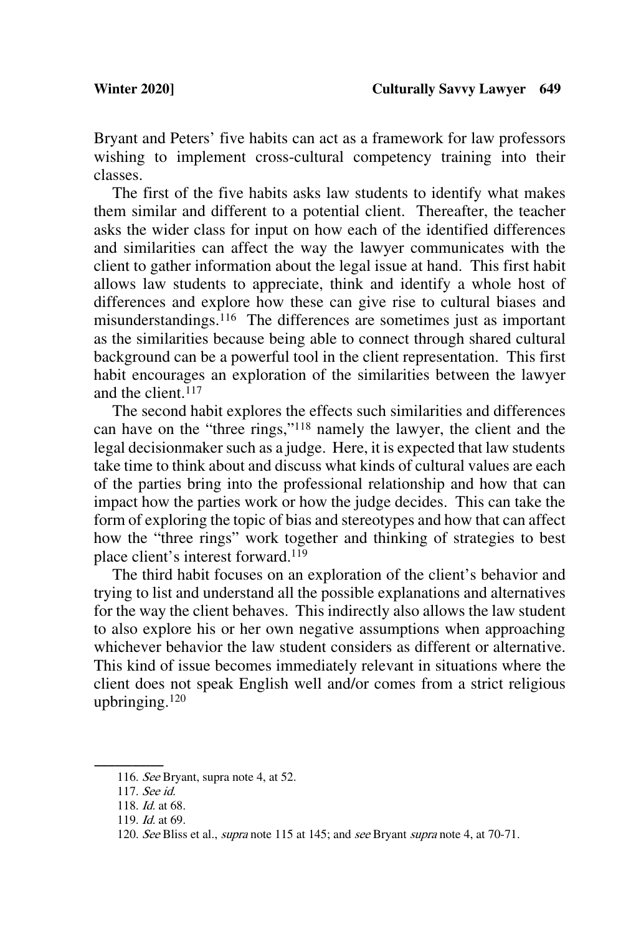Bryant and Peters' five habits can act as a framework for law professors wishing to implement cross-cultural competency training into their classes.

The first of the five habits asks law students to identify what makes them similar and different to a potential client. Thereafter, the teacher asks the wider class for input on how each of the identified differences and similarities can affect the way the lawyer communicates with the client to gather information about the legal issue at hand. This first habit allows law students to appreciate, think and identify a whole host of differences and explore how these can give rise to cultural biases and misunderstandings.<sup>116</sup> The differences are sometimes just as important as the similarities because being able to connect through shared cultural background can be a powerful tool in the client representation. This first habit encourages an exploration of the similarities between the lawyer and the client.<sup>117</sup>

The second habit explores the effects such similarities and differences can have on the "three rings,"118 namely the lawyer, the client and the legal decisionmaker such as a judge. Here, it is expected that law students take time to think about and discuss what kinds of cultural values are each of the parties bring into the professional relationship and how that can impact how the parties work or how the judge decides. This can take the form of exploring the topic of bias and stereotypes and how that can affect how the "three rings" work together and thinking of strategies to best place client's interest forward.119

The third habit focuses on an exploration of the client's behavior and trying to list and understand all the possible explanations and alternatives for the way the client behaves. This indirectly also allows the law student to also explore his or her own negative assumptions when approaching whichever behavior the law student considers as different or alternative. This kind of issue becomes immediately relevant in situations where the client does not speak English well and/or comes from a strict religious upbringing.120

<sup>116.</sup> See Bryant, supra note 4, at  $52$ .

<sup>117.</sup> See id.

<sup>118.</sup> Id. at 68.

<sup>119.</sup> Id. at 69.

<sup>120.</sup> See Bliss et al., *supra* note 115 at 145; and see Bryant supra note 4, at 70-71.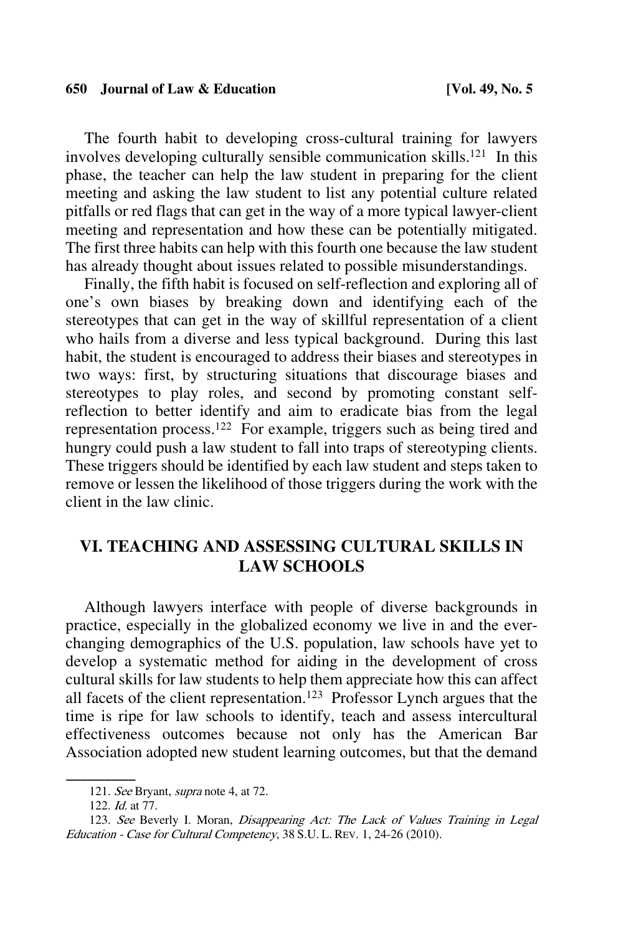The fourth habit to developing cross-cultural training for lawyers involves developing culturally sensible communication skills.121 In this phase, the teacher can help the law student in preparing for the client meeting and asking the law student to list any potential culture related pitfalls or red flags that can get in the way of a more typical lawyer-client meeting and representation and how these can be potentially mitigated. The first three habits can help with this fourth one because the law student has already thought about issues related to possible misunderstandings.

Finally, the fifth habit is focused on self-reflection and exploring all of one's own biases by breaking down and identifying each of the stereotypes that can get in the way of skillful representation of a client who hails from a diverse and less typical background. During this last habit, the student is encouraged to address their biases and stereotypes in two ways: first, by structuring situations that discourage biases and stereotypes to play roles, and second by promoting constant selfreflection to better identify and aim to eradicate bias from the legal representation process.122 For example, triggers such as being tired and hungry could push a law student to fall into traps of stereotyping clients. These triggers should be identified by each law student and steps taken to remove or lessen the likelihood of those triggers during the work with the client in the law clinic.

## **VI. TEACHING AND ASSESSING CULTURAL SKILLS IN LAW SCHOOLS**

Although lawyers interface with people of diverse backgrounds in practice, especially in the globalized economy we live in and the everchanging demographics of the U.S. population, law schools have yet to develop a systematic method for aiding in the development of cross cultural skills for law students to help them appreciate how this can affect all facets of the client representation.123 Professor Lynch argues that the time is ripe for law schools to identify, teach and assess intercultural effectiveness outcomes because not only has the American Bar Association adopted new student learning outcomes, but that the demand

<sup>121.</sup> See Bryant, supra note 4, at 72.

<sup>122.</sup> Id. at 77.

<sup>123.</sup> See Beverly I. Moran, Disappearing Act: The Lack of Values Training in Legal Education - Case for Cultural Competency, 38 S.U. L. REV. 1, 24-26 (2010).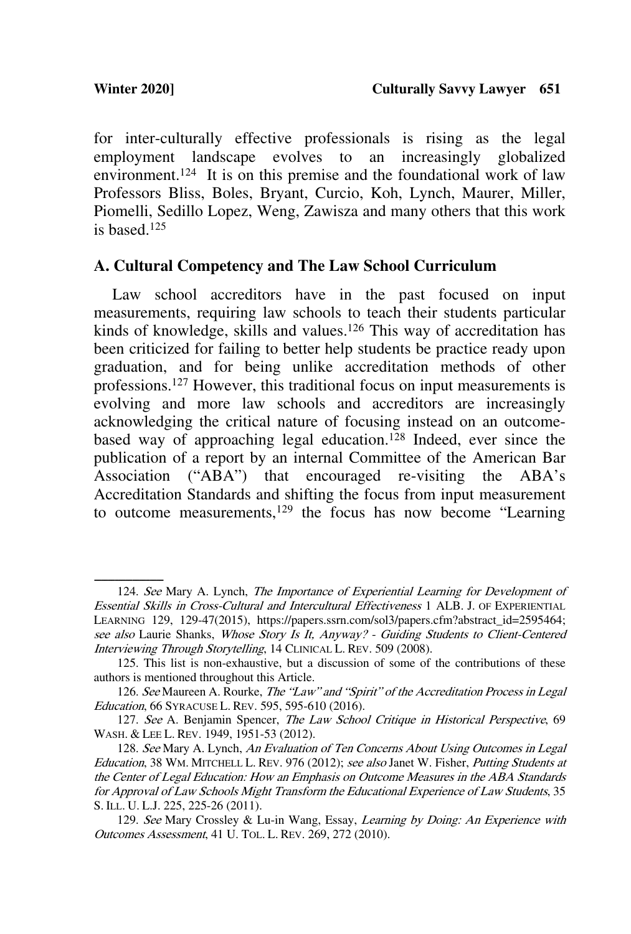for inter-culturally effective professionals is rising as the legal employment landscape evolves to an increasingly globalized environment.<sup>124</sup> It is on this premise and the foundational work of law Professors Bliss, Boles, Bryant, Curcio, Koh, Lynch, Maurer, Miller, Piomelli, Sedillo Lopez, Weng, Zawisza and many others that this work is based.125

### **A. Cultural Competency and The Law School Curriculum**

Law school accreditors have in the past focused on input measurements, requiring law schools to teach their students particular kinds of knowledge, skills and values.<sup>126</sup> This way of accreditation has been criticized for failing to better help students be practice ready upon graduation, and for being unlike accreditation methods of other professions.127 However, this traditional focus on input measurements is evolving and more law schools and accreditors are increasingly acknowledging the critical nature of focusing instead on an outcomebased way of approaching legal education.128 Indeed, ever since the publication of a report by an internal Committee of the American Bar Association ("ABA") that encouraged re-visiting the ABA's Accreditation Standards and shifting the focus from input measurement to outcome measurements,129 the focus has now become "Learning

<sup>124.</sup> See Mary A. Lynch, The Importance of Experiential Learning for Development of Essential Skills in Cross-Cultural and Intercultural Effectiveness 1 ALB. J. OF EXPERIENTIAL LEARNING 129, 129-47(2015), https://papers.ssrn.com/sol3/papers.cfm?abstract\_id=2595464; see also Laurie Shanks, Whose Story Is It, Anyway? - Guiding Students to Client-Centered Interviewing Through Storytelling, 14 CLINICAL L. REV. 509 (2008).

<sup>125.</sup> This list is non-exhaustive, but a discussion of some of the contributions of these authors is mentioned throughout this Article.

<sup>126.</sup> See Maureen A. Rourke, The "Law" and "Spirit" of the Accreditation Process in Legal Education, 66 SYRACUSE L. REV. 595, 595-610 (2016).

<sup>127.</sup> See A. Benjamin Spencer, The Law School Critique in Historical Perspective, 69 WASH. & LEE L. REV. 1949, 1951-53 (2012).

<sup>128.</sup> See Mary A. Lynch, An Evaluation of Ten Concerns About Using Outcomes in Legal Education, 38 WM. MITCHELL L. REV. 976 (2012); see also Janet W. Fisher, Putting Students at the Center of Legal Education: How an Emphasis on Outcome Measures in the ABA Standards for Approval of Law Schools Might Transform the Educational Experience of Law Students, 35 S. ILL. U. L.J. 225, 225-26 (2011).

<sup>129.</sup> See Mary Crossley & Lu-in Wang, Essay, Learning by Doing: An Experience with Outcomes Assessment, 41 U. TOL. L. REV. 269, 272 (2010).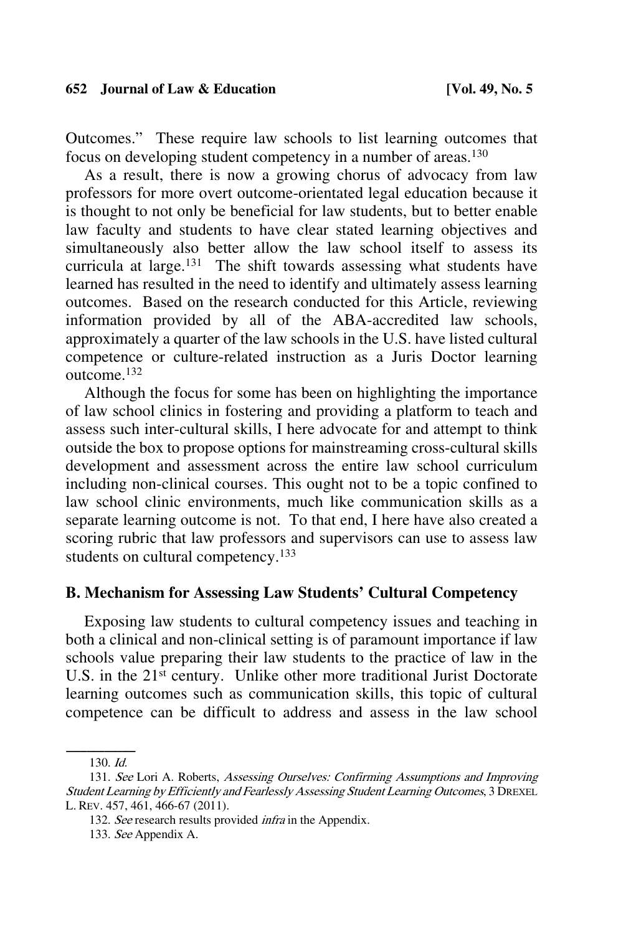Outcomes." These require law schools to list learning outcomes that focus on developing student competency in a number of areas.130

As a result, there is now a growing chorus of advocacy from law professors for more overt outcome-orientated legal education because it is thought to not only be beneficial for law students, but to better enable law faculty and students to have clear stated learning objectives and simultaneously also better allow the law school itself to assess its curricula at large.<sup>131</sup> The shift towards assessing what students have learned has resulted in the need to identify and ultimately assess learning outcomes. Based on the research conducted for this Article, reviewing information provided by all of the ABA-accredited law schools, approximately a quarter of the law schools in the U.S. have listed cultural competence or culture-related instruction as a Juris Doctor learning outcome.132

Although the focus for some has been on highlighting the importance of law school clinics in fostering and providing a platform to teach and assess such inter-cultural skills, I here advocate for and attempt to think outside the box to propose options for mainstreaming cross-cultural skills development and assessment across the entire law school curriculum including non-clinical courses. This ought not to be a topic confined to law school clinic environments, much like communication skills as a separate learning outcome is not. To that end, I here have also created a scoring rubric that law professors and supervisors can use to assess law students on cultural competency.<sup>133</sup>

## **B. Mechanism for Assessing Law Students' Cultural Competency**

Exposing law students to cultural competency issues and teaching in both a clinical and non-clinical setting is of paramount importance if law schools value preparing their law students to the practice of law in the U.S. in the 21<sup>st</sup> century. Unlike other more traditional Jurist Doctorate learning outcomes such as communication skills, this topic of cultural competence can be difficult to address and assess in the law school

 $130.$  Id.

<sup>131.</sup> See Lori A. Roberts, Assessing Ourselves: Confirming Assumptions and Improving Student Learning by Efficiently and Fearlessly Assessing Student Learning Outcomes, 3 DREXEL L. REV. 457, 461, 466-67 (2011).

<sup>132.</sup> See research results provided *infra* in the Appendix.

<sup>133.</sup> See Appendix A.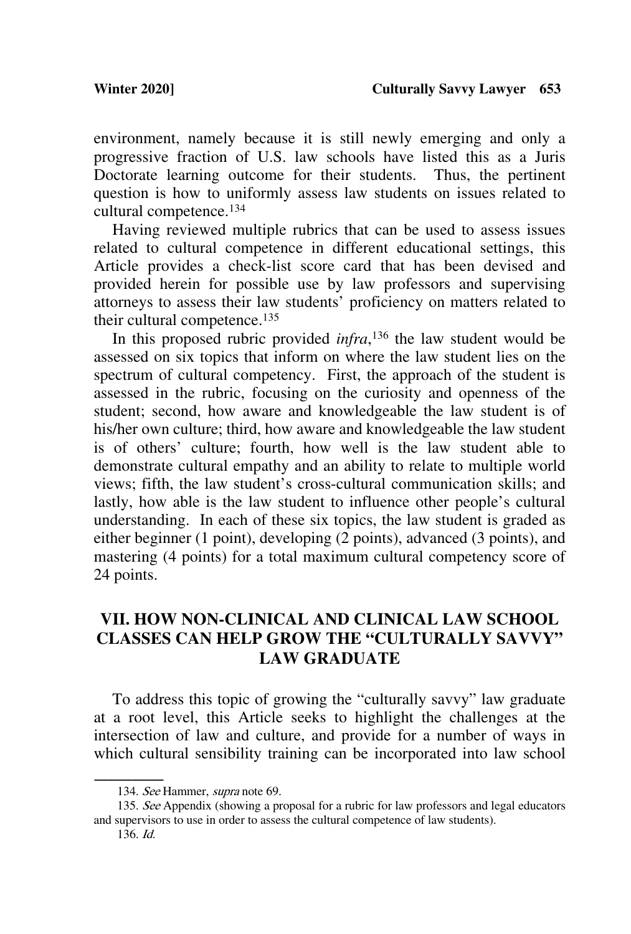environment, namely because it is still newly emerging and only a progressive fraction of U.S. law schools have listed this as a Juris Doctorate learning outcome for their students. Thus, the pertinent question is how to uniformly assess law students on issues related to cultural competence. 134

Having reviewed multiple rubrics that can be used to assess issues related to cultural competence in different educational settings, this Article provides a check-list score card that has been devised and provided herein for possible use by law professors and supervising attorneys to assess their law students' proficiency on matters related to their cultural competence.<sup>135</sup>

In this proposed rubric provided *infra*, <sup>136</sup> the law student would be assessed on six topics that inform on where the law student lies on the spectrum of cultural competency. First, the approach of the student is assessed in the rubric, focusing on the curiosity and openness of the student; second, how aware and knowledgeable the law student is of his/her own culture; third, how aware and knowledgeable the law student is of others' culture; fourth, how well is the law student able to demonstrate cultural empathy and an ability to relate to multiple world views; fifth, the law student's cross-cultural communication skills; and lastly, how able is the law student to influence other people's cultural understanding. In each of these six topics, the law student is graded as either beginner (1 point), developing (2 points), advanced (3 points), and mastering (4 points) for a total maximum cultural competency score of 24 points.

## **VII. HOW NON-CLINICAL AND CLINICAL LAW SCHOOL CLASSES CAN HELP GROW THE "CULTURALLY SAVVY" LAW GRADUATE**

To address this topic of growing the "culturally savvy" law graduate at a root level, this Article seeks to highlight the challenges at the intersection of law and culture, and provide for a number of ways in which cultural sensibility training can be incorporated into law school

135. See Appendix (showing a proposal for a rubric for law professors and legal educators and supervisors to use in order to assess the cultural competence of law students).

<sup>134.</sup> See Hammer, supra note 69.

<sup>136.</sup> Id.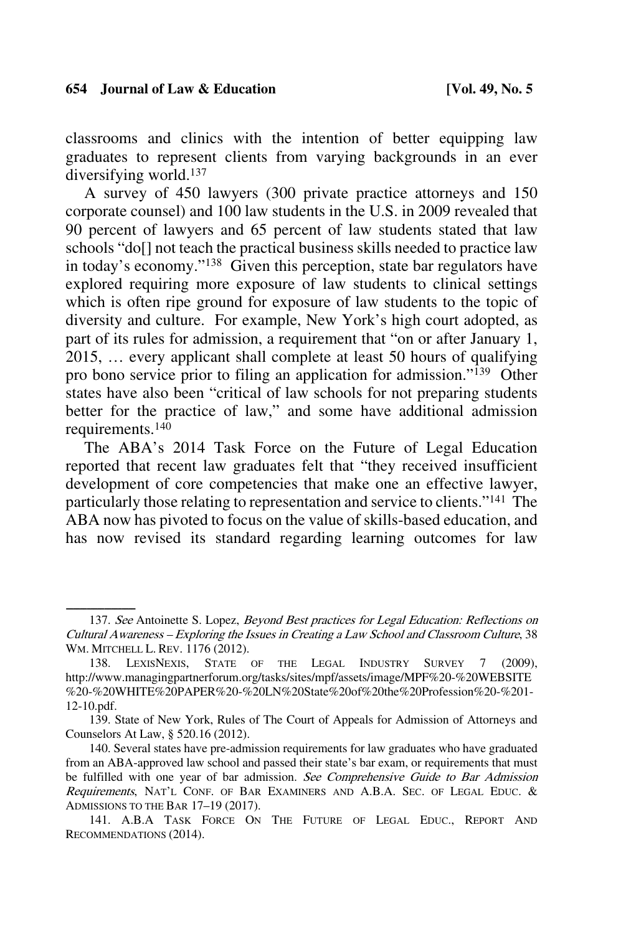classrooms and clinics with the intention of better equipping law graduates to represent clients from varying backgrounds in an ever diversifying world.137

A survey of 450 lawyers (300 private practice attorneys and 150 corporate counsel) and 100 law students in the U.S. in 2009 revealed that 90 percent of lawyers and 65 percent of law students stated that law schools "do[] not teach the practical business skills needed to practice law in today's economy."138 Given this perception, state bar regulators have explored requiring more exposure of law students to clinical settings which is often ripe ground for exposure of law students to the topic of diversity and culture. For example, New York's high court adopted, as part of its rules for admission, a requirement that "on or after January 1, 2015, … every applicant shall complete at least 50 hours of qualifying pro bono service prior to filing an application for admission."139 Other states have also been "critical of law schools for not preparing students better for the practice of law," and some have additional admission requirements.140

The ABA's 2014 Task Force on the Future of Legal Education reported that recent law graduates felt that "they received insufficient development of core competencies that make one an effective lawyer, particularly those relating to representation and service to clients."141 The ABA now has pivoted to focus on the value of skills-based education, and has now revised its standard regarding learning outcomes for law

<sup>137.</sup> See Antoinette S. Lopez, Beyond Best practices for Legal Education: Reflections on Cultural Awareness – Exploring the Issues in Creating a Law School and Classroom Culture, 38 WM. MITCHELL L. REV. 1176 (2012).

<sup>138.</sup> LEXISNEXIS, STATE OF THE LEGAL INDUSTRY SURVEY 7 (2009), http://www.managingpartnerforum.org/tasks/sites/mpf/assets/image/MPF%20-%20WEBSITE %20-%20WHITE%20PAPER%20-%20LN%20State%20of%20the%20Profession%20-%201- 12-10.pdf.

<sup>139.</sup> State of New York, Rules of The Court of Appeals for Admission of Attorneys and Counselors At Law, § 520.16 (2012).

<sup>140.</sup> Several states have pre-admission requirements for law graduates who have graduated from an ABA-approved law school and passed their state's bar exam, or requirements that must be fulfilled with one year of bar admission. See Comprehensive Guide to Bar Admission Requirements, NAT'L CONF. OF BAR EXAMINERS AND A.B.A. SEC. OF LEGAL EDUC. & ADMISSIONS TO THE BAR 17–19 (2017).

<sup>141.</sup> A.B.A TASK FORCE ON THE FUTURE OF LEGAL EDUC., REPORT AND RECOMMENDATIONS (2014).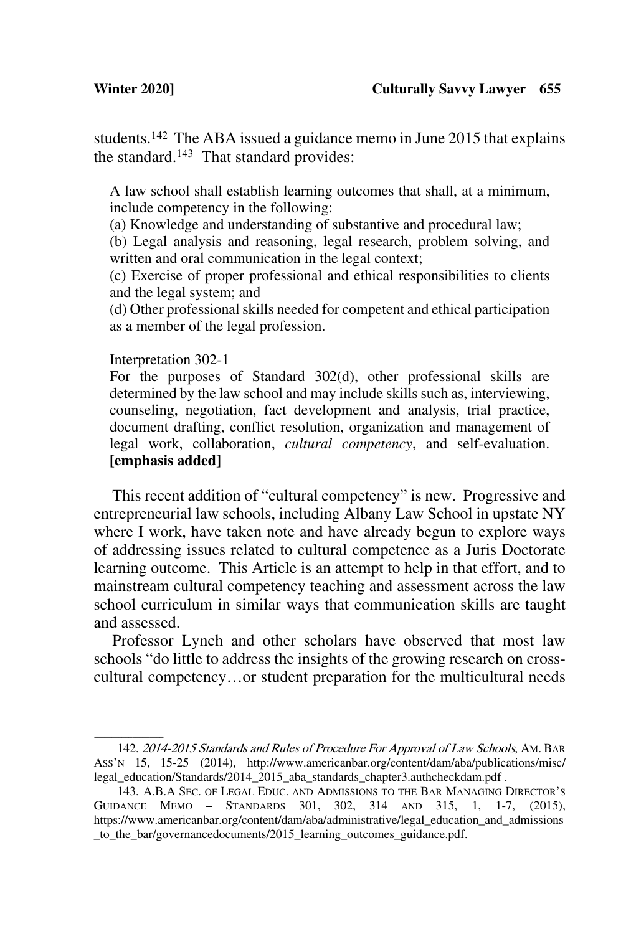students.142 The ABA issued a guidance memo in June 2015 that explains the standard.143 That standard provides:

A law school shall establish learning outcomes that shall, at a minimum, include competency in the following:

(a) Knowledge and understanding of substantive and procedural law;

(b) Legal analysis and reasoning, legal research, problem solving, and written and oral communication in the legal context;

(c) Exercise of proper professional and ethical responsibilities to clients and the legal system; and

(d) Other professional skills needed for competent and ethical participation as a member of the legal profession.

#### Interpretation 302-1

For the purposes of Standard 302(d), other professional skills are determined by the law school and may include skills such as, interviewing, counseling, negotiation, fact development and analysis, trial practice, document drafting, conflict resolution, organization and management of legal work, collaboration, *cultural competency*, and self-evaluation. **[emphasis added]**

This recent addition of "cultural competency" is new. Progressive and entrepreneurial law schools, including Albany Law School in upstate NY where I work, have taken note and have already begun to explore ways of addressing issues related to cultural competence as a Juris Doctorate learning outcome. This Article is an attempt to help in that effort, and to mainstream cultural competency teaching and assessment across the law school curriculum in similar ways that communication skills are taught and assessed.

Professor Lynch and other scholars have observed that most law schools "do little to address the insights of the growing research on crosscultural competency…or student preparation for the multicultural needs

<sup>142. 2014-2015</sup> Standards and Rules of Procedure For Approval of Law Schools, AM. BAR ASS'N 15, 15-25 (2014), http://www.americanbar.org/content/dam/aba/publications/misc/ legal\_education/Standards/2014\_2015\_aba\_standards\_chapter3.authcheckdam.pdf .

<sup>143.</sup> A.B.A SEC. OF LEGAL EDUC. AND ADMISSIONS TO THE BAR MANAGING DIRECTOR'S GUIDANCE MEMO – STANDARDS 301, 302, 314 AND 315, 1, 1-7, (2015), https://www.americanbar.org/content/dam/aba/administrative/legal\_education\_and\_admissions \_to\_the\_bar/governancedocuments/2015\_learning\_outcomes\_guidance.pdf.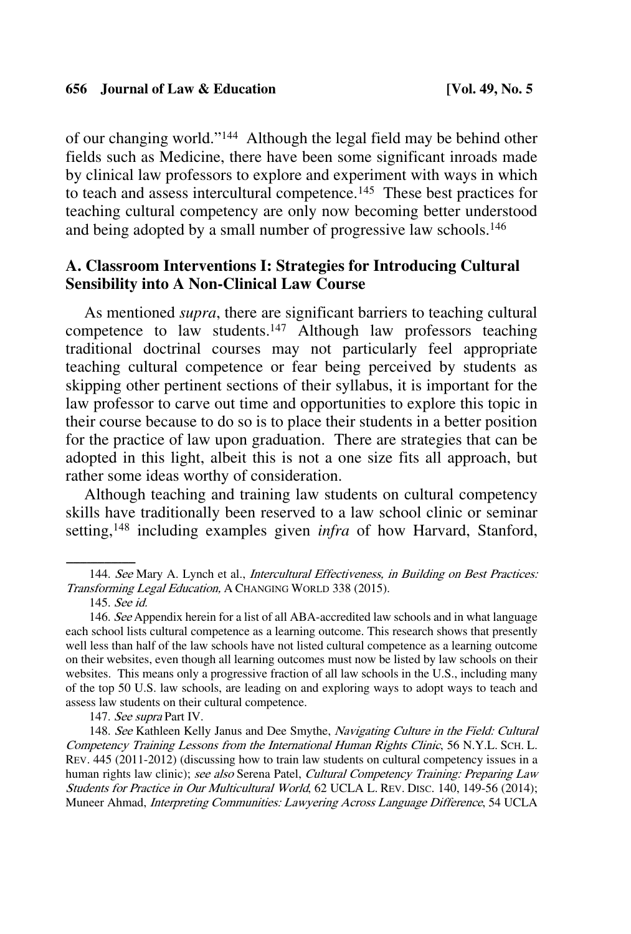of our changing world."144 Although the legal field may be behind other fields such as Medicine, there have been some significant inroads made by clinical law professors to explore and experiment with ways in which to teach and assess intercultural competence.145 These best practices for teaching cultural competency are only now becoming better understood and being adopted by a small number of progressive law schools.146

## **A. Classroom Interventions I: Strategies for Introducing Cultural Sensibility into A Non-Clinical Law Course**

As mentioned *supra*, there are significant barriers to teaching cultural competence to law students.147 Although law professors teaching traditional doctrinal courses may not particularly feel appropriate teaching cultural competence or fear being perceived by students as skipping other pertinent sections of their syllabus, it is important for the law professor to carve out time and opportunities to explore this topic in their course because to do so is to place their students in a better position for the practice of law upon graduation. There are strategies that can be adopted in this light, albeit this is not a one size fits all approach, but rather some ideas worthy of consideration.

Although teaching and training law students on cultural competency skills have traditionally been reserved to a law school clinic or seminar setting, <sup>148</sup> including examples given *infra* of how Harvard, Stanford,

147. See supra Part IV.

148. See Kathleen Kelly Janus and Dee Smythe, Navigating Culture in the Field: Cultural Competency Training Lessons from the International Human Rights Clinic, 56 N.Y.L. SCH. L. REV. 445 (2011-2012) (discussing how to train law students on cultural competency issues in a human rights law clinic); see also Serena Patel, Cultural Competency Training: Preparing Law Students for Practice in Our Multicultural World, 62 UCLA L. REV. DISC. 140, 149-56 (2014); Muneer Ahmad, Interpreting Communities: Lawyering Across Language Difference, 54 UCLA

<sup>144.</sup> See Mary A. Lynch et al., Intercultural Effectiveness, in Building on Best Practices: Transforming Legal Education, A CHANGING WORLD 338 (2015).

<sup>145.</sup> See id.

<sup>146.</sup> See Appendix herein for a list of all ABA-accredited law schools and in what language each school lists cultural competence as a learning outcome. This research shows that presently well less than half of the law schools have not listed cultural competence as a learning outcome on their websites, even though all learning outcomes must now be listed by law schools on their websites. This means only a progressive fraction of all law schools in the U.S., including many of the top 50 U.S. law schools, are leading on and exploring ways to adopt ways to teach and assess law students on their cultural competence.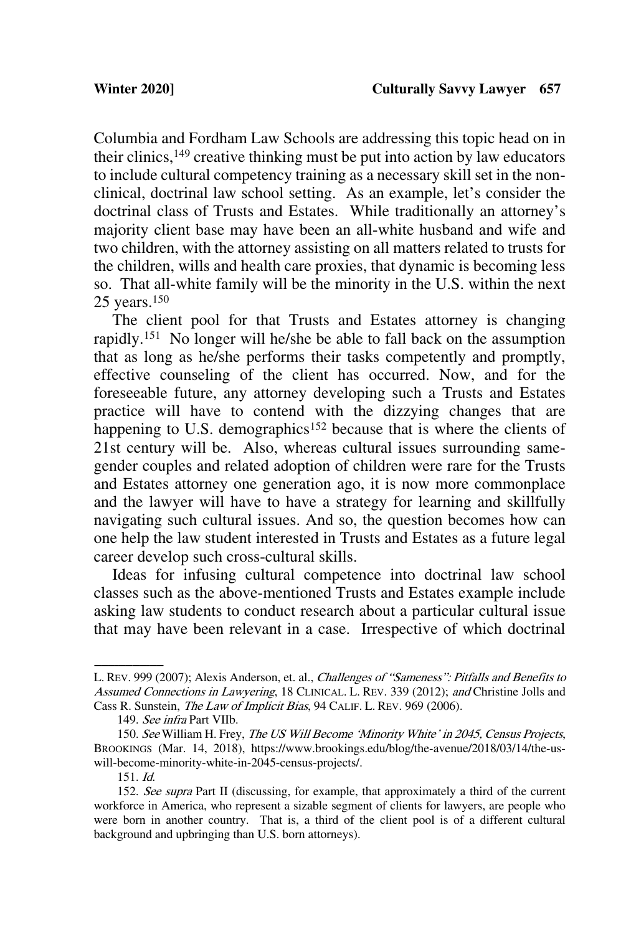Columbia and Fordham Law Schools are addressing this topic head on in their clinics,  $149$  creative thinking must be put into action by law educators to include cultural competency training as a necessary skill set in the nonclinical, doctrinal law school setting. As an example, let's consider the doctrinal class of Trusts and Estates. While traditionally an attorney's majority client base may have been an all-white husband and wife and two children, with the attorney assisting on all matters related to trusts for the children, wills and health care proxies, that dynamic is becoming less so. That all-white family will be the minority in the U.S. within the next 25 years.150

The client pool for that Trusts and Estates attorney is changing rapidly.151 No longer will he/she be able to fall back on the assumption that as long as he/she performs their tasks competently and promptly, effective counseling of the client has occurred. Now, and for the foreseeable future, any attorney developing such a Trusts and Estates practice will have to contend with the dizzying changes that are happening to U.S. demographics<sup>152</sup> because that is where the clients of 21st century will be. Also, whereas cultural issues surrounding samegender couples and related adoption of children were rare for the Trusts and Estates attorney one generation ago, it is now more commonplace and the lawyer will have to have a strategy for learning and skillfully navigating such cultural issues. And so, the question becomes how can one help the law student interested in Trusts and Estates as a future legal career develop such cross-cultural skills.

Ideas for infusing cultural competence into doctrinal law school classes such as the above-mentioned Trusts and Estates example include asking law students to conduct research about a particular cultural issue that may have been relevant in a case. Irrespective of which doctrinal

151. Id.

L. REV. 999 (2007); Alexis Anderson, et. al., Challenges of "Sameness": Pitfalls and Benefits to Assumed Connections in Lawyering, 18 CLINICAL. L. REV. 339 (2012); and Christine Jolls and Cass R. Sunstein, The Law of Implicit Bias, 94 CALIF. L. REV. 969 (2006).

<sup>149.</sup> See infra Part VIIb.

<sup>150.</sup> See William H. Frey, The US Will Become 'Minority White' in 2045, Census Projects, BROOKINGS (Mar. 14, 2018), https://www.brookings.edu/blog/the-avenue/2018/03/14/the-uswill-become-minority-white-in-2045-census-projects/.

<sup>152.</sup> See supra Part II (discussing, for example, that approximately a third of the current workforce in America, who represent a sizable segment of clients for lawyers, are people who were born in another country. That is, a third of the client pool is of a different cultural background and upbringing than U.S. born attorneys).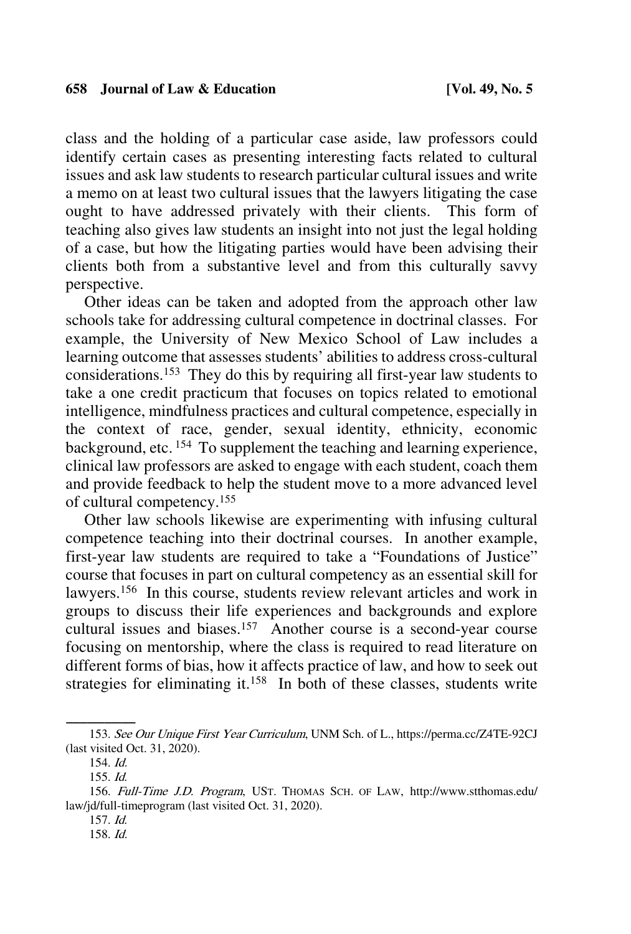class and the holding of a particular case aside, law professors could identify certain cases as presenting interesting facts related to cultural issues and ask law students to research particular cultural issues and write a memo on at least two cultural issues that the lawyers litigating the case ought to have addressed privately with their clients. This form of teaching also gives law students an insight into not just the legal holding of a case, but how the litigating parties would have been advising their clients both from a substantive level and from this culturally savvy perspective.

Other ideas can be taken and adopted from the approach other law schools take for addressing cultural competence in doctrinal classes. For example, the University of New Mexico School of Law includes a learning outcome that assesses students' abilities to address cross-cultural considerations. 153 They do this by requiring all first-year law students to take a one credit practicum that focuses on topics related to emotional intelligence, mindfulness practices and cultural competence, especially in the context of race, gender, sexual identity, ethnicity, economic background, etc. 154 To supplement the teaching and learning experience, clinical law professors are asked to engage with each student, coach them and provide feedback to help the student move to a more advanced level of cultural competency.155

Other law schools likewise are experimenting with infusing cultural competence teaching into their doctrinal courses. In another example, first-year law students are required to take a "Foundations of Justice" course that focuses in part on cultural competency as an essential skill for lawyers.<sup>156</sup> In this course, students review relevant articles and work in groups to discuss their life experiences and backgrounds and explore cultural issues and biases.157 Another course is a second-year course focusing on mentorship, where the class is required to read literature on different forms of bias, how it affects practice of law, and how to seek out strategies for eliminating it.<sup>158</sup> In both of these classes, students write

<sup>153.</sup> See Our Unique First Year Curriculum, UNM Sch. of L., https://perma.cc/Z4TE-92CJ (last visited Oct. 31, 2020).

<sup>154.</sup> Id.

<sup>155.</sup> Id.

<sup>156.</sup> Full-Time J.D. Program, UST. THOMAS SCH. OF LAW, http://www.stthomas.edu/ law/jd/full-timeprogram (last visited Oct. 31, 2020).

<sup>157.</sup> Id.

<sup>158.</sup> Id.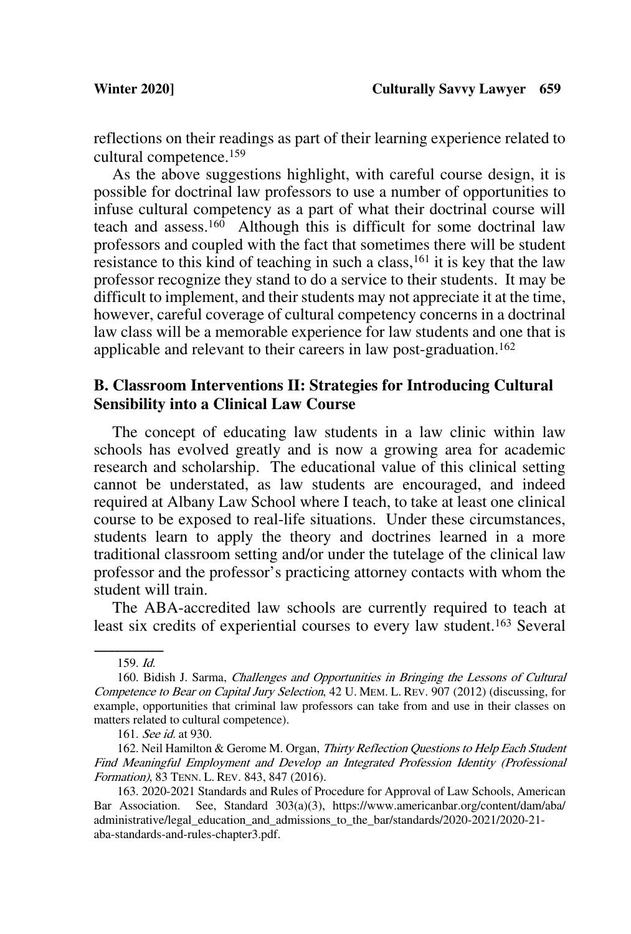reflections on their readings as part of their learning experience related to cultural competence.159

As the above suggestions highlight, with careful course design, it is possible for doctrinal law professors to use a number of opportunities to infuse cultural competency as a part of what their doctrinal course will teach and assess.<sup>160</sup> Although this is difficult for some doctrinal law professors and coupled with the fact that sometimes there will be student resistance to this kind of teaching in such a class,<sup>161</sup> it is key that the law professor recognize they stand to do a service to their students. It may be difficult to implement, and their students may not appreciate it at the time, however, careful coverage of cultural competency concerns in a doctrinal law class will be a memorable experience for law students and one that is applicable and relevant to their careers in law post-graduation.162

## **B. Classroom Interventions II: Strategies for Introducing Cultural Sensibility into a Clinical Law Course**

The concept of educating law students in a law clinic within law schools has evolved greatly and is now a growing area for academic research and scholarship. The educational value of this clinical setting cannot be understated, as law students are encouraged, and indeed required at Albany Law School where I teach, to take at least one clinical course to be exposed to real-life situations. Under these circumstances, students learn to apply the theory and doctrines learned in a more traditional classroom setting and/or under the tutelage of the clinical law professor and the professor's practicing attorney contacts with whom the student will train.

The ABA-accredited law schools are currently required to teach at least six credits of experiential courses to every law student. <sup>163</sup> Several

 $159. \textit{Id}.$ 

<sup>160.</sup> Bidish J. Sarma, Challenges and Opportunities in Bringing the Lessons of Cultural Competence to Bear on Capital Jury Selection, 42 U. MEM. L. REV. 907 (2012) (discussing, for example, opportunities that criminal law professors can take from and use in their classes on matters related to cultural competence).

<sup>161.</sup> See id. at 930.

<sup>162.</sup> Neil Hamilton & Gerome M. Organ, Thirty Reflection Questions to Help Each Student Find Meaningful Employment and Develop an Integrated Profession Identity (Professional Formation), 83 TENN. L. REV. 843, 847 (2016).

<sup>163. 2020-2021</sup> Standards and Rules of Procedure for Approval of Law Schools, American Bar Association. See, Standard 303(a)(3), https://www.americanbar.org/content/dam/aba/ administrative/legal\_education\_and\_admissions\_to\_the\_bar/standards/2020-2021/2020-21 aba-standards-and-rules-chapter3.pdf.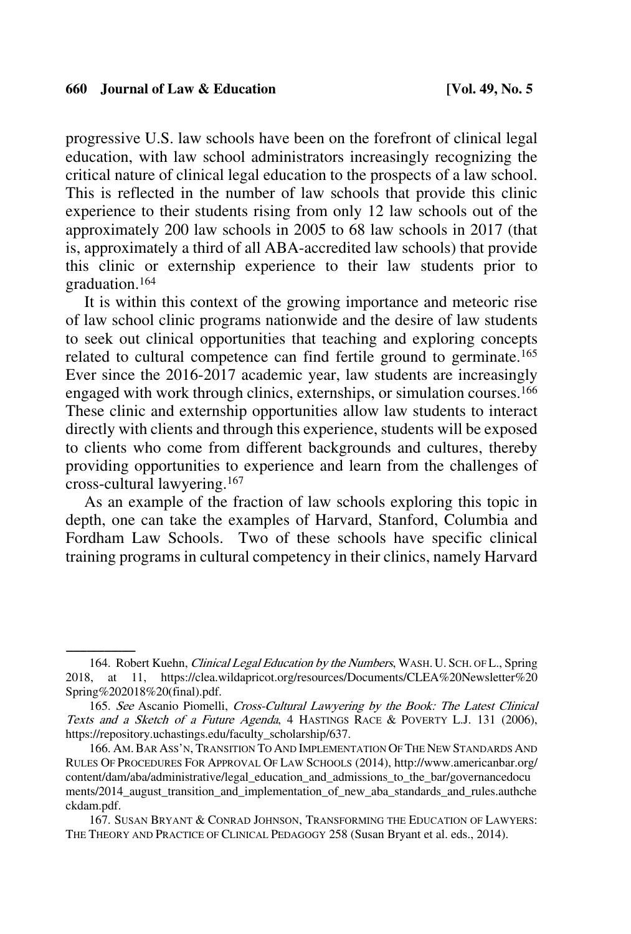progressive U.S. law schools have been on the forefront of clinical legal education, with law school administrators increasingly recognizing the critical nature of clinical legal education to the prospects of a law school. This is reflected in the number of law schools that provide this clinic experience to their students rising from only 12 law schools out of the approximately 200 law schools in 2005 to 68 law schools in 2017 (that is, approximately a third of all ABA-accredited law schools) that provide this clinic or externship experience to their law students prior to graduation.164

It is within this context of the growing importance and meteoric rise of law school clinic programs nationwide and the desire of law students to seek out clinical opportunities that teaching and exploring concepts related to cultural competence can find fertile ground to germinate.<sup>165</sup> Ever since the 2016-2017 academic year, law students are increasingly engaged with work through clinics, externships, or simulation courses.<sup>166</sup> These clinic and externship opportunities allow law students to interact directly with clients and through this experience, students will be exposed to clients who come from different backgrounds and cultures, thereby providing opportunities to experience and learn from the challenges of cross-cultural lawyering.167

As an example of the fraction of law schools exploring this topic in depth, one can take the examples of Harvard, Stanford, Columbia and Fordham Law Schools. Two of these schools have specific clinical training programs in cultural competency in their clinics, namely Harvard

<sup>164.</sup> Robert Kuehn, *Clinical Legal Education by the Numbers*, WASH. U. SCH. OF L., Spring 2018, at 11, https://clea.wildapricot.org/resources/Documents/CLEA%20Newsletter%20 Spring%202018%20(final).pdf.

<sup>165.</sup> See Ascanio Piomelli, Cross-Cultural Lawyering by the Book: The Latest Clinical Texts and a Sketch of a Future Agenda, 4 HASTINGS RACE & POVERTY L.J. 131 (2006), https://repository.uchastings.edu/faculty\_scholarship/637.

<sup>166.</sup> AM.BAR ASS'N, TRANSITION TO AND IMPLEMENTATION OF THE NEW STANDARDS AND RULES OF PROCEDURES FOR APPROVAL OF LAW SCHOOLS (2014), http://www.americanbar.org/ content/dam/aba/administrative/legal\_education\_and\_admissions\_to\_the\_bar/governancedocu ments/2014\_august\_transition\_and\_implementation\_of\_new\_aba\_standards\_and\_rules.authche ckdam.pdf.

<sup>167.</sup> SUSAN BRYANT & CONRAD JOHNSON, TRANSFORMING THE EDUCATION OF LAWYERS: THE THEORY AND PRACTICE OF CLINICAL PEDAGOGY 258 (Susan Bryant et al. eds., 2014).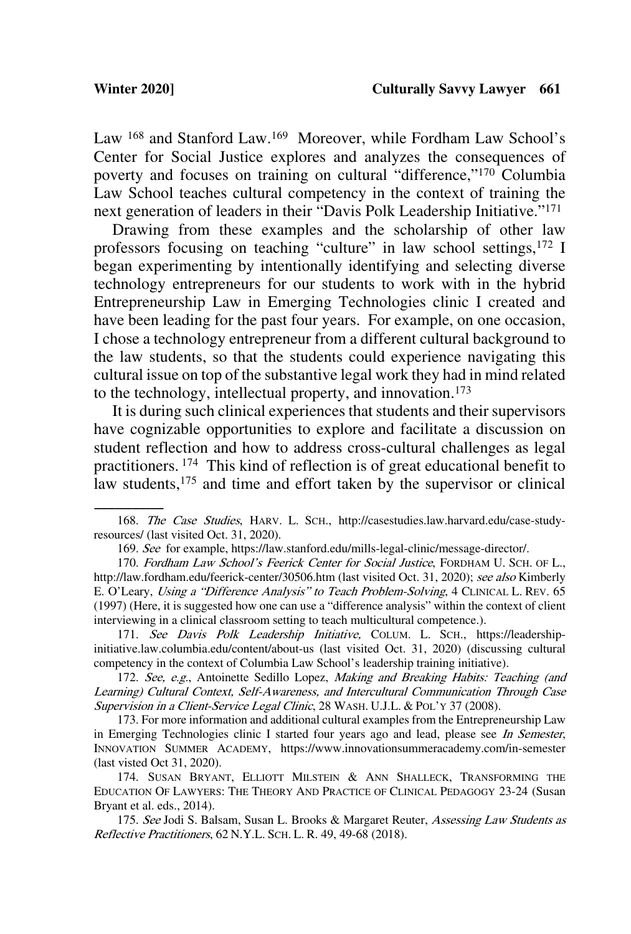Law <sup>168</sup> and Stanford Law.<sup>169</sup> Moreover, while Fordham Law School's Center for Social Justice explores and analyzes the consequences of poverty and focuses on training on cultural "difference,"170 Columbia Law School teaches cultural competency in the context of training the next generation of leaders in their "Davis Polk Leadership Initiative."171

Drawing from these examples and the scholarship of other law professors focusing on teaching "culture" in law school settings,<sup>172</sup> I began experimenting by intentionally identifying and selecting diverse technology entrepreneurs for our students to work with in the hybrid Entrepreneurship Law in Emerging Technologies clinic I created and have been leading for the past four years. For example, on one occasion, I chose a technology entrepreneur from a different cultural background to the law students, so that the students could experience navigating this cultural issue on top of the substantive legal work they had in mind related to the technology, intellectual property, and innovation. 173

It is during such clinical experiences that students and their supervisors have cognizable opportunities to explore and facilitate a discussion on student reflection and how to address cross-cultural challenges as legal practitioners. 174 This kind of reflection is of great educational benefit to law students,<sup>175</sup> and time and effort taken by the supervisor or clinical

171. See Davis Polk Leadership Initiative, COLUM. L. SCH., https://leadershipinitiative.law.columbia.edu/content/about-us (last visited Oct. 31, 2020) (discussing cultural competency in the context of Columbia Law School's leadership training initiative).

172. See, e.g., Antoinette Sedillo Lopez, Making and Breaking Habits: Teaching (and Learning) Cultural Context, Self-Awareness, and Intercultural Communication Through Case Supervision in a Client-Service Legal Clinic, 28 WASH. U.J.L. & POL'Y 37 (2008).

173. For more information and additional cultural examples from the Entrepreneurship Law in Emerging Technologies clinic I started four years ago and lead, please see In Semester, INNOVATION SUMMER ACADEMY, https://www.innovationsummeracademy.com/in-semester (last visted Oct 31, 2020).

174. SUSAN BRYANT, ELLIOTT MILSTEIN & ANN SHALLECK, TRANSFORMING THE EDUCATION OF LAWYERS: THE THEORY AND PRACTICE OF CLINICAL PEDAGOGY 23-24 (Susan Bryant et al. eds., 2014).

175. See Jodi S. Balsam, Susan L. Brooks & Margaret Reuter, Assessing Law Students as Reflective Practitioners, 62 N.Y.L. SCH. L. R. 49, 49-68 (2018).

<sup>168.</sup> The Case Studies, HARV. L. SCH., http://casestudies.law.harvard.edu/case-studyresources/ (last visited Oct. 31, 2020).

<sup>169.</sup> See for example, https://law.stanford.edu/mills-legal-clinic/message-director/.

<sup>170.</sup> Fordham Law School's Feerick Center for Social Justice, FORDHAM U. SCH. OF L., http://law.fordham.edu/feerick-center/30506.htm (last visited Oct. 31, 2020); see also Kimberly E. O'Leary, Using a "Difference Analysis" to Teach Problem-Solving, 4 CLINICAL L. REV. 65 (1997) (Here, it is suggested how one can use a "difference analysis" within the context of client interviewing in a clinical classroom setting to teach multicultural competence.).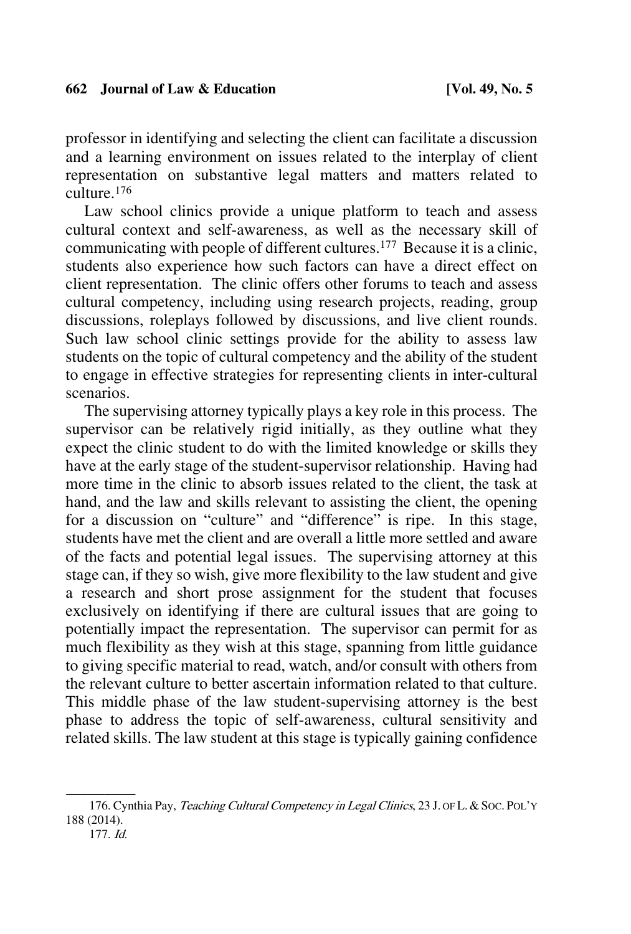professor in identifying and selecting the client can facilitate a discussion and a learning environment on issues related to the interplay of client representation on substantive legal matters and matters related to culture.176

Law school clinics provide a unique platform to teach and assess cultural context and self-awareness, as well as the necessary skill of communicating with people of different cultures.<sup>177</sup> Because it is a clinic, students also experience how such factors can have a direct effect on client representation. The clinic offers other forums to teach and assess cultural competency, including using research projects, reading, group discussions, roleplays followed by discussions, and live client rounds. Such law school clinic settings provide for the ability to assess law students on the topic of cultural competency and the ability of the student to engage in effective strategies for representing clients in inter-cultural scenarios.

The supervising attorney typically plays a key role in this process. The supervisor can be relatively rigid initially, as they outline what they expect the clinic student to do with the limited knowledge or skills they have at the early stage of the student-supervisor relationship. Having had more time in the clinic to absorb issues related to the client, the task at hand, and the law and skills relevant to assisting the client, the opening for a discussion on "culture" and "difference" is ripe. In this stage, students have met the client and are overall a little more settled and aware of the facts and potential legal issues. The supervising attorney at this stage can, if they so wish, give more flexibility to the law student and give a research and short prose assignment for the student that focuses exclusively on identifying if there are cultural issues that are going to potentially impact the representation. The supervisor can permit for as much flexibility as they wish at this stage, spanning from little guidance to giving specific material to read, watch, and/or consult with others from the relevant culture to better ascertain information related to that culture. This middle phase of the law student-supervising attorney is the best phase to address the topic of self-awareness, cultural sensitivity and related skills. The law student at this stage is typically gaining confidence

<sup>176.</sup> Cynthia Pay, Teaching Cultural Competency in Legal Clinics, 23 J. OF L. & Soc. Pol'Y 188 (2014).

<sup>177.</sup> Id.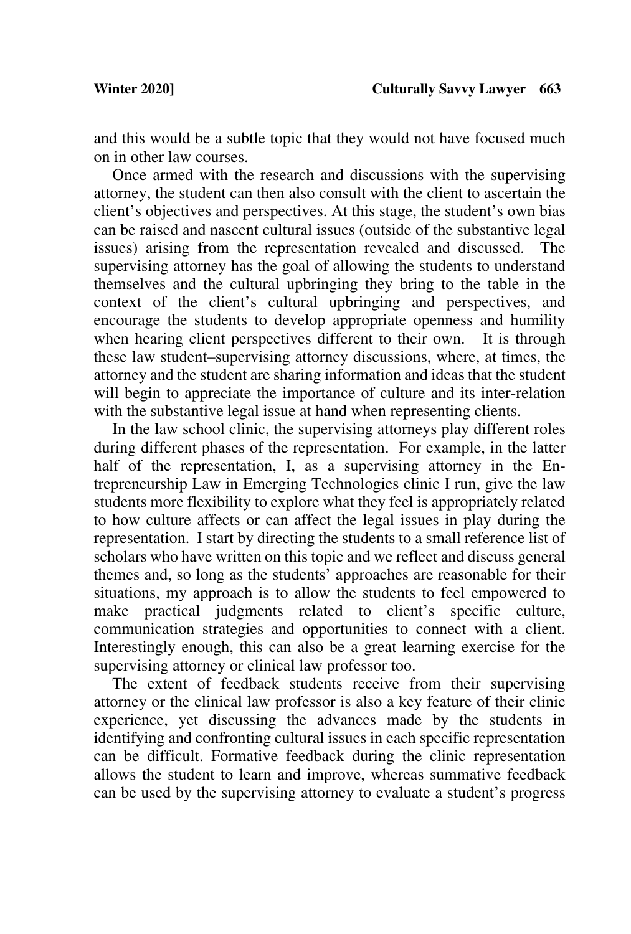and this would be a subtle topic that they would not have focused much on in other law courses.

Once armed with the research and discussions with the supervising attorney, the student can then also consult with the client to ascertain the client's objectives and perspectives. At this stage, the student's own bias can be raised and nascent cultural issues (outside of the substantive legal issues) arising from the representation revealed and discussed. The supervising attorney has the goal of allowing the students to understand themselves and the cultural upbringing they bring to the table in the context of the client's cultural upbringing and perspectives, and encourage the students to develop appropriate openness and humility when hearing client perspectives different to their own. It is through these law student–supervising attorney discussions, where, at times, the attorney and the student are sharing information and ideas that the student will begin to appreciate the importance of culture and its inter-relation with the substantive legal issue at hand when representing clients.

In the law school clinic, the supervising attorneys play different roles during different phases of the representation. For example, in the latter half of the representation, I, as a supervising attorney in the Entrepreneurship Law in Emerging Technologies clinic I run, give the law students more flexibility to explore what they feel is appropriately related to how culture affects or can affect the legal issues in play during the representation. I start by directing the students to a small reference list of scholars who have written on this topic and we reflect and discuss general themes and, so long as the students' approaches are reasonable for their situations, my approach is to allow the students to feel empowered to make practical judgments related to client's specific culture, communication strategies and opportunities to connect with a client. Interestingly enough, this can also be a great learning exercise for the supervising attorney or clinical law professor too.

The extent of feedback students receive from their supervising attorney or the clinical law professor is also a key feature of their clinic experience, yet discussing the advances made by the students in identifying and confronting cultural issues in each specific representation can be difficult. Formative feedback during the clinic representation allows the student to learn and improve, whereas summative feedback can be used by the supervising attorney to evaluate a student's progress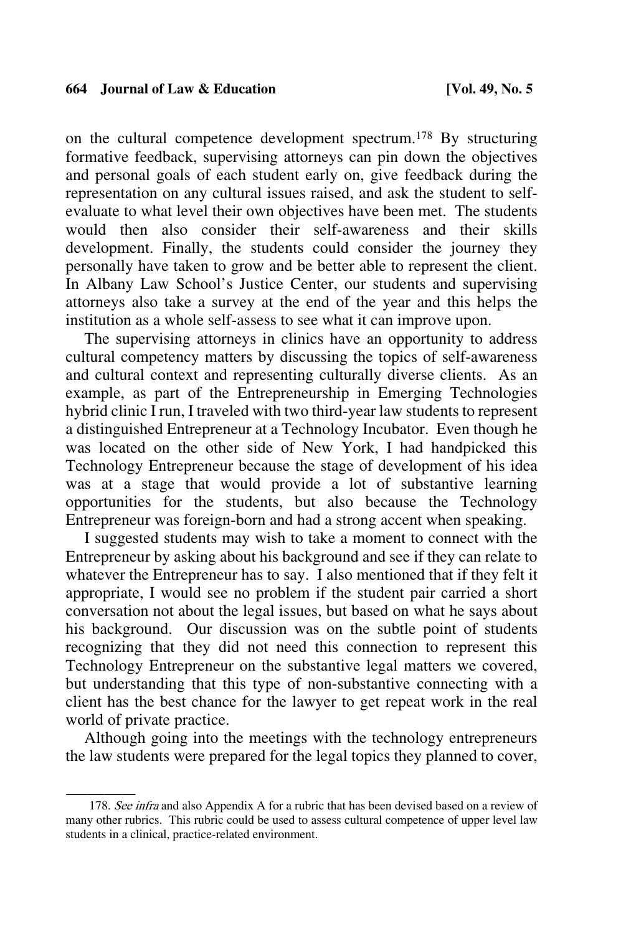on the cultural competence development spectrum.178 By structuring formative feedback, supervising attorneys can pin down the objectives and personal goals of each student early on, give feedback during the representation on any cultural issues raised, and ask the student to selfevaluate to what level their own objectives have been met. The students would then also consider their self-awareness and their skills development. Finally, the students could consider the journey they personally have taken to grow and be better able to represent the client. In Albany Law School's Justice Center, our students and supervising attorneys also take a survey at the end of the year and this helps the institution as a whole self-assess to see what it can improve upon.

The supervising attorneys in clinics have an opportunity to address cultural competency matters by discussing the topics of self-awareness and cultural context and representing culturally diverse clients. As an example, as part of the Entrepreneurship in Emerging Technologies hybrid clinic I run, I traveled with two third-year law students to represent a distinguished Entrepreneur at a Technology Incubator. Even though he was located on the other side of New York, I had handpicked this Technology Entrepreneur because the stage of development of his idea was at a stage that would provide a lot of substantive learning opportunities for the students, but also because the Technology Entrepreneur was foreign-born and had a strong accent when speaking.

I suggested students may wish to take a moment to connect with the Entrepreneur by asking about his background and see if they can relate to whatever the Entrepreneur has to say. I also mentioned that if they felt it appropriate, I would see no problem if the student pair carried a short conversation not about the legal issues, but based on what he says about his background. Our discussion was on the subtle point of students recognizing that they did not need this connection to represent this Technology Entrepreneur on the substantive legal matters we covered, but understanding that this type of non-substantive connecting with a client has the best chance for the lawyer to get repeat work in the real world of private practice.

Although going into the meetings with the technology entrepreneurs the law students were prepared for the legal topics they planned to cover,

<sup>178.</sup> See infra and also Appendix A for a rubric that has been devised based on a review of many other rubrics. This rubric could be used to assess cultural competence of upper level law students in a clinical, practice-related environment.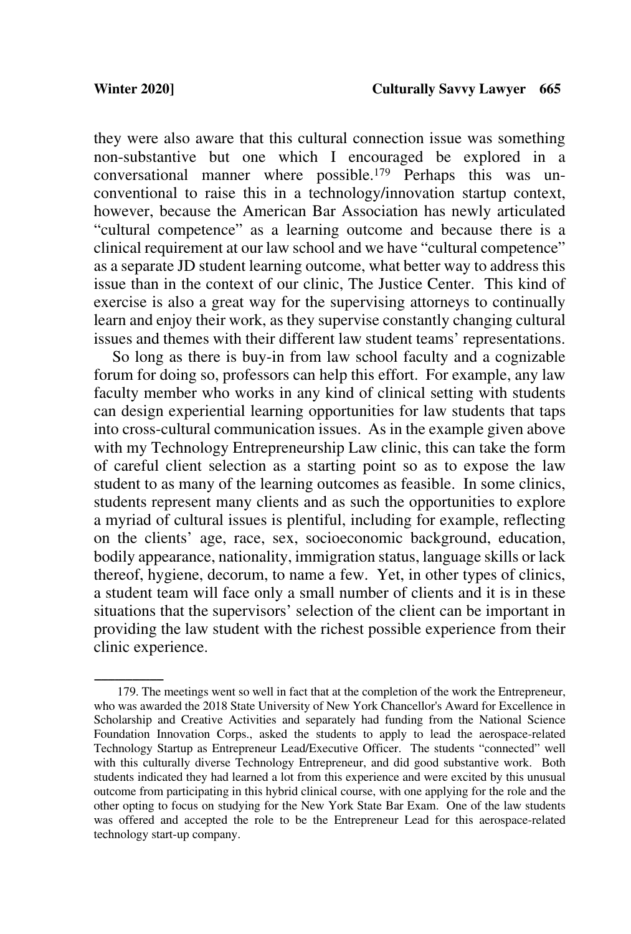they were also aware that this cultural connection issue was something non-substantive but one which I encouraged be explored in a conversational manner where possible.179 Perhaps this was unconventional to raise this in a technology/innovation startup context, however, because the American Bar Association has newly articulated "cultural competence" as a learning outcome and because there is a clinical requirement at our law school and we have "cultural competence" as a separate JD student learning outcome, what better way to address this issue than in the context of our clinic, The Justice Center. This kind of exercise is also a great way for the supervising attorneys to continually learn and enjoy their work, as they supervise constantly changing cultural issues and themes with their different law student teams' representations.

So long as there is buy-in from law school faculty and a cognizable forum for doing so, professors can help this effort. For example, any law faculty member who works in any kind of clinical setting with students can design experiential learning opportunities for law students that taps into cross-cultural communication issues. As in the example given above with my Technology Entrepreneurship Law clinic, this can take the form of careful client selection as a starting point so as to expose the law student to as many of the learning outcomes as feasible. In some clinics, students represent many clients and as such the opportunities to explore a myriad of cultural issues is plentiful, including for example, reflecting on the clients' age, race, sex, socioeconomic background, education, bodily appearance, nationality, immigration status, language skills or lack thereof, hygiene, decorum, to name a few. Yet, in other types of clinics, a student team will face only a small number of clients and it is in these situations that the supervisors' selection of the client can be important in providing the law student with the richest possible experience from their clinic experience.

<sup>179.</sup> The meetings went so well in fact that at the completion of the work the Entrepreneur, who was awarded the 2018 State University of New York Chancellor's Award for Excellence in Scholarship and Creative Activities and separately had funding from the National Science Foundation Innovation Corps., asked the students to apply to lead the aerospace-related Technology Startup as Entrepreneur Lead/Executive Officer. The students "connected" well with this culturally diverse Technology Entrepreneur, and did good substantive work. Both students indicated they had learned a lot from this experience and were excited by this unusual outcome from participating in this hybrid clinical course, with one applying for the role and the other opting to focus on studying for the New York State Bar Exam. One of the law students was offered and accepted the role to be the Entrepreneur Lead for this aerospace-related technology start-up company.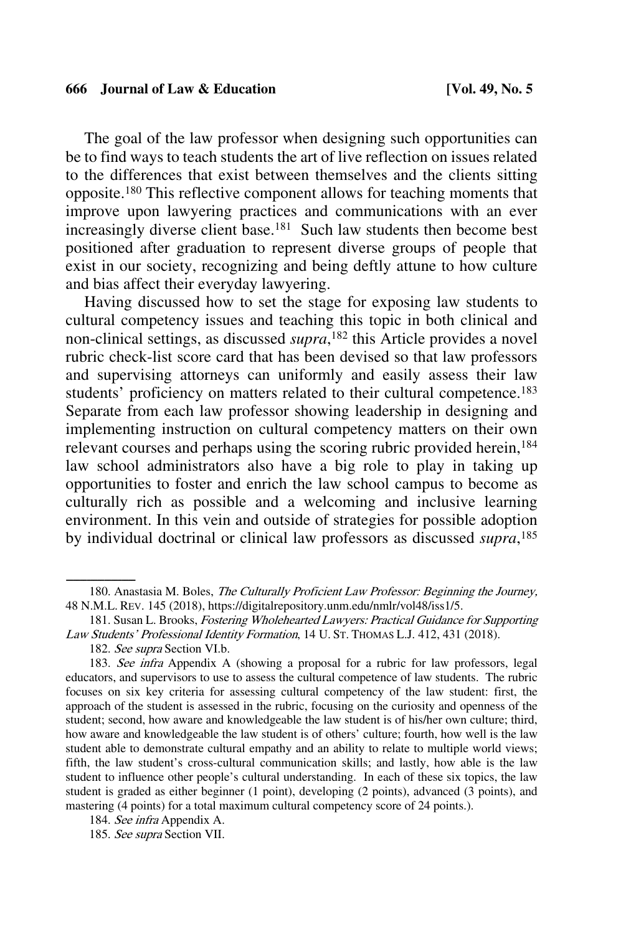The goal of the law professor when designing such opportunities can be to find ways to teach students the art of live reflection on issues related to the differences that exist between themselves and the clients sitting opposite.180 This reflective component allows for teaching moments that improve upon lawyering practices and communications with an ever increasingly diverse client base.<sup>181</sup> Such law students then become best positioned after graduation to represent diverse groups of people that exist in our society, recognizing and being deftly attune to how culture and bias affect their everyday lawyering.

Having discussed how to set the stage for exposing law students to cultural competency issues and teaching this topic in both clinical and non-clinical settings, as discussed *supra*, <sup>182</sup> this Article provides a novel rubric check-list score card that has been devised so that law professors and supervising attorneys can uniformly and easily assess their law students' proficiency on matters related to their cultural competence.<sup>183</sup> Separate from each law professor showing leadership in designing and implementing instruction on cultural competency matters on their own relevant courses and perhaps using the scoring rubric provided herein,<sup>184</sup> law school administrators also have a big role to play in taking up opportunities to foster and enrich the law school campus to become as culturally rich as possible and a welcoming and inclusive learning environment. In this vein and outside of strategies for possible adoption by individual doctrinal or clinical law professors as discussed *supra*, 185

<sup>180.</sup> Anastasia M. Boles, The Culturally Proficient Law Professor: Beginning the Journey, 48 N.M.L. REV. 145 (2018), https://digitalrepository.unm.edu/nmlr/vol48/iss1/5.

<sup>181.</sup> Susan L. Brooks, Fostering Wholehearted Lawyers: Practical Guidance for Supporting Law Students' Professional Identity Formation, 14 U. ST. THOMAS L.J. 412, 431 (2018).

<sup>182.</sup> See supra Section VI.b.

<sup>183.</sup> See infra Appendix A (showing a proposal for a rubric for law professors, legal educators, and supervisors to use to assess the cultural competence of law students. The rubric focuses on six key criteria for assessing cultural competency of the law student: first, the approach of the student is assessed in the rubric, focusing on the curiosity and openness of the student; second, how aware and knowledgeable the law student is of his/her own culture; third, how aware and knowledgeable the law student is of others' culture; fourth, how well is the law student able to demonstrate cultural empathy and an ability to relate to multiple world views; fifth, the law student's cross-cultural communication skills; and lastly, how able is the law student to influence other people's cultural understanding. In each of these six topics, the law student is graded as either beginner (1 point), developing (2 points), advanced (3 points), and mastering (4 points) for a total maximum cultural competency score of 24 points.).

<sup>184.</sup> See infra Appendix A.

<sup>185.</sup> See supra Section VII.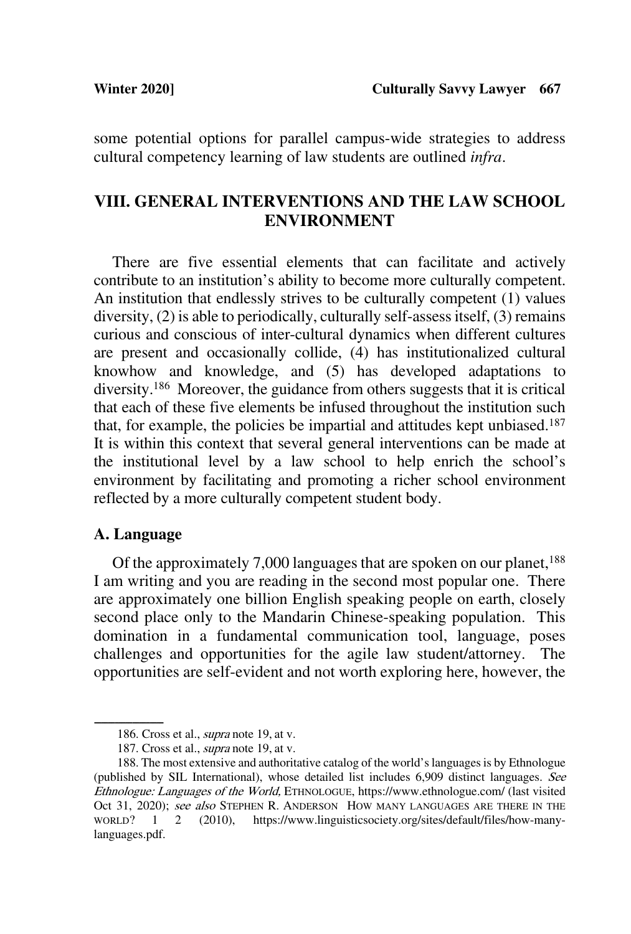some potential options for parallel campus-wide strategies to address cultural competency learning of law students are outlined *infra*.

## **VIII. GENERAL INTERVENTIONS AND THE LAW SCHOOL ENVIRONMENT**

There are five essential elements that can facilitate and actively contribute to an institution's ability to become more culturally competent. An institution that endlessly strives to be culturally competent (1) values diversity, (2) is able to periodically, culturally self-assess itself, (3) remains curious and conscious of inter-cultural dynamics when different cultures are present and occasionally collide, (4) has institutionalized cultural knowhow and knowledge, and (5) has developed adaptations to diversity.186 Moreover, the guidance from others suggests that it is critical that each of these five elements be infused throughout the institution such that, for example, the policies be impartial and attitudes kept unbiased.187 It is within this context that several general interventions can be made at the institutional level by a law school to help enrich the school's environment by facilitating and promoting a richer school environment reflected by a more culturally competent student body.

#### **A. Language**

Of the approximately 7,000 languages that are spoken on our planet,<sup>188</sup> I am writing and you are reading in the second most popular one. There are approximately one billion English speaking people on earth, closely second place only to the Mandarin Chinese-speaking population. This domination in a fundamental communication tool, language, poses challenges and opportunities for the agile law student/attorney. The opportunities are self-evident and not worth exploring here, however, the

<sup>186.</sup> Cross et al., *supra* note 19, at v.

<sup>187.</sup> Cross et al., *supra* note 19, at v.

<sup>188.</sup> The most extensive and authoritative catalog of the world's languages is by Ethnologue (published by SIL International), whose detailed list includes 6,909 distinct languages. See Ethnologue: Languages of the World, ETHNOLOGUE, https://www.ethnologue.com/ (last visited Oct 31, 2020); see also STEPHEN R. ANDERSON HOW MANY LANGUAGES ARE THERE IN THE WORLD? 1 2 (2010), https://www.linguisticsociety.org/sites/default/files/how-manylanguages.pdf.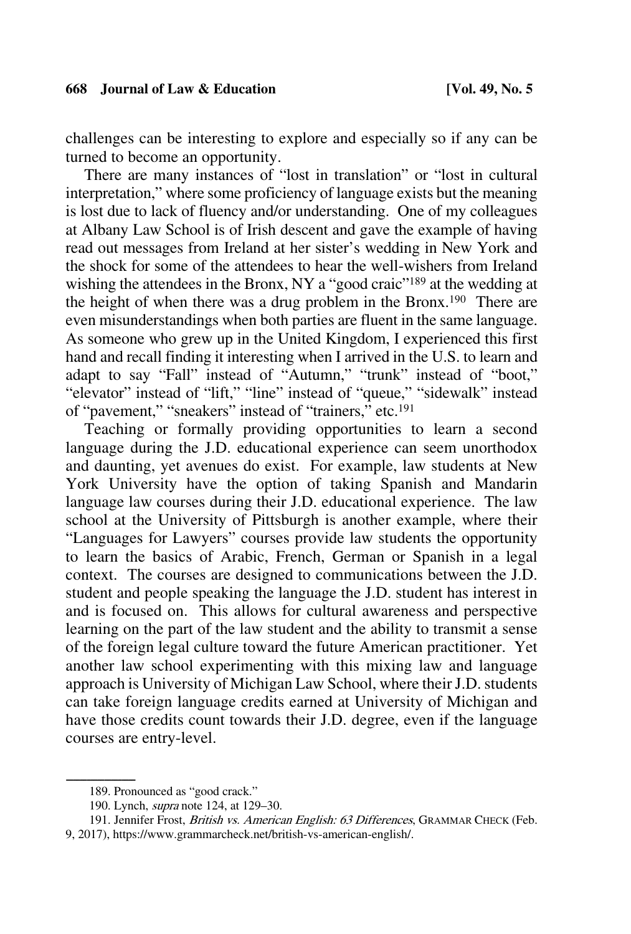challenges can be interesting to explore and especially so if any can be turned to become an opportunity.

There are many instances of "lost in translation" or "lost in cultural interpretation," where some proficiency of language exists but the meaning is lost due to lack of fluency and/or understanding. One of my colleagues at Albany Law School is of Irish descent and gave the example of having read out messages from Ireland at her sister's wedding in New York and the shock for some of the attendees to hear the well-wishers from Ireland wishing the attendees in the Bronx, NY a "good craic"<sup>189</sup> at the wedding at the height of when there was a drug problem in the Bronx.190 There are even misunderstandings when both parties are fluent in the same language. As someone who grew up in the United Kingdom, I experienced this first hand and recall finding it interesting when I arrived in the U.S. to learn and adapt to say "Fall" instead of "Autumn," "trunk" instead of "boot," "elevator" instead of "lift," "line" instead of "queue," "sidewalk" instead of "pavement," "sneakers" instead of "trainers," etc.191

Teaching or formally providing opportunities to learn a second language during the J.D. educational experience can seem unorthodox and daunting, yet avenues do exist. For example, law students at New York University have the option of taking Spanish and Mandarin language law courses during their J.D. educational experience. The law school at the University of Pittsburgh is another example, where their "Languages for Lawyers" courses provide law students the opportunity to learn the basics of Arabic, French, German or Spanish in a legal context. The courses are designed to communications between the J.D. student and people speaking the language the J.D. student has interest in and is focused on. This allows for cultural awareness and perspective learning on the part of the law student and the ability to transmit a sense of the foreign legal culture toward the future American practitioner. Yet another law school experimenting with this mixing law and language approach is University of Michigan Law School, where their J.D. students can take foreign language credits earned at University of Michigan and have those credits count towards their J.D. degree, even if the language courses are entry-level.

191. Jennifer Frost, British vs. American English: 63 Differences, GRAMMAR CHECK (Feb. 9, 2017), https://www.grammarcheck.net/british-vs-american-english/.

<sup>189.</sup> Pronounced as "good crack."

<sup>190.</sup> Lynch, supra note 124, at 129–30.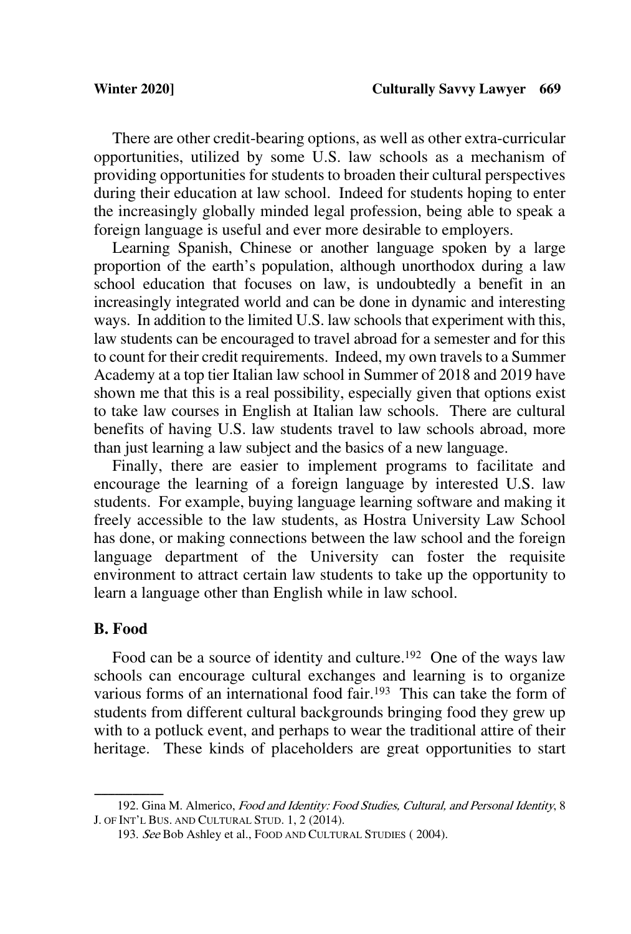There are other credit-bearing options, as well as other extra-curricular opportunities, utilized by some  $\overline{U}.S$ . law schools as a mechanism of providing opportunities for students to broaden their cultural perspectives during their education at law school. Indeed for students hoping to enter the increasingly globally minded legal profession, being able to speak a foreign language is useful and ever more desirable to employers.

Learning Spanish, Chinese or another language spoken by a large proportion of the earth's population, although unorthodox during a law school education that focuses on law, is undoubtedly a benefit in an increasingly integrated world and can be done in dynamic and interesting ways. In addition to the limited U.S. law schools that experiment with this, law students can be encouraged to travel abroad for a semester and for this to count for their credit requirements. Indeed, my own travels to a Summer Academy at a top tier Italian law school in Summer of 2018 and 2019 have shown me that this is a real possibility, especially given that options exist to take law courses in English at Italian law schools. There are cultural benefits of having U.S. law students travel to law schools abroad, more than just learning a law subject and the basics of a new language.

Finally, there are easier to implement programs to facilitate and encourage the learning of a foreign language by interested U.S. law students. For example, buying language learning software and making it freely accessible to the law students, as Hostra University Law School has done, or making connections between the law school and the foreign language department of the University can foster the requisite environment to attract certain law students to take up the opportunity to learn a language other than English while in law school.

## **B. Food**

Food can be a source of identity and culture.<sup>192</sup> One of the ways law schools can encourage cultural exchanges and learning is to organize various forms of an international food fair.<sup>193</sup> This can take the form of students from different cultural backgrounds bringing food they grew up with to a potluck event, and perhaps to wear the traditional attire of their heritage. These kinds of placeholders are great opportunities to start

<sup>192.</sup> Gina M. Almerico, Food and Identity: Food Studies, Cultural, and Personal Identity, 8 J. OF INT'L BUS. AND CULTURAL STUD. 1, 2 (2014).

<sup>193.</sup> See Bob Ashley et al., FOOD AND CULTURAL STUDIES ( 2004).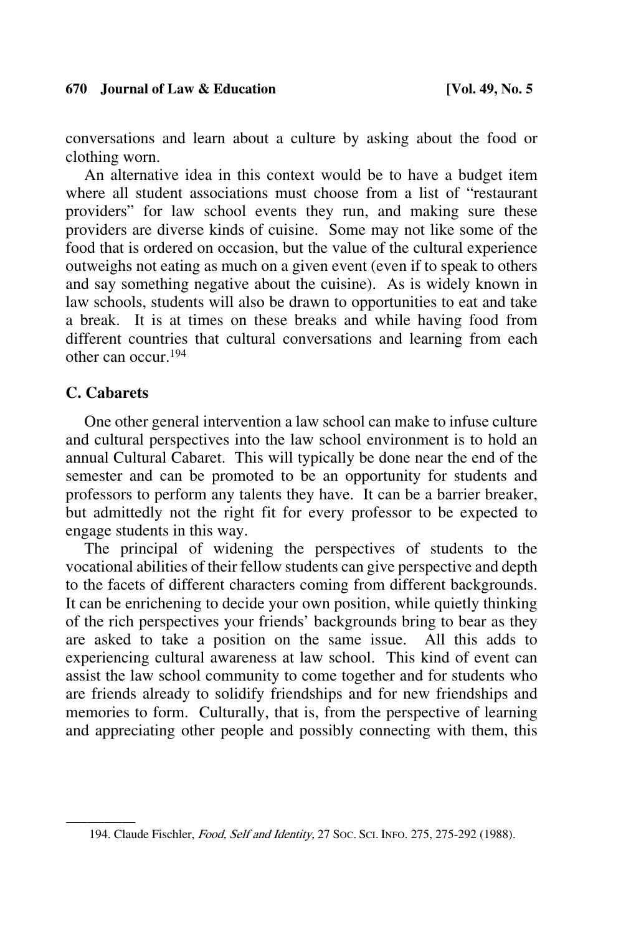conversations and learn about a culture by asking about the food or clothing worn.

An alternative idea in this context would be to have a budget item where all student associations must choose from a list of "restaurant providers" for law school events they run, and making sure these providers are diverse kinds of cuisine. Some may not like some of the food that is ordered on occasion, but the value of the cultural experience outweighs not eating as much on a given event (even if to speak to others and say something negative about the cuisine). As is widely known in law schools, students will also be drawn to opportunities to eat and take a break. It is at times on these breaks and while having food from different countries that cultural conversations and learning from each other can occur.194

## **C. Cabarets**

One other general intervention a law school can make to infuse culture and cultural perspectives into the law school environment is to hold an annual Cultural Cabaret. This will typically be done near the end of the semester and can be promoted to be an opportunity for students and professors to perform any talents they have. It can be a barrier breaker, but admittedly not the right fit for every professor to be expected to engage students in this way.

The principal of widening the perspectives of students to the vocational abilities of their fellow students can give perspective and depth to the facets of different characters coming from different backgrounds. It can be enrichening to decide your own position, while quietly thinking of the rich perspectives your friends' backgrounds bring to bear as they are asked to take a position on the same issue. All this adds to experiencing cultural awareness at law school. This kind of event can assist the law school community to come together and for students who are friends already to solidify friendships and for new friendships and memories to form. Culturally, that is, from the perspective of learning and appreciating other people and possibly connecting with them, this

<sup>194.</sup> Claude Fischler, Food, Self and Identity, 27 Soc. Sci. INFo. 275, 275-292 (1988).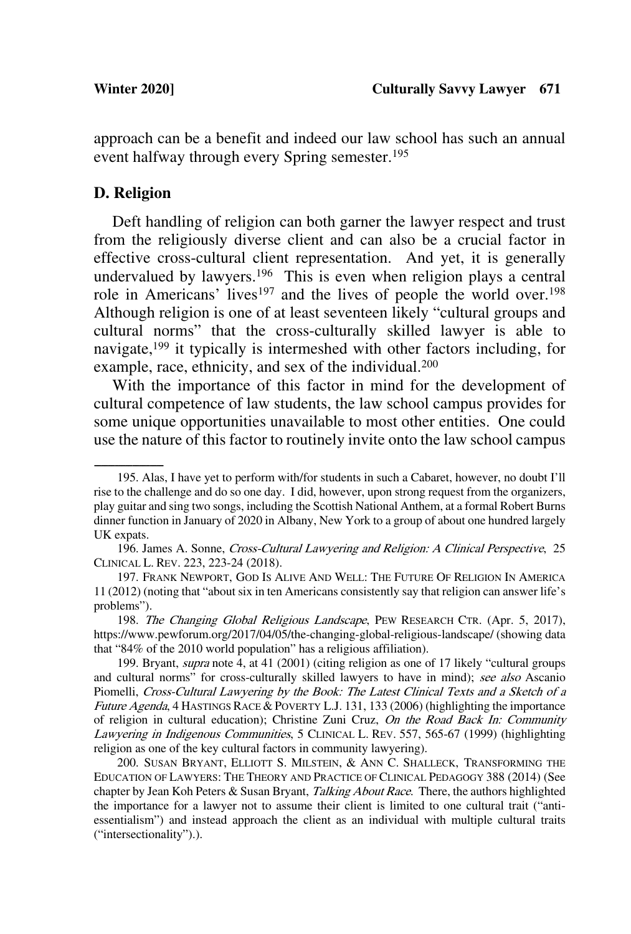approach can be a benefit and indeed our law school has such an annual event halfway through every Spring semester. 195

### **D. Religion**

Deft handling of religion can both garner the lawyer respect and trust from the religiously diverse client and can also be a crucial factor in effective cross-cultural client representation. And yet, it is generally undervalued by lawyers.<sup>196</sup> This is even when religion plays a central role in Americans' lives<sup>197</sup> and the lives of people the world over.<sup>198</sup> Although religion is one of at least seventeen likely "cultural groups and cultural norms" that the cross-culturally skilled lawyer is able to navigate,199 it typically is intermeshed with other factors including, for example, race, ethnicity, and sex of the individual.<sup>200</sup>

With the importance of this factor in mind for the development of cultural competence of law students, the law school campus provides for some unique opportunities unavailable to most other entities. One could use the nature of this factor to routinely invite onto the law school campus

<sup>195.</sup> Alas, I have yet to perform with/for students in such a Cabaret, however, no doubt I'll rise to the challenge and do so one day. I did, however, upon strong request from the organizers, play guitar and sing two songs, including the Scottish National Anthem, at a formal Robert Burns dinner function in January of 2020 in Albany, New York to a group of about one hundred largely UK expats.

<sup>196.</sup> James A. Sonne, Cross-Cultural Lawyering and Religion: A Clinical Perspective, 25 CLINICAL L. REV. 223, 223-24 (2018).

<sup>197.</sup> FRANK NEWPORT, GOD IS ALIVE AND WELL: THE FUTURE OF RELIGION IN AMERICA 11 (2012) (noting that "about six in ten Americans consistently say that religion can answer life's problems").

<sup>198.</sup> The Changing Global Religious Landscape, PEW RESEARCH CTR. (Apr. 5, 2017), https://www.pewforum.org/2017/04/05/the-changing-global-religious-landscape/ (showing data that "84% of the 2010 world population" has a religious affiliation).

<sup>199.</sup> Bryant, supra note 4, at 41 (2001) (citing religion as one of 17 likely "cultural groups and cultural norms" for cross-culturally skilled lawyers to have in mind); see also Ascanio Piomelli, Cross-Cultural Lawyering by the Book: The Latest Clinical Texts and a Sketch of <sup>a</sup> Future Agenda, 4 HASTINGS RACE & POVERTY L.J. 131, 133 (2006) (highlighting the importance of religion in cultural education); Christine Zuni Cruz, On the Road Back In: Community Lawyering in Indigenous Communities, 5 CLINICAL L. REV. 557, 565-67 (1999) (highlighting religion as one of the key cultural factors in community lawyering).

<sup>200.</sup> SUSAN BRYANT, ELLIOTT S. MILSTEIN, & ANN C. SHALLECK, TRANSFORMING THE EDUCATION OF LAWYERS: THE THEORY AND PRACTICE OF CLINICAL PEDAGOGY 388 (2014) (See chapter by Jean Koh Peters & Susan Bryant, Talking About Race. There, the authors highlighted the importance for a lawyer not to assume their client is limited to one cultural trait ("antiessentialism") and instead approach the client as an individual with multiple cultural traits ("intersectionality").).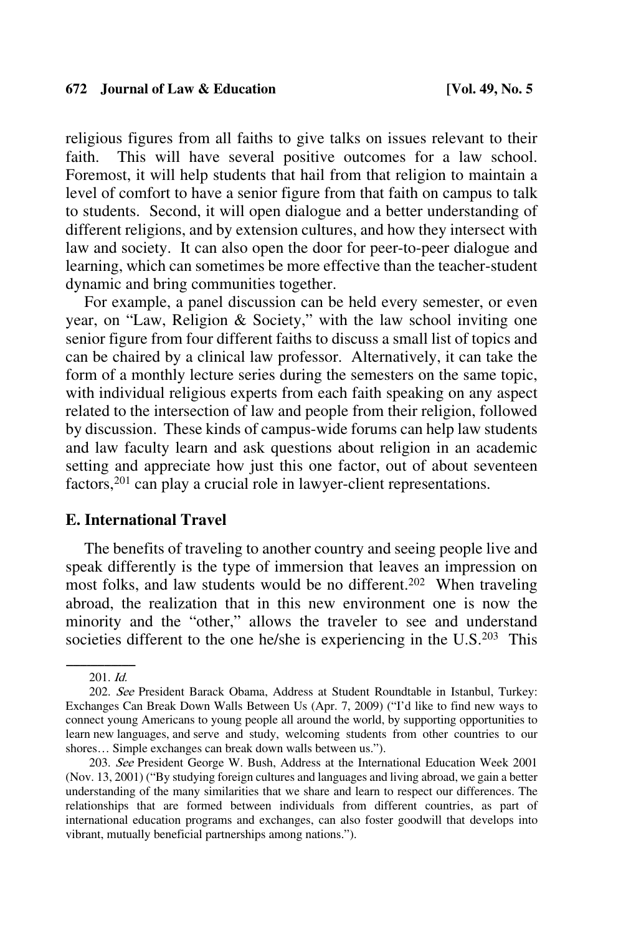religious figures from all faiths to give talks on issues relevant to their faith. This will have several positive outcomes for a law school. Foremost, it will help students that hail from that religion to maintain a level of comfort to have a senior figure from that faith on campus to talk to students. Second, it will open dialogue and a better understanding of different religions, and by extension cultures, and how they intersect with law and society. It can also open the door for peer-to-peer dialogue and learning, which can sometimes be more effective than the teacher-student dynamic and bring communities together.

For example, a panel discussion can be held every semester, or even year, on "Law, Religion & Society," with the law school inviting one senior figure from four different faiths to discuss a small list of topics and can be chaired by a clinical law professor. Alternatively, it can take the form of a monthly lecture series during the semesters on the same topic, with individual religious experts from each faith speaking on any aspect related to the intersection of law and people from their religion, followed by discussion. These kinds of campus-wide forums can help law students and law faculty learn and ask questions about religion in an academic setting and appreciate how just this one factor, out of about seventeen factors,201 can play a crucial role in lawyer-client representations.

### **E. International Travel**

The benefits of traveling to another country and seeing people live and speak differently is the type of immersion that leaves an impression on most folks, and law students would be no different.<sup>202</sup> When traveling abroad, the realization that in this new environment one is now the minority and the "other," allows the traveler to see and understand societies different to the one he/she is experiencing in the U.S.<sup>203</sup> This

 $201.$  Id.

<sup>202.</sup> See President Barack Obama, Address at Student Roundtable in Istanbul, Turkey: Exchanges Can Break Down Walls Between Us (Apr. 7, 2009) ("I'd like to find new ways to connect young Americans to young people all around the world, by supporting opportunities to learn new languages, and serve and study, welcoming students from other countries to our shores… Simple exchanges can break down walls between us.").

<sup>203.</sup> See President George W. Bush, Address at the International Education Week 2001 (Nov. 13, 2001) ("By studying foreign cultures and languages and living abroad, we gain a better understanding of the many similarities that we share and learn to respect our differences. The relationships that are formed between individuals from different countries, as part of international education programs and exchanges, can also foster goodwill that develops into vibrant, mutually beneficial partnerships among nations.").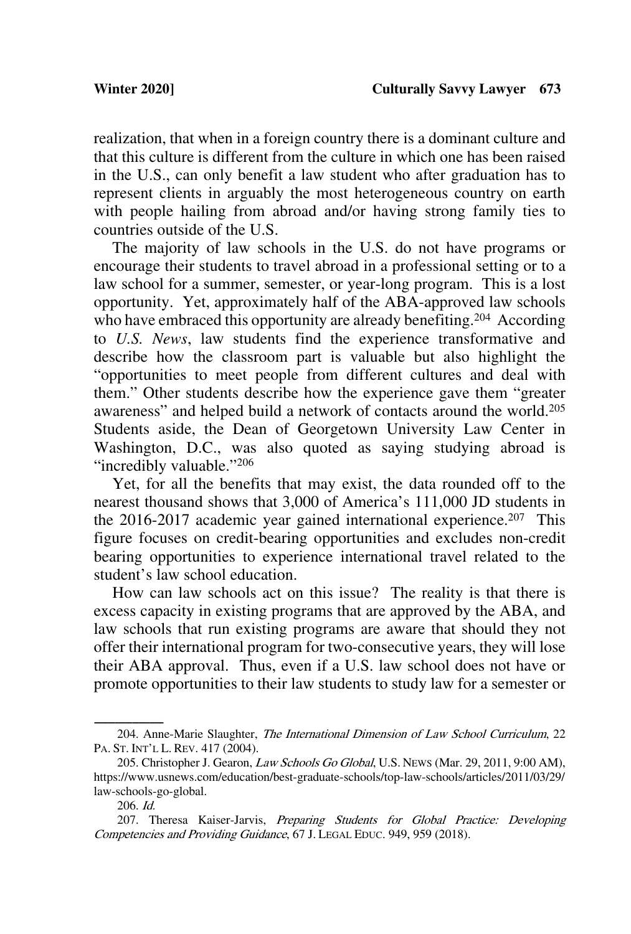realization, that when in a foreign country there is a dominant culture and that this culture is different from the culture in which one has been raised in the U.S., can only benefit a law student who after graduation has to represent clients in arguably the most heterogeneous country on earth with people hailing from abroad and/or having strong family ties to countries outside of the U.S.

The majority of law schools in the U.S. do not have programs or encourage their students to travel abroad in a professional setting or to a law school for a summer, semester, or year-long program. This is a lost opportunity. Yet, approximately half of the ABA-approved law schools who have embraced this opportunity are already benefiting.<sup>204</sup> According to *U.S. News*, law students find the experience transformative and describe how the classroom part is valuable but also highlight the "opportunities to meet people from different cultures and deal with them." Other students describe how the experience gave them "greater awareness" and helped build a network of contacts around the world.205 Students aside, the Dean of Georgetown University Law Center in Washington, D.C., was also quoted as saying studying abroad is "incredibly valuable."<sup>206</sup>

Yet, for all the benefits that may exist, the data rounded off to the nearest thousand shows that 3,000 of America's 111,000 JD students in the 2016-2017 academic year gained international experience. 207 This figure focuses on credit-bearing opportunities and excludes non-credit bearing opportunities to experience international travel related to the student's law school education.

How can law schools act on this issue? The reality is that there is excess capacity in existing programs that are approved by the ABA, and law schools that run existing programs are aware that should they not offer their international program for two-consecutive years, they will lose their ABA approval. Thus, even if a U.S. law school does not have or promote opportunities to their law students to study law for a semester or

<sup>204.</sup> Anne-Marie Slaughter, The International Dimension of Law School Curriculum, 22 PA. ST. INT'L L. REV. 417 (2004).

<sup>205.</sup> Christopher J. Gearon, Law Schools Go Global, U.S. NEWS (Mar. 29, 2011, 9:00 AM), https://www.usnews.com/education/best-graduate-schools/top-law-schools/articles/2011/03/29/ law-schools-go-global.

<sup>206.</sup> Id.

<sup>207.</sup> Theresa Kaiser-Jarvis, Preparing Students for Global Practice: Developing Competencies and Providing Guidance, 67 J. LEGAL EDUC. 949, 959 (2018).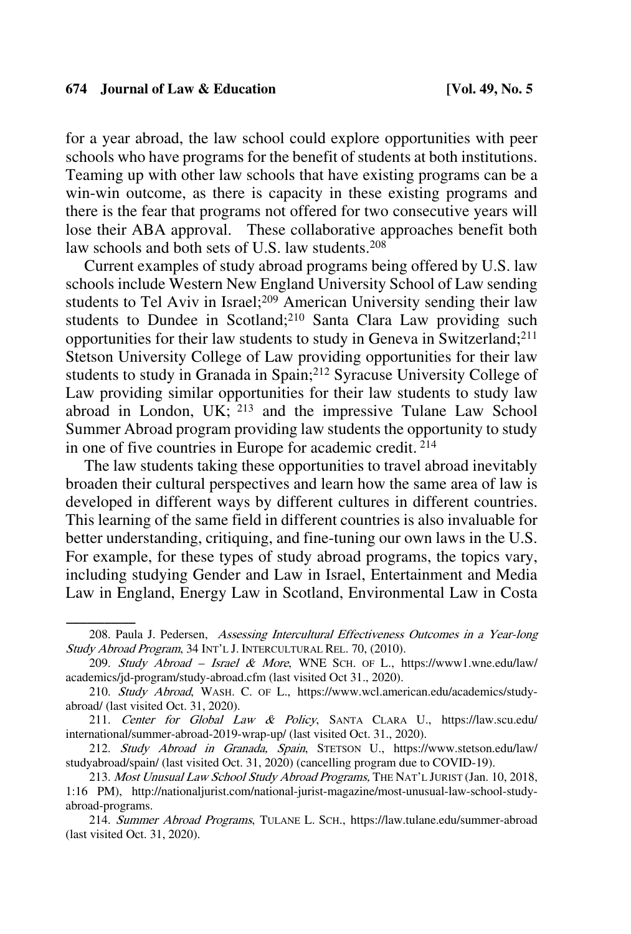for a year abroad, the law school could explore opportunities with peer schools who have programs for the benefit of students at both institutions. Teaming up with other law schools that have existing programs can be a win-win outcome, as there is capacity in these existing programs and there is the fear that programs not offered for two consecutive years will lose their ABA approval. These collaborative approaches benefit both law schools and both sets of U.S. law students.<sup>208</sup>

Current examples of study abroad programs being offered by U.S. law schools include Western New England University School of Law sending students to Tel Aviv in Israel;<sup>209</sup> American University sending their law students to Dundee in Scotland;<sup>210</sup> Santa Clara Law providing such opportunities for their law students to study in Geneva in Switzerland; 211 Stetson University College of Law providing opportunities for their law students to study in Granada in Spain; <sup>212</sup> Syracuse University College of Law providing similar opportunities for their law students to study law abroad in London, UK;  $^{213}$  and the impressive Tulane Law School Summer Abroad program providing law students the opportunity to study in one of five countries in Europe for academic credit. <sup>214</sup>

The law students taking these opportunities to travel abroad inevitably broaden their cultural perspectives and learn how the same area of law is developed in different ways by different cultures in different countries. This learning of the same field in different countries is also invaluable for better understanding, critiquing, and fine-tuning our own laws in the U.S. For example, for these types of study abroad programs, the topics vary, including studying Gender and Law in Israel, Entertainment and Media Law in England, Energy Law in Scotland, Environmental Law in Costa

<sup>208.</sup> Paula J. Pedersen, Assessing Intercultural Effectiveness Outcomes in a Year-long Study Abroad Program, 34 INT'L J. INTERCULTURAL REL. 70, (2010).

<sup>209.</sup> Study Abroad – Israel & More, WNE SCH. OF L., https://www1.wne.edu/law/ academics/jd-program/study-abroad.cfm (last visited Oct 31., 2020).

<sup>210.</sup> Study Abroad, WASH. C. OF L., https://www.wcl.american.edu/academics/studyabroad/ (last visited Oct. 31, 2020).

<sup>211.</sup> Center for Global Law & Policy, SANTA CLARA U., https://law.scu.edu/ international/summer-abroad-2019-wrap-up/ (last visited Oct. 31., 2020).

<sup>212.</sup> Study Abroad in Granada, Spain, STETSON U., https://www.stetson.edu/law/ studyabroad/spain/ (last visited Oct. 31, 2020) (cancelling program due to COVID-19).

<sup>213.</sup> Most Unusual Law School Study Abroad Programs, THE NAT'L JURIST (Jan. 10, 2018, 1:16 PM), http://nationaljurist.com/national-jurist-magazine/most-unusual-law-school-studyabroad-programs.

<sup>214.</sup> Summer Abroad Programs, TULANE L. SCH., https://law.tulane.edu/summer-abroad (last visited Oct. 31, 2020).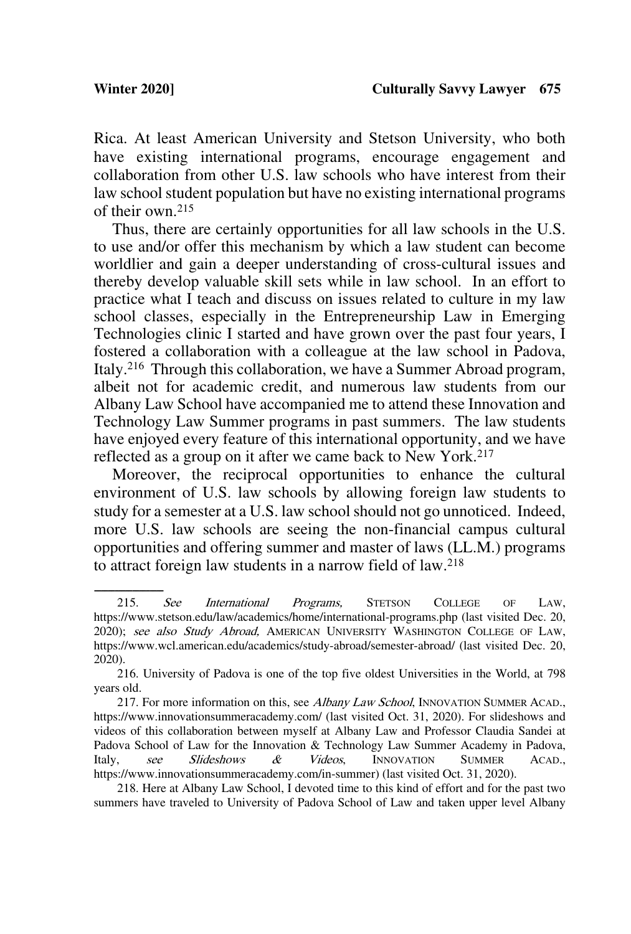Rica. At least American University and Stetson University, who both have existing international programs, encourage engagement and collaboration from other U.S. law schools who have interest from their law school student population but have no existing international programs of their own.215

Thus, there are certainly opportunities for all law schools in the U.S. to use and/or offer this mechanism by which a law student can become worldlier and gain a deeper understanding of cross-cultural issues and thereby develop valuable skill sets while in law school. In an effort to practice what I teach and discuss on issues related to culture in my law school classes, especially in the Entrepreneurship Law in Emerging Technologies clinic I started and have grown over the past four years, I fostered a collaboration with a colleague at the law school in Padova, Italy.216 Through this collaboration, we have a Summer Abroad program, albeit not for academic credit, and numerous law students from our Albany Law School have accompanied me to attend these Innovation and Technology Law Summer programs in past summers. The law students have enjoyed every feature of this international opportunity, and we have reflected as a group on it after we came back to New York.<sup>217</sup>

Moreover, the reciprocal opportunities to enhance the cultural environment of U.S. law schools by allowing foreign law students to study for a semester at a U.S. law school should not go unnoticed. Indeed, more U.S. law schools are seeing the non-financial campus cultural opportunities and offering summer and master of laws (LL.M.) programs to attract foreign law students in a narrow field of law. 218

The section of the *See International Programs*, STETSON COLLEGE OF LAW, https://www.stetson.edu/law/academics/home/international-programs.php (last visited Dec. 20, 2020); see also Study Abroad, AMERICAN UNIVERSITY WASHINGTON COLLEGE OF LAW, https://www.wcl.american.edu/academics/study-abroad/semester-abroad/ (last visited Dec. 20, 2020).

<sup>216.</sup> University of Padova is one of the top five oldest Universities in the World, at 798 years old.

<sup>217.</sup> For more information on this, see Albany Law School, INNOVATION SUMMER ACAD., https://www.innovationsummeracademy.com/ (last visited Oct. 31, 2020). For slideshows and videos of this collaboration between myself at Albany Law and Professor Claudia Sandei at Padova School of Law for the Innovation & Technology Law Summer Academy in Padova, Italy, see Slideshows & Videos, INNOVATION SUMMER ACAD., https://www.innovationsummeracademy.com/in-summer) (last visited Oct. 31, 2020).

<sup>218.</sup> Here at Albany Law School, I devoted time to this kind of effort and for the past two summers have traveled to University of Padova School of Law and taken upper level Albany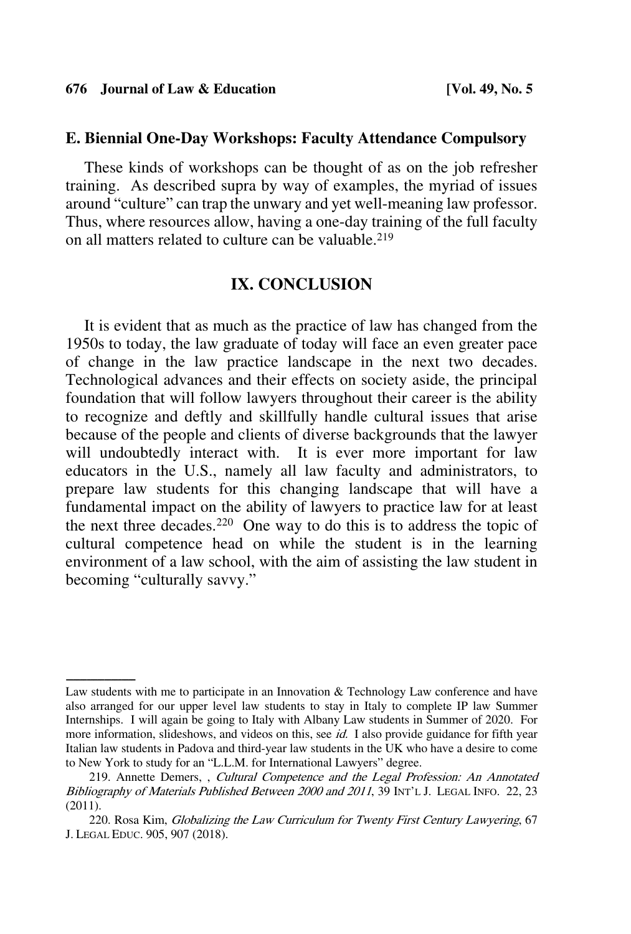#### **E. Biennial One-Day Workshops: Faculty Attendance Compulsory**

These kinds of workshops can be thought of as on the job refresher training. As described supra by way of examples, the myriad of issues around "culture" can trap the unwary and yet well-meaning law professor. Thus, where resources allow, having a one-day training of the full faculty on all matters related to culture can be valuable.219

### **IX. CONCLUSION**

It is evident that as much as the practice of law has changed from the 1950s to today, the law graduate of today will face an even greater pace of change in the law practice landscape in the next two decades. Technological advances and their effects on society aside, the principal foundation that will follow lawyers throughout their career is the ability to recognize and deftly and skillfully handle cultural issues that arise because of the people and clients of diverse backgrounds that the lawyer will undoubtedly interact with. It is ever more important for law educators in the U.S., namely all law faculty and administrators, to prepare law students for this changing landscape that will have a fundamental impact on the ability of lawyers to practice law for at least the next three decades.220 One way to do this is to address the topic of cultural competence head on while the student is in the learning environment of a law school, with the aim of assisting the law student in becoming "culturally savvy."

Law students with me to participate in an Innovation  $&$  Technology Law conference and have also arranged for our upper level law students to stay in Italy to complete IP law Summer Internships. I will again be going to Italy with Albany Law students in Summer of 2020. For more information, slideshows, and videos on this, see *id.* I also provide guidance for fifth year Italian law students in Padova and third-year law students in the UK who have a desire to come to New York to study for an "L.L.M. for International Lawyers" degree.

<sup>219.</sup> Annette Demers, , Cultural Competence and the Legal Profession: An Annotated Bibliography of Materials Published Between 2000 and 2011, 39 INT'L J. LEGAL INFO. 22, 23 (2011).

<sup>220.</sup> Rosa Kim, Globalizing the Law Curriculum for Twenty First Century Lawyering, 67 J. LEGAL EDUC. 905, 907 (2018).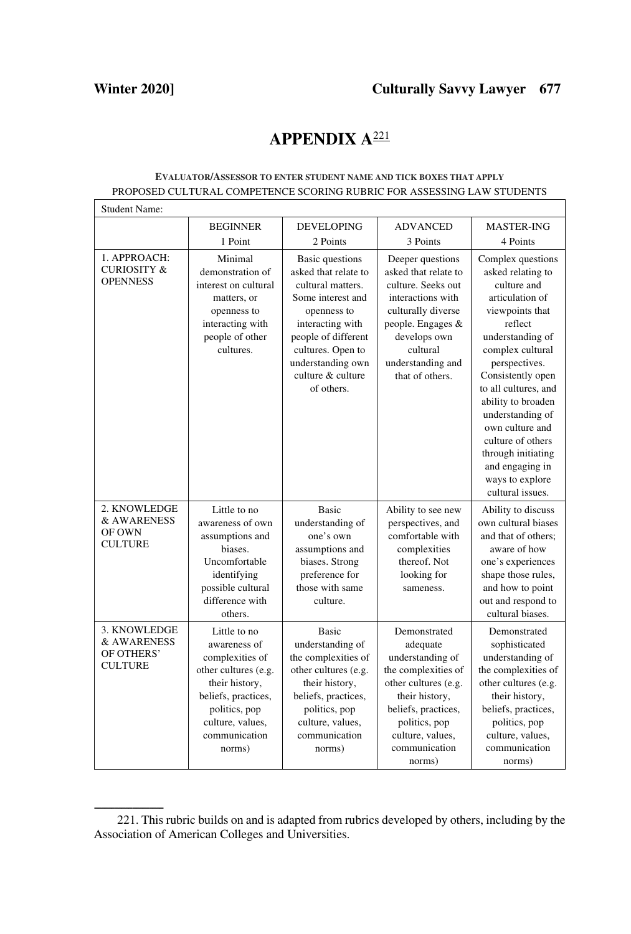## **APPENDIX A**<sup>221</sup>

#### **EVALUATOR/ASSESSOR TO ENTER STUDENT NAME AND TICK BOXES THAT APPLY** PROPOSED CULTURAL COMPETENCE SCORING RUBRIC FOR ASSESSING LAW STUDENTS

| <b>Student Name:</b>                                        |                                                                                                                                                                                  |                                                                                                                                                                                                                          |                                                                                                                                                                                                      |                                                                                                                                                                                                                                                                                                                                                                                |
|-------------------------------------------------------------|----------------------------------------------------------------------------------------------------------------------------------------------------------------------------------|--------------------------------------------------------------------------------------------------------------------------------------------------------------------------------------------------------------------------|------------------------------------------------------------------------------------------------------------------------------------------------------------------------------------------------------|--------------------------------------------------------------------------------------------------------------------------------------------------------------------------------------------------------------------------------------------------------------------------------------------------------------------------------------------------------------------------------|
|                                                             | <b>BEGINNER</b>                                                                                                                                                                  | <b>DEVELOPING</b>                                                                                                                                                                                                        | <b>ADVANCED</b>                                                                                                                                                                                      | <b>MASTER-ING</b>                                                                                                                                                                                                                                                                                                                                                              |
|                                                             | 1 Point                                                                                                                                                                          | 2 Points                                                                                                                                                                                                                 | 3 Points                                                                                                                                                                                             | 4 Points                                                                                                                                                                                                                                                                                                                                                                       |
| 1. APPROACH:<br><b>CURIOSITY &amp;</b><br><b>OPENNESS</b>   | Minimal<br>demonstration of<br>interest on cultural<br>matters, or<br>openness to<br>interacting with<br>people of other<br>cultures.                                            | Basic questions<br>asked that relate to<br>cultural matters.<br>Some interest and<br>openness to<br>interacting with<br>people of different<br>cultures. Open to<br>understanding own<br>culture & culture<br>of others. | Deeper questions<br>asked that relate to<br>culture. Seeks out<br>interactions with<br>culturally diverse<br>people. Engages &<br>develops own<br>cultural<br>understanding and<br>that of others.   | Complex questions<br>asked relating to<br>culture and<br>articulation of<br>viewpoints that<br>reflect<br>understanding of<br>complex cultural<br>perspectives.<br>Consistently open<br>to all cultures, and<br>ability to broaden<br>understanding of<br>own culture and<br>culture of others<br>through initiating<br>and engaging in<br>ways to explore<br>cultural issues. |
| 2. KNOWLEDGE<br>& AWARENESS<br>OF OWN<br><b>CULTURE</b>     | Little to no<br>awareness of own<br>assumptions and<br>biases.<br>Uncomfortable<br>identifying<br>possible cultural<br>difference with<br>others.                                | <b>Basic</b><br>understanding of<br>one's own<br>assumptions and<br>biases. Strong<br>preference for<br>those with same<br>culture.                                                                                      | Ability to see new<br>perspectives, and<br>comfortable with<br>complexities<br>thereof. Not<br>looking for<br>sameness.                                                                              | Ability to discuss<br>own cultural biases<br>and that of others:<br>aware of how<br>one's experiences<br>shape those rules,<br>and how to point<br>out and respond to<br>cultural biases.                                                                                                                                                                                      |
| 3. KNOWLEDGE<br>& AWARENESS<br>OF OTHERS'<br><b>CULTURE</b> | Little to no<br>awareness of<br>complexities of<br>other cultures (e.g.<br>their history,<br>beliefs, practices,<br>politics, pop<br>culture, values,<br>communication<br>norms) | <b>Basic</b><br>understanding of<br>the complexities of<br>other cultures (e.g.<br>their history,<br>beliefs, practices,<br>politics, pop<br>culture, values,<br>communication<br>norms)                                 | Demonstrated<br>adequate<br>understanding of<br>the complexities of<br>other cultures (e.g.<br>their history,<br>beliefs, practices,<br>politics, pop<br>culture, values,<br>communication<br>norms) | Demonstrated<br>sophisticated<br>understanding of<br>the complexities of<br>other cultures (e.g.<br>their history,<br>beliefs, practices,<br>politics, pop<br>culture, values,<br>communication<br>norms)                                                                                                                                                                      |

<sup>221.</sup> This rubric builds on and is adapted from rubrics developed by others, including by the Association of American Colleges and Universities.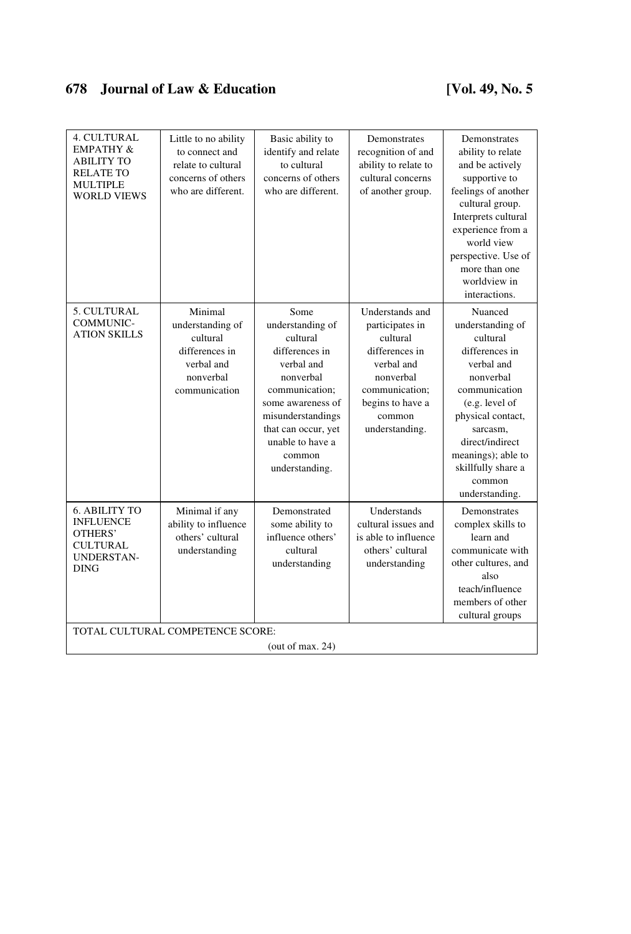| 4. CULTURAL<br><b>EMPATHY &amp;</b><br><b>ABILITY TO</b><br><b>RELATE TO</b><br><b>MULTIPLE</b><br><b>WORLD VIEWS</b> | Little to no ability<br>to connect and<br>relate to cultural<br>concerns of others<br>who are different. | Basic ability to<br>identify and relate<br>to cultural<br>concerns of others<br>who are different.                                                                                                                   | Demonstrates<br>recognition of and<br>ability to relate to<br>cultural concerns<br>of another group.                                                          | Demonstrates<br>ability to relate<br>and be actively<br>supportive to<br>feelings of another<br>cultural group.<br>Interprets cultural<br>experience from a<br>world view<br>perspective. Use of<br>more than one<br>worldview in<br>interactions.  |
|-----------------------------------------------------------------------------------------------------------------------|----------------------------------------------------------------------------------------------------------|----------------------------------------------------------------------------------------------------------------------------------------------------------------------------------------------------------------------|---------------------------------------------------------------------------------------------------------------------------------------------------------------|-----------------------------------------------------------------------------------------------------------------------------------------------------------------------------------------------------------------------------------------------------|
| 5. CULTURAL<br>COMMUNIC-<br><b>ATION SKILLS</b>                                                                       | Minimal<br>understanding of<br>cultural<br>differences in<br>verbal and<br>nonverbal<br>communication    | Some<br>understanding of<br>cultural<br>differences in<br>verbal and<br>nonverbal<br>communication;<br>some awareness of<br>misunderstandings<br>that can occur, yet<br>unable to have a<br>common<br>understanding. | Understands and<br>participates in<br>cultural<br>differences in<br>verbal and<br>nonverbal<br>communication;<br>begins to have a<br>common<br>understanding. | Nuanced<br>understanding of<br>cultural<br>differences in<br>verbal and<br>nonverbal<br>communication<br>(e.g. level of<br>physical contact,<br>sarcasm.<br>direct/indirect<br>meanings); able to<br>skillfully share a<br>common<br>understanding. |
| <b>6. ABILITY TO</b><br><b>INFLUENCE</b><br>OTHERS'<br><b>CULTURAL</b><br><b>UNDERSTAN-</b><br><b>DING</b>            | Minimal if any<br>ability to influence<br>others' cultural<br>understanding                              | Demonstrated<br>some ability to<br>influence others'<br>cultural<br>understanding                                                                                                                                    | Understands<br>cultural issues and<br>is able to influence<br>others' cultural<br>understanding                                                               | Demonstrates<br>complex skills to<br>learn and<br>communicate with<br>other cultures, and<br>also<br>teach/influence<br>members of other<br>cultural groups                                                                                         |
|                                                                                                                       | TOTAL CULTURAL COMPETENCE SCORE:                                                                         | (out of max. $24$ )                                                                                                                                                                                                  |                                                                                                                                                               |                                                                                                                                                                                                                                                     |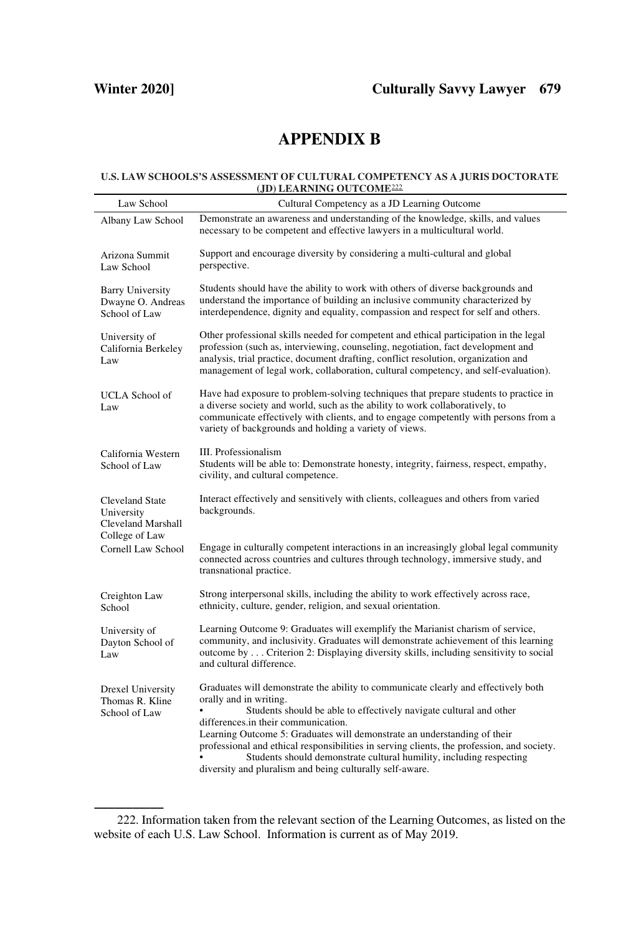## **APPENDIX B**

#### **U.S. LAW SCHOOLS'S ASSESSMENT OF CULTURAL COMPETENCY AS A JURIS DOCTORATE (JD) LEARNING OUTCOME**<sup>222</sup>

| Law School                                                                   | Cultural Competency as a JD Learning Outcome                                                                                                                                                                                                                                                                                                                                                                                                                                                                                           |
|------------------------------------------------------------------------------|----------------------------------------------------------------------------------------------------------------------------------------------------------------------------------------------------------------------------------------------------------------------------------------------------------------------------------------------------------------------------------------------------------------------------------------------------------------------------------------------------------------------------------------|
| Albany Law School                                                            | Demonstrate an awareness and understanding of the knowledge, skills, and values<br>necessary to be competent and effective lawyers in a multicultural world.                                                                                                                                                                                                                                                                                                                                                                           |
| Arizona Summit<br>Law School                                                 | Support and encourage diversity by considering a multi-cultural and global<br>perspective.                                                                                                                                                                                                                                                                                                                                                                                                                                             |
| <b>Barry University</b><br>Dwayne O. Andreas<br>School of Law                | Students should have the ability to work with others of diverse backgrounds and<br>understand the importance of building an inclusive community characterized by<br>interdependence, dignity and equality, compassion and respect for self and others.                                                                                                                                                                                                                                                                                 |
| University of<br>California Berkeley<br>Law                                  | Other professional skills needed for competent and ethical participation in the legal<br>profession (such as, interviewing, counseling, negotiation, fact development and<br>analysis, trial practice, document drafting, conflict resolution, organization and<br>management of legal work, collaboration, cultural competency, and self-evaluation).                                                                                                                                                                                 |
| UCLA School of<br>Law                                                        | Have had exposure to problem-solving techniques that prepare students to practice in<br>a diverse society and world, such as the ability to work collaboratively, to<br>communicate effectively with clients, and to engage competently with persons from a<br>variety of backgrounds and holding a variety of views.                                                                                                                                                                                                                  |
| California Western<br>School of Law                                          | III. Professionalism<br>Students will be able to: Demonstrate honesty, integrity, fairness, respect, empathy,<br>civility, and cultural competence.                                                                                                                                                                                                                                                                                                                                                                                    |
| <b>Cleveland State</b><br>University<br>Cleveland Marshall<br>College of Law | Interact effectively and sensitively with clients, colleagues and others from varied<br>backgrounds.                                                                                                                                                                                                                                                                                                                                                                                                                                   |
| Cornell Law School                                                           | Engage in culturally competent interactions in an increasingly global legal community<br>connected across countries and cultures through technology, immersive study, and<br>transnational practice.                                                                                                                                                                                                                                                                                                                                   |
| Creighton Law<br>School                                                      | Strong interpersonal skills, including the ability to work effectively across race,<br>ethnicity, culture, gender, religion, and sexual orientation.                                                                                                                                                                                                                                                                                                                                                                                   |
| University of<br>Dayton School of<br>Law                                     | Learning Outcome 9: Graduates will exemplify the Marianist charism of service,<br>community, and inclusivity. Graduates will demonstrate achievement of this learning<br>outcome by  Criterion 2: Displaying diversity skills, including sensitivity to social<br>and cultural difference.                                                                                                                                                                                                                                             |
| <b>Drexel University</b><br>Thomas R. Kline<br>School of Law                 | Graduates will demonstrate the ability to communicate clearly and effectively both<br>orally and in writing.<br>Students should be able to effectively navigate cultural and other<br>differences.in their communication.<br>Learning Outcome 5: Graduates will demonstrate an understanding of their<br>professional and ethical responsibilities in serving clients, the profession, and society.<br>Students should demonstrate cultural humility, including respecting<br>diversity and pluralism and being culturally self-aware. |

<sup>--------------------</sup> 222. Information taken from the relevant section of the Learning Outcomes, as listed on the website of each U.S. Law School. Information is current as of May 2019.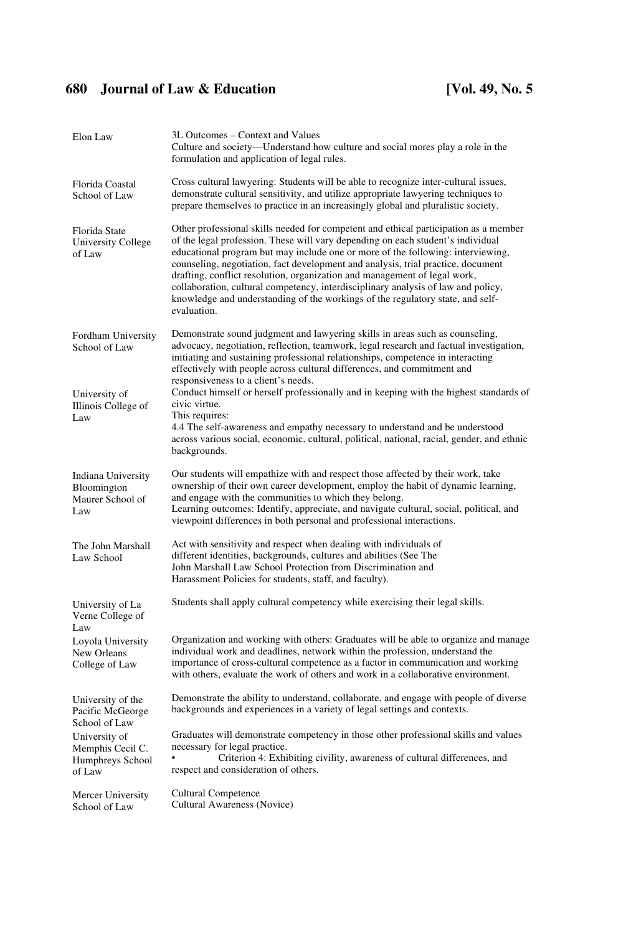| Elon Law                                                        | 3L Outcomes - Context and Values<br>Culture and society—Understand how culture and social mores play a role in the<br>formulation and application of legal rules.                                                                                                                                                                                                                                                                                                                                                                                                                                                 |
|-----------------------------------------------------------------|-------------------------------------------------------------------------------------------------------------------------------------------------------------------------------------------------------------------------------------------------------------------------------------------------------------------------------------------------------------------------------------------------------------------------------------------------------------------------------------------------------------------------------------------------------------------------------------------------------------------|
| Florida Coastal<br>School of Law                                | Cross cultural lawyering: Students will be able to recognize inter-cultural issues,<br>demonstrate cultural sensitivity, and utilize appropriate lawyering techniques to<br>prepare themselves to practice in an increasingly global and pluralistic society.                                                                                                                                                                                                                                                                                                                                                     |
| Florida State<br>University College<br>of Law                   | Other professional skills needed for competent and ethical participation as a member<br>of the legal profession. These will vary depending on each student's individual<br>educational program but may include one or more of the following: interviewing,<br>counseling, negotiation, fact development and analysis, trial practice, document<br>drafting, conflict resolution, organization and management of legal work,<br>collaboration, cultural competency, interdisciplinary analysis of law and policy,<br>knowledge and understanding of the workings of the regulatory state, and self-<br>evaluation. |
| Fordham University<br>School of Law                             | Demonstrate sound judgment and lawyering skills in areas such as counseling,<br>advocacy, negotiation, reflection, teamwork, legal research and factual investigation,<br>initiating and sustaining professional relationships, competence in interacting<br>effectively with people across cultural differences, and commitment and<br>responsiveness to a client's needs.                                                                                                                                                                                                                                       |
| University of<br>Illinois College of<br>Law                     | Conduct himself or herself professionally and in keeping with the highest standards of<br>civic virtue.<br>This requires:<br>4.4 The self-awareness and empathy necessary to understand and be understood<br>across various social, economic, cultural, political, national, racial, gender, and ethnic<br>backgrounds.                                                                                                                                                                                                                                                                                           |
| Indiana University<br>Bloomington<br>Maurer School of<br>Law    | Our students will empathize with and respect those affected by their work, take<br>ownership of their own career development, employ the habit of dynamic learning,<br>and engage with the communities to which they belong.<br>Learning outcomes: Identify, appreciate, and navigate cultural, social, political, and<br>viewpoint differences in both personal and professional interactions.                                                                                                                                                                                                                   |
| The John Marshall<br>Law School                                 | Act with sensitivity and respect when dealing with individuals of<br>different identities, backgrounds, cultures and abilities (See The<br>John Marshall Law School Protection from Discrimination and<br>Harassment Policies for students, staff, and faculty).                                                                                                                                                                                                                                                                                                                                                  |
| University of La<br>Verne College of<br>Law                     | Students shall apply cultural competency while exercising their legal skills.                                                                                                                                                                                                                                                                                                                                                                                                                                                                                                                                     |
| Loyola University<br>New Orleans<br>College of Law              | Organization and working with others: Graduates will be able to organize and manage<br>individual work and deadlines, network within the profession, understand the<br>importance of cross-cultural competence as a factor in communication and working<br>with others, evaluate the work of others and work in a collaborative environment.                                                                                                                                                                                                                                                                      |
| University of the<br>Pacific McGeorge<br>School of Law          | Demonstrate the ability to understand, collaborate, and engage with people of diverse<br>backgrounds and experiences in a variety of legal settings and contexts.                                                                                                                                                                                                                                                                                                                                                                                                                                                 |
| University of<br>Memphis Cecil C.<br>Humphreys School<br>of Law | Graduates will demonstrate competency in those other professional skills and values<br>necessary for legal practice.<br>Criterion 4: Exhibiting civility, awareness of cultural differences, and<br>respect and consideration of others.                                                                                                                                                                                                                                                                                                                                                                          |
| Mercer University<br>School of Law                              | <b>Cultural Competence</b><br>Cultural Awareness (Novice)                                                                                                                                                                                                                                                                                                                                                                                                                                                                                                                                                         |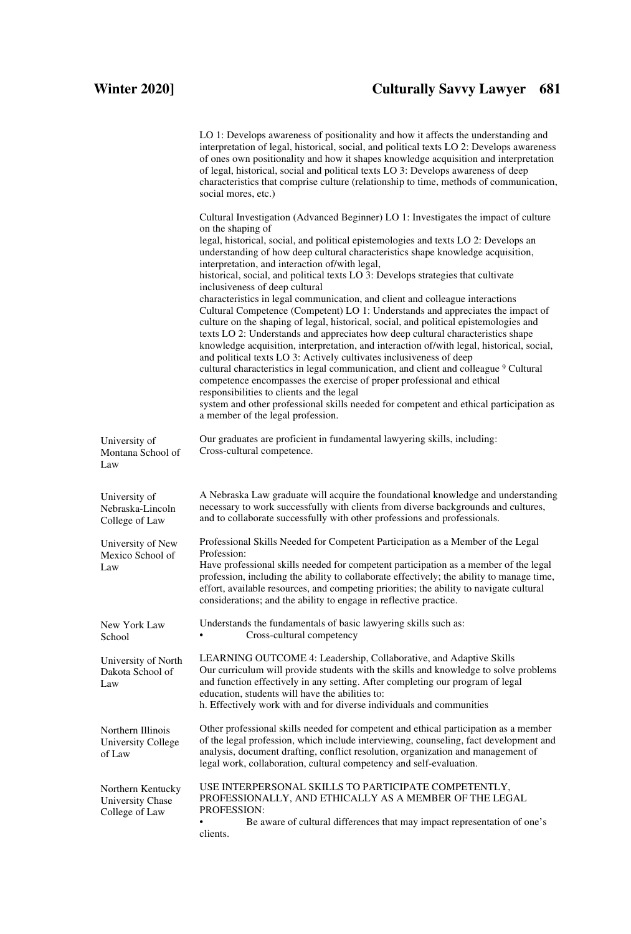## **Winter 2020] Culturally Savvy Lawyer 681**

|                                                         | LO 1: Develops awareness of positionality and how it affects the understanding and<br>interpretation of legal, historical, social, and political texts LO 2: Develops awareness<br>of ones own positionality and how it shapes knowledge acquisition and interpretation<br>of legal, historical, social and political texts LO 3: Develops awareness of deep<br>characteristics that comprise culture (relationship to time, methods of communication,<br>social mores, etc.)                                                                                                                                                                                                                                                                                                                                             |
|---------------------------------------------------------|---------------------------------------------------------------------------------------------------------------------------------------------------------------------------------------------------------------------------------------------------------------------------------------------------------------------------------------------------------------------------------------------------------------------------------------------------------------------------------------------------------------------------------------------------------------------------------------------------------------------------------------------------------------------------------------------------------------------------------------------------------------------------------------------------------------------------|
|                                                         | Cultural Investigation (Advanced Beginner) LO 1: Investigates the impact of culture<br>on the shaping of<br>legal, historical, social, and political epistemologies and texts LO 2: Develops an<br>understanding of how deep cultural characteristics shape knowledge acquisition,<br>interpretation, and interaction of/with legal,<br>historical, social, and political texts LO 3: Develops strategies that cultivate<br>inclusiveness of deep cultural                                                                                                                                                                                                                                                                                                                                                                |
|                                                         | characteristics in legal communication, and client and colleague interactions<br>Cultural Competence (Competent) LO 1: Understands and appreciates the impact of<br>culture on the shaping of legal, historical, social, and political epistemologies and<br>texts LO 2: Understands and appreciates how deep cultural characteristics shape<br>knowledge acquisition, interpretation, and interaction of/with legal, historical, social,<br>and political texts LO 3: Actively cultivates inclusiveness of deep<br>cultural characteristics in legal communication, and client and colleague 9 Cultural<br>competence encompasses the exercise of proper professional and ethical<br>responsibilities to clients and the legal<br>system and other professional skills needed for competent and ethical participation as |
| University of<br>Montana School of<br>Law               | a member of the legal profession.<br>Our graduates are proficient in fundamental lawyering skills, including:<br>Cross-cultural competence.                                                                                                                                                                                                                                                                                                                                                                                                                                                                                                                                                                                                                                                                               |
| University of<br>Nebraska-Lincoln<br>College of Law     | A Nebraska Law graduate will acquire the foundational knowledge and understanding<br>necessary to work successfully with clients from diverse backgrounds and cultures,<br>and to collaborate successfully with other professions and professionals.                                                                                                                                                                                                                                                                                                                                                                                                                                                                                                                                                                      |
| University of New<br>Mexico School of<br>Law            | Professional Skills Needed for Competent Participation as a Member of the Legal<br>Profession:<br>Have professional skills needed for competent participation as a member of the legal<br>profession, including the ability to collaborate effectively; the ability to manage time,<br>effort, available resources, and competing priorities; the ability to navigate cultural<br>considerations; and the ability to engage in reflective practice.                                                                                                                                                                                                                                                                                                                                                                       |
| New York Law<br>School                                  | Understands the fundamentals of basic lawyering skills such as:<br>Cross-cultural competency                                                                                                                                                                                                                                                                                                                                                                                                                                                                                                                                                                                                                                                                                                                              |
| University of North<br>Dakota School of<br>Law          | LEARNING OUTCOME 4: Leadership, Collaborative, and Adaptive Skills<br>Our curriculum will provide students with the skills and knowledge to solve problems<br>and function effectively in any setting. After completing our program of legal<br>education, students will have the abilities to:<br>h. Effectively work with and for diverse individuals and communities                                                                                                                                                                                                                                                                                                                                                                                                                                                   |
| Northern Illinois<br>University College<br>of Law       | Other professional skills needed for competent and ethical participation as a member<br>of the legal profession, which include interviewing, counseling, fact development and<br>analysis, document drafting, conflict resolution, organization and management of<br>legal work, collaboration, cultural competency and self-evaluation.                                                                                                                                                                                                                                                                                                                                                                                                                                                                                  |
| Northern Kentucky<br>University Chase<br>College of Law | USE INTERPERSONAL SKILLS TO PARTICIPATE COMPETENTLY,<br>PROFESSIONALLY, AND ETHICALLY AS A MEMBER OF THE LEGAL<br><b>PROFESSION:</b><br>Be aware of cultural differences that may impact representation of one's<br>٠<br>clients.                                                                                                                                                                                                                                                                                                                                                                                                                                                                                                                                                                                         |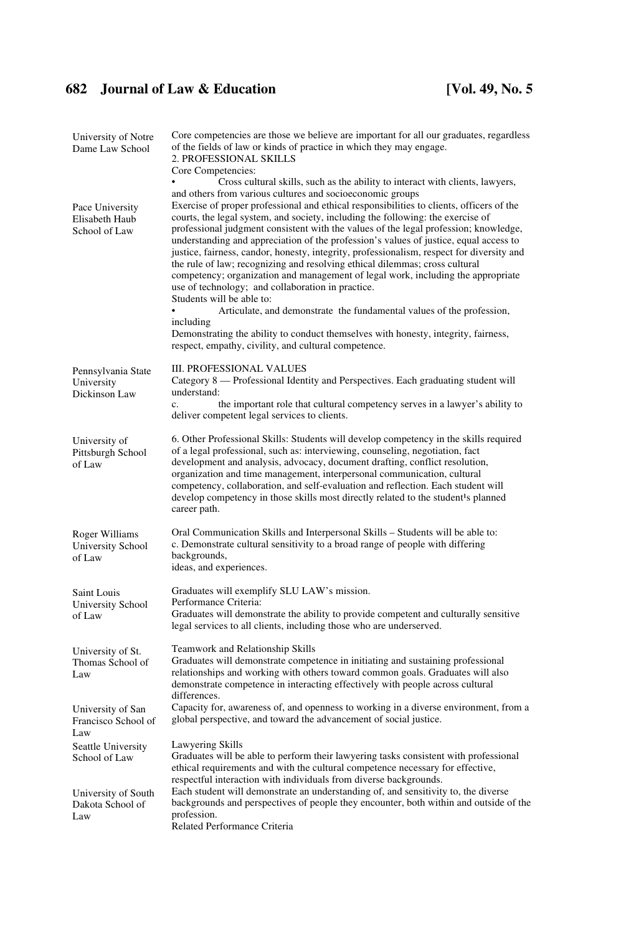| University of Notre<br>Dame Law School             | Core competencies are those we believe are important for all our graduates, regardless<br>of the fields of law or kinds of practice in which they may engage.<br>2. PROFESSIONAL SKILLS                                                                                                                                                                                                                                                                                                                                                                                                                                                                                                                                                                                                                                                                                                                                                                                                                                                                                                                                |
|----------------------------------------------------|------------------------------------------------------------------------------------------------------------------------------------------------------------------------------------------------------------------------------------------------------------------------------------------------------------------------------------------------------------------------------------------------------------------------------------------------------------------------------------------------------------------------------------------------------------------------------------------------------------------------------------------------------------------------------------------------------------------------------------------------------------------------------------------------------------------------------------------------------------------------------------------------------------------------------------------------------------------------------------------------------------------------------------------------------------------------------------------------------------------------|
| Pace University<br>Elisabeth Haub<br>School of Law | Core Competencies:<br>Cross cultural skills, such as the ability to interact with clients, lawyers,<br>and others from various cultures and socioeconomic groups<br>Exercise of proper professional and ethical responsibilities to clients, officers of the<br>courts, the legal system, and society, including the following: the exercise of<br>professional judgment consistent with the values of the legal profession; knowledge,<br>understanding and appreciation of the profession's values of justice, equal access to<br>justice, fairness, candor, honesty, integrity, professionalism, respect for diversity and<br>the rule of law; recognizing and resolving ethical dilemmas; cross cultural<br>competency; organization and management of legal work, including the appropriate<br>use of technology; and collaboration in practice.<br>Students will be able to:<br>Articulate, and demonstrate the fundamental values of the profession,<br>including<br>Demonstrating the ability to conduct themselves with honesty, integrity, fairness,<br>respect, empathy, civility, and cultural competence. |
| Pennsylvania State<br>University<br>Dickinson Law  | <b>III. PROFESSIONAL VALUES</b><br>Category 8 — Professional Identity and Perspectives. Each graduating student will<br>understand:<br>the important role that cultural competency serves in a lawyer's ability to<br>$\mathbf{c}$ .<br>deliver competent legal services to clients.                                                                                                                                                                                                                                                                                                                                                                                                                                                                                                                                                                                                                                                                                                                                                                                                                                   |
| University of<br>Pittsburgh School<br>of Law       | 6. Other Professional Skills: Students will develop competency in the skills required<br>of a legal professional, such as: interviewing, counseling, negotiation, fact<br>development and analysis, advocacy, document drafting, conflict resolution,<br>organization and time management, interpersonal communication, cultural<br>competency, collaboration, and self-evaluation and reflection. Each student will<br>develop competency in those skills most directly related to the student <sup>1</sup> s planned<br>career path.                                                                                                                                                                                                                                                                                                                                                                                                                                                                                                                                                                                 |
| Roger Williams<br>University School<br>of Law      | Oral Communication Skills and Interpersonal Skills – Students will be able to:<br>c. Demonstrate cultural sensitivity to a broad range of people with differing<br>backgrounds,<br>ideas, and experiences.                                                                                                                                                                                                                                                                                                                                                                                                                                                                                                                                                                                                                                                                                                                                                                                                                                                                                                             |
| Saint Louis<br>University School<br>of Law         | Graduates will exemplify SLU LAW's mission.<br>Performance Criteria:<br>Graduates will demonstrate the ability to provide competent and culturally sensitive<br>legal services to all clients, including those who are underserved.                                                                                                                                                                                                                                                                                                                                                                                                                                                                                                                                                                                                                                                                                                                                                                                                                                                                                    |
| University of St.<br>Thomas School of<br>Law       | Teamwork and Relationship Skills<br>Graduates will demonstrate competence in initiating and sustaining professional<br>relationships and working with others toward common goals. Graduates will also<br>demonstrate competence in interacting effectively with people across cultural<br>differences.                                                                                                                                                                                                                                                                                                                                                                                                                                                                                                                                                                                                                                                                                                                                                                                                                 |
| University of San<br>Francisco School of<br>Law    | Capacity for, awareness of, and openness to working in a diverse environment, from a<br>global perspective, and toward the advancement of social justice.                                                                                                                                                                                                                                                                                                                                                                                                                                                                                                                                                                                                                                                                                                                                                                                                                                                                                                                                                              |
| Seattle University<br>School of Law                | Lawyering Skills<br>Graduates will be able to perform their lawyering tasks consistent with professional<br>ethical requirements and with the cultural competence necessary for effective,<br>respectful interaction with individuals from diverse backgrounds.                                                                                                                                                                                                                                                                                                                                                                                                                                                                                                                                                                                                                                                                                                                                                                                                                                                        |
| University of South<br>Dakota School of<br>Law     | Each student will demonstrate an understanding of, and sensitivity to, the diverse<br>backgrounds and perspectives of people they encounter, both within and outside of the<br>profession.<br>Related Performance Criteria                                                                                                                                                                                                                                                                                                                                                                                                                                                                                                                                                                                                                                                                                                                                                                                                                                                                                             |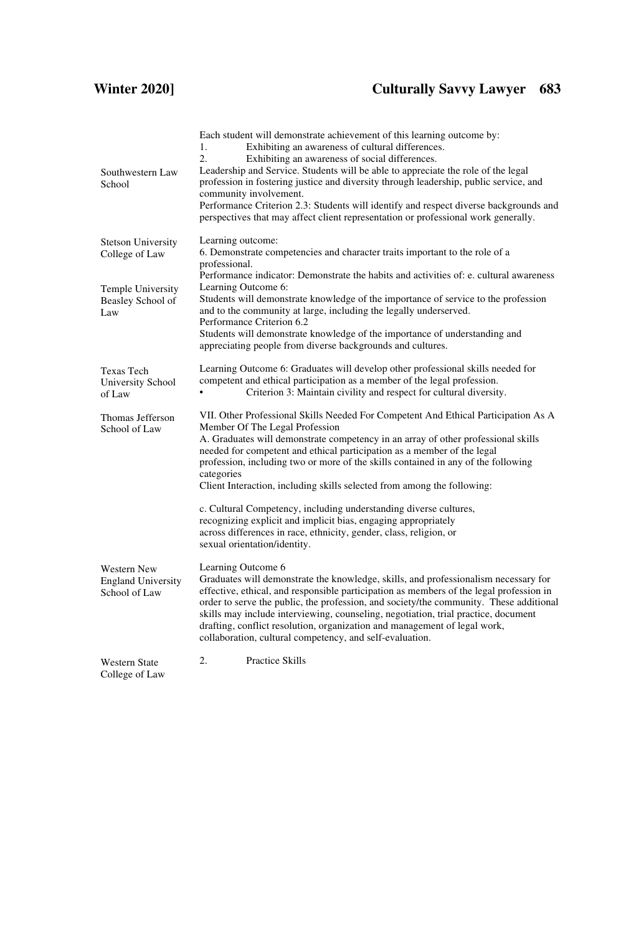## **Winter 2020] Culturally Savvy Lawyer 683**

| Southwestern Law<br>School                                       | Each student will demonstrate achievement of this learning outcome by:<br>Exhibiting an awareness of cultural differences.<br>1.<br>$\overline{2}$ .<br>Exhibiting an awareness of social differences.<br>Leadership and Service. Students will be able to appreciate the role of the legal<br>profession in fostering justice and diversity through leadership, public service, and<br>community involvement.<br>Performance Criterion 2.3: Students will identify and respect diverse backgrounds and<br>perspectives that may affect client representation or professional work generally. |
|------------------------------------------------------------------|-----------------------------------------------------------------------------------------------------------------------------------------------------------------------------------------------------------------------------------------------------------------------------------------------------------------------------------------------------------------------------------------------------------------------------------------------------------------------------------------------------------------------------------------------------------------------------------------------|
| <b>Stetson University</b><br>College of Law                      | Learning outcome:<br>6. Demonstrate competencies and character traits important to the role of a<br>professional.                                                                                                                                                                                                                                                                                                                                                                                                                                                                             |
| <b>Temple University</b><br>Beasley School of<br>Law             | Performance indicator: Demonstrate the habits and activities of: e. cultural awareness<br>Learning Outcome 6:<br>Students will demonstrate knowledge of the importance of service to the profession<br>and to the community at large, including the legally underserved.<br>Performance Criterion 6.2<br>Students will demonstrate knowledge of the importance of understanding and                                                                                                                                                                                                           |
|                                                                  | appreciating people from diverse backgrounds and cultures.                                                                                                                                                                                                                                                                                                                                                                                                                                                                                                                                    |
| <b>Texas Tech</b><br>University School<br>of Law                 | Learning Outcome 6: Graduates will develop other professional skills needed for<br>competent and ethical participation as a member of the legal profession.<br>Criterion 3: Maintain civility and respect for cultural diversity.                                                                                                                                                                                                                                                                                                                                                             |
| Thomas Jefferson<br>School of Law                                | VII. Other Professional Skills Needed For Competent And Ethical Participation As A<br>Member Of The Legal Profession<br>A. Graduates will demonstrate competency in an array of other professional skills<br>needed for competent and ethical participation as a member of the legal<br>profession, including two or more of the skills contained in any of the following<br>categories<br>Client Interaction, including skills selected from among the following:                                                                                                                            |
|                                                                  | c. Cultural Competency, including understanding diverse cultures,<br>recognizing explicit and implicit bias, engaging appropriately<br>across differences in race, ethnicity, gender, class, religion, or<br>sexual orientation/identity.                                                                                                                                                                                                                                                                                                                                                     |
| <b>Western New</b><br><b>England University</b><br>School of Law | Learning Outcome 6<br>Graduates will demonstrate the knowledge, skills, and professionalism necessary for<br>effective, ethical, and responsible participation as members of the legal profession in<br>order to serve the public, the profession, and society/the community. These additional<br>skills may include interviewing, counseling, negotiation, trial practice, document<br>drafting, conflict resolution, organization and management of legal work,<br>collaboration, cultural competency, and self-evaluation.                                                                 |
| <b>Western State</b><br>College of Law                           | $\overline{2}$ .<br><b>Practice Skills</b>                                                                                                                                                                                                                                                                                                                                                                                                                                                                                                                                                    |